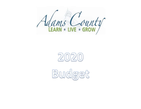



Budget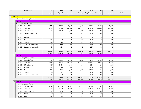| Acct         |                           | <b>Acct Description</b>             | 2017    | 2018    | 2019    | 2019    | 2020       | 2020       | 2020    | 2020         |
|--------------|---------------------------|-------------------------------------|---------|---------|---------|---------|------------|------------|---------|--------------|
|              |                           |                                     | Expend  | Expend  | Adopted | Expend  | Req Budget | Pub Budget | Adopted | <b>Notes</b> |
|              |                           |                                     |         |         | Rudget  |         |            |            | Rudnet  |              |
| - Fund: 1000 |                           |                                     |         |         |         |         |            |            |         |              |
|              | $-$ Loc : 0001            | - Fund Description : County General |         |         |         |         |            |            |         |              |
|              |                           |                                     |         |         |         |         |            |            |         |              |
|              |                           | - Loc Description : Clerk           |         |         |         |         |            |            |         |              |
|              | 11100                     | <b>Elected Offical</b>              | 47,431  | 48,390  | 49,879  | 38,313  | 52,373     | 52,373     | 49,879  |              |
|              | 11200                     | Deputy/s                            | 222,596 | 227,549 | 236,846 | 181,533 | 248,688    | 248,688    | 263,080 |              |
|              | 21100                     | Office Supplies                     | 6,047   | 5,589   | 6,000   | 3,106   | 6,000      | 6,000      | 6,000   |              |
|              | 21700                     | Support & Trust Checks              | 278     | 797     | 800     | 640     | 800        | 800        | 800     |              |
|              | 31200                     | Training                            |         |         | 100     | 100     | 100        | 100        | 100     |              |
|              | 31700                     | Travel                              | 1,388   | 1,720   | 1,650   | 2,266   | 1,650      | 1,650      | 1,800   |              |
|              | 32200                     | Printing                            | 1,183   | 713     | 1,200   | 732     | 1,200      | 1,200      | 1,200   |              |
|              | 35100                     | Dues & Subscriptions                | 947     | 610     | 950     | 610     | 950        | 950        | 950     |              |
|              | 35200                     | Conference Registration             | 660     | 660     | 915     | 700     | 915        | 915        | 915     |              |
|              |                           |                                     | 280,530 | 286,028 | 298,340 | 228,000 | 312,676    | 312,676    | 324,724 |              |
|              |                           |                                     | 280,530 | 286,028 | 298,340 | 228,000 | 312,676    | 312,676    | 324,724 |              |
|              | $\overline{z}$ Loc : 0002 |                                     |         |         |         |         |            |            |         |              |
|              |                           | - Loc Description : Auditor         |         |         |         |         |            |            |         |              |
|              | 11100                     | <b>Elected Offical</b>              | 47,431  | 49,903  | 51,500  | 39,558  | 54,075     | 54,075     | 51,500  |              |
|              | 11200                     | Deputy/s                            | 148,525 | 156,804 | 161,258 | 123,272 | 169,321    | 169,321    | 167,233 |              |
|              | 21100                     | Office Supplies                     | 1,274   | 2,191   | 1,500   | 624     | 1,200      | 1,200      | 1,200   |              |
|              | 31200                     | Training                            | 1,282   | 220     | 1,000   | 220     | 400        | 400        | 400     |              |
|              | 31700                     | Travel                              | 2,182   | 4,804   | 3,500   | 4,637   | 3,500      | 3,500      | 3,500   |              |
|              | 32200                     | Printing                            | 506     | 1,372   | 1,500   | 425     | 400        | 400        | 400     |              |
|              | 35100                     | Dues & Subscriptions                | 712     | 750     | 1,500   | 772     | 900        | 900        | 900     |              |
|              |                           |                                     | 201,912 | 216,044 | 221,758 | 169,508 | 229,796    | 229,796    | 225,133 |              |
|              |                           |                                     | 201,912 | 216,044 | 221,758 | 169,508 | 229,796    | 229,796    | 225,133 |              |
|              | $-$ Loc: 0003             |                                     |         |         |         |         |            |            |         |              |
|              |                           | - Loc Description : Treasurer       |         |         |         |         |            |            |         |              |
|              | 11100                     | <b>Elected Offical</b>              | 47,431  | 48,390  | 49,879  | 38,313  | 52,373     | 52,373     | 49,879  |              |
|              | 11200                     | Deputy/s                            | 65,955  | 74,409  | 95,845  | 73,650  | 100,637    | 100,637    | 83,871  |              |
|              | 21100                     | Office Supplies                     | 390     | 420     | 1,450   | 517     | 1,450      | 1,450      | 1,000   |              |
|              | 31200                     | Training                            | 500     | 437     | 600     | 625     | 600        | 600        | 600     |              |
|              | 31700                     | Travel                              | 1,311   | 1,460   | 1,400   | 984     | 1,400      | 1,400      | 1,400   |              |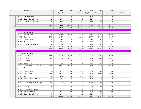| Acct |                | <b>Acct Description</b>           | 2017    | 2018    | 2019    | 2019           | 2020       | 2020       | 2020    | 2020  |
|------|----------------|-----------------------------------|---------|---------|---------|----------------|------------|------------|---------|-------|
|      |                |                                   | Expend  | Expend  | Adopted | Expend         | Req Budget | Pub Budget | Adopted | Notes |
|      |                |                                   |         |         | Rudget  |                |            |            | Rudnet  |       |
|      | 33700          | Equipment Repair                  |         |         | 500     | 511            | 500        | 500        | 500     |       |
|      | 35100          | Dues & Subscriptions              | 262     | 279     | 325     | 0              | 325        | 325        | 325     |       |
|      | 35200          | Conference Registration           | 810     | 425     | 850     | 460            | 850        | 850        | 850     |       |
|      |                |                                   | 116,659 | 125,820 | 150,849 | 115,060        | 158,135    | 158,135    | 138,425 |       |
|      |                |                                   | 116,659 | 125,820 | 150,849 | 115,060        | 158,135    | 158,135    | 138,425 |       |
|      | $-$ Loc : 0004 |                                   |         |         |         |                |            |            |         |       |
|      |                | Loc Description : Recorder        |         |         |         |                |            |            |         |       |
|      | 11100          | <b>Elected Offical</b>            | 47,431  | 48,390  | 49,879  | 38,313         | 52,373     | 52,373     | 49,879  |       |
|      | 11200          | Deputy/s                          | 35,396  | 36,105  | 37,216  | 28,586         | 39,077     | 39,077     | 39,437  |       |
|      | 21100          | Office Supplies                   | 245     | 593     | 700     | 297            | 595        | 595        | 595     |       |
|      | 31700          | Travel                            | 146     | 141     | 150     | 145            | 150        | 150        | 150     |       |
|      | 35100          | Dues & Subscriptions              | 475     | 29      | 475     | 475            | 475        | 475        | 475     |       |
|      |                |                                   | 83,693  | 85,258  | 88,420  | 67,816         | 92,670     | 92,670     | 90,536  |       |
|      |                |                                   | 83,693  | 85,258  | 88,420  | 67,816         | 92,670     | 92,670     | 90,536  |       |
|      | $-$ Loc: 0006  |                                   |         |         |         |                |            |            |         |       |
|      | $\blacksquare$ | Loc Description : Surveyor        |         |         |         |                |            |            |         |       |
|      | 11100          | <b>Elected Offical</b>            | 47,431  | 48,390  | 49,879  | 38,313         | 52,373     | 52,373     | 49,879  |       |
|      | 11200          | Deputy/s                          | 29,927  | 30,526  | 31,465  | 24,169         | 33,038     | 33,038     | 35,485  |       |
|      | 11500          | Overtime                          |         |         | 100     | $\overline{0}$ | 100        | 100        | 100     |       |
|      | 12500          | CDL/Physical                      |         | 150     | 300     | $\Omega$       | 300        | 300        | 300     |       |
|      | 12800          | Labor Rod&Chain/Full-Part<br>Time | 13,897  | 14,947  | 20,600  | 15,647         | 21,630     | 21,630     | 20,600  |       |
|      | 21100          | Office Supplies                   | 384     | 467     | 350     | 508            | 350        | 350        | 350     |       |
|      | 22000          | Gas, Oil and Lube                 | 8,723   | 8,651   | 10,000  | 5,115          | 10,000     | 10,000     | 10,000  |       |
|      | 22200          | Tires                             | 454     | 1,246   | 2,200   | 1,272          | 2,200      | 2,200      | 2,200   |       |
|      | 22301          | Stakes, Flags & Small Tools       | 1,288   | 1,487   | 1,500   | 1,226          | 1,500      | 1,500      | 1,500   |       |
|      |                |                                   |         |         |         |                |            |            |         |       |
|      | 23302          | Labor, Garage & Motor Suppl       | 4,253   | 1,298   | 4,230   | 976            | 4,230      | 4,230      | 4,230   |       |
|      | 32200          | Printing                          | 122     |         | 230     | 126            | 200        | 200        | 200     |       |
|      | 32300          | Rebind Book/Records               |         |         | 100     | 0              | 100        | 100        | 100     |       |
|      | 33601          | Service Laser/Equip               | 1,074   | 1,691   | 900     | 338            | 900        | 900        | 900     |       |
|      | 35100          | Dues & Subscriptions              | 434     | 243     | 800     | 450            | 500        | 500        | 500     |       |
|      |                |                                   | 107,987 | 109,096 | 122,654 | 88,140         | 127,421    | 127,421    | 126,344 |       |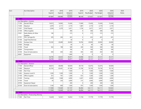|                           | <b>Acct Description</b>                  | 2017    | 2018    | 2019    | 2019           | 2020       | 2020       | 2020     | 2020         |
|---------------------------|------------------------------------------|---------|---------|---------|----------------|------------|------------|----------|--------------|
|                           |                                          | Expend  | Expend  | Adopted | Expend         | Req Budget | Pub Budget | Adopted  | <b>Notes</b> |
|                           |                                          |         |         | Rudget  |                |            |            | Rudnet   |              |
| $-$ Loc : 0007            |                                          | 107,987 | 109,096 | 122,654 | 88,140         | 127,421    | 127,421    | 126,344  |              |
|                           | - Loc Description : Coroner              |         |         |         |                |            |            |          |              |
|                           | <b>Elected Offical</b>                   |         |         |         |                |            | 15,426     |          |              |
| 11100                     |                                          | 14,672  | 14,965  | 15,426  | 11,849         | 15,426     |            | 15,426   |              |
| 11200                     | Deputy/s                                 | 2,070   | 2,111   | 2,174   | 1,087          | 2,174      | 2,174      | 2,174    |              |
| 11201                     | Chief Deputy                             | 3,304   | 3,370   | 3,471   | 1,736          | 3,471      | 3,471      | 3,471    |              |
| 21100                     | Office Supplies                          |         |         | 300     | 0              | 300        | 300        | 300      |              |
| 21601                     | Radio Battery & Other<br>Supplies        | 140     |         | 215     | 0              | 215        | 215        | 215      |              |
| 21701                     | Film, Syringes, Etc.                     | 205     | 240     | 425     | 0              | 425        | 425        | 425      |              |
| 31100                     | Legal Fees/Services                      |         |         | 50      | 0              | 0          | $\Omega$   | 0        |              |
| 31203                     | <b>Autopsy Fees</b>                      | 35,592  | 20,689  | 20,000  | 18,706         | 20,000     | 20,000     | 20,000   |              |
| 31600                     | Postage                                  |         |         | 60      | $\overline{0}$ | 60         | 60         | 60       |              |
| 31700                     | Travel                                   | 362     | 198     | 500     | 240            | 500        | 500        | 500      |              |
| 32004                     | Transportation                           |         |         | 100     | $\Omega$       | 100        | 100        | 100      |              |
| 35100                     | Dues & Subscriptions                     | 450     | 450     | 450     | 450            | 450        | 450        | 450      |              |
| 42601                     | Equipment                                |         |         | 1,900   | $\Omega$       | $\Omega$   | $\Omega$   | $\Omega$ |              |
|                           |                                          | 56,795  | 42,023  | 45,071  | 34,068         | 43,121     | 43,121     | 43,121   |              |
|                           |                                          | 56,795  | 42,023  | 45,071  | 34,068         | 43,121     | 43,121     | 43,121   |              |
| $-$ Loc: 0008             |                                          |         |         |         |                |            |            |          |              |
|                           | Loc Description : Assessor               |         |         |         |                |            |            |          |              |
| 11100                     | <b>Elected Offical</b>                   | 48,431  | 49,409  | 50,929  | 39,119         | 53,475     | 53,475     | 50,929   |              |
| 11200                     | Deputy/s                                 | 62,765  | 65,461  | 67,368  | 51,746         | 70,736     | 70,736     | 70,116   |              |
| 11300                     | Part Time                                |         |         | 7,500   | $\Omega$       | 7,500      | 7,500      | 7,500    |              |
| 11402                     | Assessor Level III                       | 1,500   | 1,500   | 1,500   | $\Omega$       | 1,500      | 1,500      | 1,500    |              |
| 21100                     | Office Supplies                          | 351     | 791     | 1,200   | 672            | 1,200      | 1,200      | 1,200    |              |
| 31200                     | Training                                 | 3,690   | 1,968   | 4,000   | 4,267          | 4,000      | 4,000      | 4,000    |              |
| 31700                     | Travel                                   | 93      | 220     | 3,000   | 215            | 3,000      | 3,000      | 3,000    |              |
| 33700                     | Equipment Repair                         |         |         | 200     | $\overline{0}$ | 200        | 200        | 200      |              |
| 35100                     | Dues & Subscriptions                     | 1,160   | 600     | 1,500   | 975            | 1,500      | 1,500      | 1,500    |              |
|                           |                                          | 117,990 | 119,949 | 137,197 | 96,994         | 143,111    | 143,111    | 139,945  |              |
|                           |                                          | 117,990 | 119,949 | 137,197 | 96,994         | 143,111    | 143,111    | 139,945  |              |
| $\blacksquare$ Loc : 0009 |                                          |         |         |         |                |            |            |          |              |
|                           | - Loc Description : Prosecuting Attorney |         |         |         |                |            |            |          |              |
| 11300                     | Part Time                                | 14,420  | 14,561  | 16,932  | 11,736         | 17,779     | 17,779     | 17,779   |              |
|                           |                                          |         |         |         |                |            |            |          |              |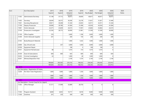| Acct                      | Acct Description                                | 2017    | 2018    | 2019    | 2019    | 2020           | 2020       | 2020             | 2020         |
|---------------------------|-------------------------------------------------|---------|---------|---------|---------|----------------|------------|------------------|--------------|
|                           |                                                 | Expend  | Expend  | Adopted | Expend  | Req Budget     | Pub Budget | Adopted          | <b>Notes</b> |
|                           |                                                 |         |         | Rudnet  |         |                |            | Rudnet<br>38,873 |              |
| 11302                     | Administrator/Secretary                         | 31,148  | 37,712  | 38,873  | 29,859  | 40,817         | 40,817     |                  |              |
| 11403                     | Secretary                                       | 28,049  | 26,572  | 30,306  | 23,278  | 31,821         | 31,821     | 31,949           |              |
| 11601                     | Secretary/Receptionist                          | 29,811  | 30,408  | 31,344  | 23,835  | 32,911         | 32,911     | 31,344           |              |
| 11700                     | Deputy Prosecutor                               | 39,000  | 39,780  | 41,004  | 31,496  | 43,054         | 43,054     | 41,004           |              |
| 11801                     | Victim Advocate                                 | 23,371  | 23,839  | 24,573  | 17,957  | 25,802         | 25,802     | 24,573           |              |
| 12100                     | Prosecutor's Investigator                       | 22,356  | 28,773  | 30,000  | 21,861  | 31,500         | 31,500     | 30,000           |              |
| 21100                     | Office Supplies                                 | 576     |         | 3,600   | 1,186   | 3,600          | 3,600      | 1,400            |              |
| 21200                     | Victim Advocate Supplies                        | 201     |         | 200     | 150     | 200            | 200        | 200              |              |
| 21303                     | <b>Books/Research Materials</b>                 |         |         | 1,000   | 1,632   | 1,000          | 1,000      | 1,000            |              |
| 22000                     | Gas, Oil and Lube                               |         | 257     | 3,000   | 1,050   | 3,000          | 3,000      | 3,000            |              |
| 33700                     | Equipment Repair                                |         |         | 108     | 0       | 108            | 108        | $\Omega$         |              |
| 34101                     | <b>Equipment Rental/Lease</b>                   | 88      |         | 1,010   | 310     | 1,010          | 1,010      | $\Omega$         |              |
| 35100                     | Dues & Subscriptions                            | 600     | 600     | 643     | 600     | 600            | 600        | 650              |              |
| 35202                     | Criminal Investigation                          | 63      |         | 1,000   | 28      | 1,000          | 1,000      | $\Omega$         |              |
| 35301                     | Witness/Deposition Fees                         |         |         | 2,140   | 1,574   | 2,140          | 2,140      | 2,140            |              |
|                           |                                                 | 189,683 | 202,502 | 225,733 | 166,552 | 236,342        | 236,342    | 223,912          |              |
|                           |                                                 | 189,683 | 202,502 | 225,733 | 166,552 | 236,342        | 236,342    | 223,912          |              |
| $\overline{C}$ Loc : 0010 |                                                 |         |         |         |         |                |            |                  |              |
|                           | Loc Description : Registration Of Voters        |         |         |         |         |                |            |                  |              |
| 12200                     | Per Diem-Voter Registration                     | 1,800   | 1,800   | 1,800   | 1,350   | 1,800          | 1,800      | 1,800            |              |
|                           |                                                 | 1,800   | 1,800   | 1,800   | 1,350   | 1,800          | 1,800      | 1,800            |              |
|                           |                                                 | 1,800   | 1,800   | 1,800   | 1,350   | 1,800          | 1,800      | 1,800            |              |
| $\blacksquare$ Loc : 0011 |                                                 |         |         |         |         |                |            |                  |              |
|                           | - Loc Description : County Coop Ext Svc (Agent) |         |         |         |         |                |            |                  |              |
| 11202                     | Office Manager                                  | 31,311  | 31,908  | 32,889  | 28,750  | $\overline{0}$ | 0          | $\overline{0}$   |              |
| 11303                     | Program Assistant                               | 8,069   | 6,853   | 10,717  | 8,018   | 9,000          | 9,000      | 9,000            |              |
| 11500                     | Overtime                                        | 201     | 329     | 500     | 349     | 500            | 500        | 500              |              |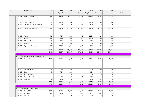|                           | Acct Description                             | 2017    | 2018    | 2019    | 2019           | 2020       | 2020       | 2020    | 2020  |
|---------------------------|----------------------------------------------|---------|---------|---------|----------------|------------|------------|---------|-------|
|                           |                                              | Expend  | Expend  | Adopted | Expend         | Req Budget | Pub Budget | Adopted | Notes |
|                           |                                              |         |         | Rudnet  |                |            |            | Rudnet  |       |
|                           | 11701<br>Admin Assistant                     | 28,346  | 28,940  | 29,832  | 22,914         | 65,858     | 65,858     | 59,664  |       |
|                           | 21100<br>Office Supplies                     | 2,396   | 2,409   | 2,400   | 1,251          | 2,400      | 2,400      | 2,400   |       |
|                           | Educational Lesson Supplies<br>21602         | 471     | 330     | 500     | 165            | 500        | 500        | 500     |       |
|                           | 30100<br>Contractural Services               | 107,340 | 108,960 | 111,695 | 111,695        | 114,500    | 114,500    | 114,500 |       |
|                           | 31600<br>Postage                             | 5,200   | 4,705   | 5,200   | 895            | 5,200      | 5,200      | 5,200   |       |
|                           | 31700<br>Travel                              | 4,625   | 7,820   | 5,000   | 3,262          | 5,000      | 5,000      | 5,000   |       |
|                           | 31903<br><b>Educator Training</b>            | 628     | 343     | 600     | 10             | 600        | 600        | 600     |       |
|                           | 32200<br>Printing                            | 472     | 500     | 500     | $\overline{0}$ | 500        | 500        | 500     |       |
|                           | 34101<br>Equipment Rental/Lease              | 2,070   | 2,260   | 4,744   | 1,580          | 4,000      | 4,000      | 4,000   |       |
|                           |                                              | 191,129 | 195,357 | 204,577 | 178,889        | 208,058    | 208,058    | 201,864 |       |
|                           |                                              | 191,129 | 195,357 | 204,577 | 178,889        | 208,058    | 208,058    | 201,864 |       |
| $\blacksquare$ Loc : 0012 |                                              |         |         |         |                |            |            |         |       |
|                           | - Loc Description : Veterans Service Officer |         |         |         |                |            |            |         |       |
|                           | Service Officer<br>11101                     | 16,789  | 17,125  | 17,652  | 13,559         | 22,061     | 22,061     | 24,648  |       |
|                           | 21100<br>Office Supplies                     | 130     | 32      | 200     | 182            | 200        | 200        | 200     |       |
|                           | 31700<br>Travel                              | 580     | 709     | 1,200   | 641            | 1,000      | 1,000      | 1,000   |       |
|                           | 32004<br>Transportation                      |         |         | 200     | 0              | $\Omega$   | $\Omega$   | 0       |       |
|                           | 35100<br>Dues & Subscriptions                | 50      | 20      | 100     | 20             | 100        | 100        | 100     |       |
|                           | 35203<br>VetraSpec                           | 399     | 449     | 449     | 0              | 449        | 449        | 449     |       |
|                           |                                              | 17,948  | 18,335  | 19,801  | 14,402         | 23,810     | 23,810     | 26,397  |       |
|                           |                                              | 17,948  | 18,335  | 19,801  | 14,402         | 23,810     | 23,810     | 26,397  |       |
| $-$ Loc: 0061             |                                              |         |         |         |                |            |            |         |       |
|                           | - Loc Description : County Council           |         |         |         |                |            |            |         |       |
|                           | Elected Offical<br>11100                     | 69,249  | 69,654  | 71,758  | 55,117         | 75,346     | 75,346     | 72,758  |       |
|                           | 11600<br>Attorney                            | 4,937   | 5,036   | 5,192   | 3,987          | 5,452      | 5,452      | 5,192   |       |
|                           | 21100<br>Office Supplies                     | 27      |         | 50      | 278            | 50         | 50         | 50      |       |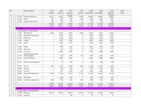|                          | <b>Acct Description</b>            | 2017   | 2018   | 2019    | 2019     | 2020       | 2020       | 2020    | 2020  |
|--------------------------|------------------------------------|--------|--------|---------|----------|------------|------------|---------|-------|
|                          |                                    | Expend | Expend | Adopted | Expend   | Req Budget | Pub Budget | Adopted | Notes |
|                          |                                    |        |        | Rudnet  |          |            |            | Rudnet  |       |
| 31100                    | Legal Fees/Services                | 16,517 | 8,619  | 20,000  | 13,006   | 30,000     | 30,000     | 20,000  |       |
| 31700                    | Travel                             | 358    | 667    | 600     | 1,685    | 1,000      | 1,000      | 2,000   |       |
| 35100                    | Dues & Subscriptions               | 240    | 185    | 300     | 35       | 300        | 300        | 300     |       |
|                          |                                    | 91,328 | 84,161 | 97,900  | 74,108   | 112,148    | 112,148    | 100,300 |       |
|                          |                                    | 91,328 | 84,161 | 97,900  | 74,108   | 112,148    | 112,148    | 100,300 |       |
| $-$ Loc : 0062           |                                    |        |        |         |          |            |            |         |       |
|                          | - Loc Description : Election Board |        |        |         |          |            |            |         |       |
| 11501                    | Members (3)                        | 9,225  | 9,225  | 9,225   | 6,919    | 9,225      | 9,225      | 9,225   |       |
| 11603                    | Absentee/Travel Board              |        | 8,738  | 9,200   | 0        | 9,200      | 9,200      | 9,200   |       |
| 11703                    | Inspectors                         |        | 1,800  | 1,800   | 0        | 1,800      | 1,800      | 1,800   |       |
| 11803                    | Judges                             |        | 5,760  | 6,000   | 0        | 6,000      | 6,000      | 6,000   |       |
| 11902                    | Clerks                             |        | 3,360  | 3,120   | 0        | 3,360      | 3,360      | 3,360   |       |
| 12300                    | Meals                              |        | 1,305  | 1,320   | 0        | 1,320      | 1,320      | 1,320   |       |
| 12400                    | Alternates                         |        | 225    | 375     | 0        | 375        | 375        | 375     |       |
| 12600                    | Counting<br>Center/Prep/Co.Empl    |        | 4,344  | 4,400   | 0        | 4,400      | 4,400      | 4,400   |       |
| 21100                    | Office Supplies                    |        | 109    | 1,500   | 459      | 1,500      | 1,500      | 1,500   |       |
| 31302                    | On-Site Operator                   |        | 5,900  | 5,900   | 0        | 6,000      | 6,000      | 6,000   |       |
| 31601                    | Travel-Poles & Absentee            |        | 15     | 100     | 0        | 100        | 100        | 100     |       |
| 31700                    | Travel                             | 261    | 1,659  | 2,200   | 1,886    | 2,200      | 2,200      | 2,200   |       |
| 31801                    | Delivery                           |        | 300    | 300     | 0        | 300        | 300        | 300     |       |
| 32200                    | Printing                           |        | 413    | 1,000   | 640      | 1,000      | 1,000      | 500     |       |
| 32800                    | Computer Maintenance               | 14,750 | 13,750 | 14,750  | 13,750   | 14,750     | 14,750     | 14,750  |       |
| 34102                    | Poll Rental                        |        | 880    | 880     | $\Omega$ | 880        | 880        | 880     |       |
| 35200                    | Conference Registration            | 600    | 700    | 800     | 900      | 800        | 800        | 900     |       |
|                          |                                    | 24,836 | 58,483 | 62,870  | 24,554   | 63,210     | 63,210     | 62,810  |       |
|                          |                                    | 24,836 | 58,483 | 62,870  | 24,554   | 63,210     | 63,210     | 62,810  |       |
| $\overline{C}$ Loc: 0063 |                                    |        |        |         |          |            |            |         |       |
|                          | Loc Description : Drainage Board   |        |        |         |          |            |            |         |       |
| 11200                    | Deputy/s                           | 28,111 | 28,674 | 29,557  | 22,703   | 31,035     | 31,035     | 31,949  |       |
| 11500                    | Overtime                           |        |        | 100     | 0        | 0          | 0          | 0       |       |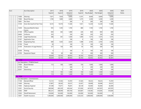|                           | <b>Acct Description</b>         | 2017           | 2018           | 2019      | 2019      | 2020       | 2020       | 2020        | 2020         |
|---------------------------|---------------------------------|----------------|----------------|-----------|-----------|------------|------------|-------------|--------------|
|                           |                                 | Expend         | Expend         | Adopted   | Expend    | Req Budget | Pub Budget | Adopted     | <b>Notes</b> |
|                           |                                 |                |                | Rudnet    |           |            |            | Rudget      |              |
| 11600                     | Attorney                        | 7,671          | 7,824          | 8,066     | 6,191     | 8,469      | 8,469      | 8,066       |              |
| 11804                     | <b>Board Member</b>             | 1,700          | 1,800          | 2,600     | 1,275     | 2,200      | 2,200      | 2,200       |              |
| 12801                     | Per Diem                        |                |                | 200       | 0         | 200        | 200        | 200         |              |
| 13100                     | Drain Brd Asst/Full-Part Time   | 9,216          | 10,576         | 11,646    | 7,651     | 12,228     | 12,228     | 11,646      |              |
| 13200                     | Mauwee/Wab.Riv Basin<br>Comm    | 935            | 1,595          | 1,700     | 880       | 1,700      | 1,700      | 1,700       |              |
| 21100                     | <b>Office Supplies</b>          | 830            | 342            | 1,480     | 226       | 830        | 830        | 830         |              |
| 24400                     | Uniforms                        | 303            |                | 350       | 260       | 350        | 350        | 350         |              |
| 31100                     | Legal Fees/Services             | 586            | 341            | 1,500     | 1,400     | 1,575      | 1,575      | 1,575       |              |
| 31207                     | <b>Application Fees</b>         |                |                | 100       | 0         | 100        | 100        | 100         |              |
| 31303                     | <b>Engineering Fees</b>         | 600            | 1,425          | 2,634     | 1,388     | 2,765      | 2,765      | 2,765       |              |
| 31700                     | Travel                          | 50             |                | 100       | 75        | 100        | 100        | 100         |              |
| 32100                     | Publication of Legal Notices    | 327            | 136            | 500       | 83        | 500        | 500        | 500         |              |
| 32200                     | Printing                        | $\overline{0}$ |                | 100       | 0         | 100        | 100        | 100         |              |
| 33700                     | Equipment Repair                | 100            | 40             | 300       | 31        | 300        | 300        | 300         |              |
|                           |                                 | 50,429         | 52,753         | 60,933    | 42,163    | 62,452     | 62,452     | 62,381      |              |
|                           |                                 | 50,429         | 52,753         | 60,933    | 42,163    | 62,452     | 62,452     | 62,381      |              |
| $-$ Loc : 0066            |                                 |                |                |           |           |            |            |             |              |
|                           | Loc Description: PTABOA Board   |                |                |           |           |            |            |             |              |
| 11804                     | <b>Board Member</b>             | 113            | 100            | 1,000     | 150       | 1,000      | 1,000      | 1,000       |              |
| 31700                     | Travel                          |                |                | 200       | 0         | 200        | 200        | 200         |              |
| 32201                     | Advertising                     |                | 5 <sup>1</sup> | 100       | 0         | 100        | 100        | 100         |              |
|                           |                                 | 113            | 105            | 1,300     | 150       | 1,300      | 1,300      | 1,300       |              |
|                           |                                 | 113            | 105            | 1,300     | 150       | 1,300      | 1,300      | 1,300       |              |
| $\blacksquare$ Loc : 0068 |                                 |                |                |           |           |            |            |             |              |
|                           | Loc Description : Commissioners |                |                |           |           |            |            |             |              |
| 11100                     | Elected Offical                 | 72,131         | 72,592         | 74,787    | 57,445    | 78,525     | 78,525     | 75,787      |              |
| 11600                     | Attorney                        | 27,807         | 28,363         | 29,237    | 22,457    | 30,698     | 30,698     | 29,237      |              |
| 11805                     | Highway Engineer                | 67,398         | 75,671         | 78,281    | 60,128    | 92,000     | 92,000     | 82,000      |              |
| 12301                     | Social Security                 | 369,584        | 403,230        | 426,544   | 331,826   | 447,870    | 447,870    | 447,870     |              |
| 12402                     | PERF                            | 485,231        | 508,099        | 493,700   | 424,687   | 518,385    | 518,385    | 518,385     |              |
| 12502                     | <b>Sheriff Retirement</b>       | 120,000        | 163,000        | 163,000   | 163,000   | 163,000    | 163,000    | $\mathbf 0$ |              |
| 12601                     | Health Insurance                | 1,300,000      | 2,000,000      | 2,000,000 | 1,333,333 | 2,000,000  | 2,000,000  | 1,500,000   |              |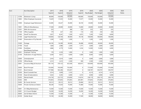| Acct |       | <b>Acct Description</b>             | 2017    | 2018    | 2019              | 2019     | 2020       | 2020       | 2020              | 2020         |
|------|-------|-------------------------------------|---------|---------|-------------------|----------|------------|------------|-------------------|--------------|
|      |       |                                     | Expend  | Expend  | Adopted           | Expend   | Req Budget | Pub Budget | Adopted           | <b>Notes</b> |
|      | 12700 | Workman's Comp                      | 80,000  | 150,000 | Rudnet<br>100,000 | 100,000  | 150,000    | 150,000    | Rudget<br>150,000 |              |
|      |       |                                     |         |         |                   |          |            |            |                   |              |
|      | 12803 | Other Employee Insurances           | 13,629  | 31,033  | 35,000            | 17,677   | 35,000     | 35,000     | 35,000            |              |
|      | 12900 | <b>Employee Suppl Retirement</b>    | 32,085  | 45,427  | 45,000            | 36,720   | 45,000     | 45,000     | 35,000            |              |
|      | 13001 | Office & Miscellaneous              | 17,500  | 20,000  | 20,000            | 15,000   | 20,000     | 20,000     | 20,000            |              |
|      | 13201 | <b>EMA Life Insurance</b>           | 525     |         | 580               | 525      | 525        | 525        | 525               |              |
|      | 21100 | Office Supplies                     | 179     | 227     | 250               | 110      | 250        | 250        | 250               |              |
|      | 31000 | <b>Sheriff Tax Warrants</b>         | 5,927   | 8,341   | 7,200             | 4,973    | 7,200      | 7,200      | 8,000             |              |
|      | 31100 | Legal Fees/Services                 | 139,083 | 126,764 | 80,000            | 70,138   | 100,000    | 100,000    | 100,000           |              |
|      | 31400 | Preservation of Cty Records         | 1,200   | 1,200   | 1,200             | $\Omega$ | 1,200      | 1,200      | 1,200             |              |
|      | 31600 | Postage                             | 46,185  | 54,389  | 60,000            | 36,488   | 60,000     | 60,000     | 60,000            |              |
|      | 31700 | Travel                              | 1,660   | 2,986   | 2,500             | 1,771    | 3,000      | 3,000      | 3,000             |              |
|      | 31904 | PostMeter                           | 3,886   | 4,779   | 13,000            | 3,334    | 12,000     | 12,000     | 6,000             |              |
|      |       | Rent/Repair/CpyPaper                |         |         |                   |          |            |            |                   |              |
|      | 32001 | Employee Training                   | 178     | 2,226   | 1,000             | 0        | 1,000      | 1,000      | 1,000             |              |
|      | 32100 | <b>Publication of Legal Notices</b> | 6,369   | 4,651   | 6,000             | 4,380    | 6,000      | 6,000      | 6,000             |              |
|      | 32600 | Unemployment                        | 2,416   | 5,014   | 5,000             | $\Omega$ | 5,000      | 5,000      | 5,000             |              |
|      | 32700 | Offical Bonds                       | 2,212   | 2,412   | 2,500             | 300      | 2,500      | 2,500      | 2,500             |              |
|      | 32801 | Insurance Bldg & Structure          | 361,154 | 370,122 | 423,500           | 420,917  | 420,000    | 420,000    | 455,000           |              |
|      | 33000 | <b>Bond Principal</b>               | 735,000 | 745,000 | 755,000           | 0        | 775,000    | 775,000    | 775,000           |              |
|      | 33101 | <b>Bond Interest</b>                | 577,986 | 563,286 | 555,837           | 0        | 538,787    | 538,787    | 538,787           |              |
|      | 33200 | <b>Bond Custodial Fees</b>          | 5,014   | 5,699   | 3,163             | $\Omega$ | 4,214      | 4,214      | 4,214             |              |
|      | 35100 | Dues & Subscriptions                | 5,632   | 4,292   | 6,000             | 3,572    | 6,000      | 6,000      | 6,000             |              |
|      | 35205 | Mental Health                       | 214,156 | 222,723 | 218,000           | 114,614  | 238,119    | 238,119    | 238,119           |              |
|      | 35302 | <b>EMS</b>                          | 375,855 | 375,855 | 375,855           | 281,891  | 375,855    | 375,855    | 375,855           |              |
|      | 35400 | <b>Bi-County Services</b>           | 39,312  | 39,312  | 39,312            | 29,484   | 39,312     | 39,312     | 39,312            |              |
|      | 35600 | Private Inst/Secure Detent.         | 90,240  | 73,630  | 75,000            | 75,480   | 75,000     | 75,000     | 75,000            |              |
|      | 35801 | 4-H Bldg Maintenance                | 13,500  | 13,500  | 13,500            | 13,500   | 13,500     | 13,500     | 13,500            |              |
|      | 35901 | 4-H Council Budget                  | 16,200  | 16,200  | 16,200            | 16,200   | 16,200     | 16,200     | 16,200            |              |
|      | 36000 | Soil & Water District               | 13,300  | 13,300  | 13,300            | 0        | 13,300     | 13,300     | 13,300            |              |
|      | 36100 | Solider Burial                      | 19,100  | 26,300  | 35,000            | 17,500   | 38,000     | 38,000     | 38,000            |              |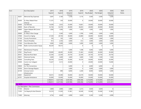| Acct |                           | <b>Acct Description</b>            | 2017      | 2018      | 2019      | 2019      | 2020       | 2020       | 2020           | 2020         |
|------|---------------------------|------------------------------------|-----------|-----------|-----------|-----------|------------|------------|----------------|--------------|
|      |                           |                                    | Expend    | Expend    | Adopted   | Expend    | Req Budget | Pub Budget | Adopted        | <b>Notes</b> |
|      |                           |                                    |           |           | Rudnet    |           |            |            | Rudget         |              |
|      | 36201                     | Memorial Day Expenses              | 3,047     | 3,160     | 3,100     | 3,116     | 3,500      | 3,500      | 3,500          |              |
|      | 36300                     | St, Mary Wabsh River<br>Cleanup    | 11,575    | 359       | 20,000    | 0         | 20,000     | 20,000     | 20,000         |              |
|      | 36400                     | <b>Tax Refunds</b>                 | 14,509    | 2,923     | 25,000    | 14,661    | 20,000     | 20,000     | 20,000         |              |
|      | 36600                     | Exam of Records                    | 33,744    | 52,576    | 40,000    | 36,833    | 40,000     | 40,000     | 40,000         |              |
|      | 36800                     | Upper Wabash RB Comm-<br>Office Ex | 1,000     | 1,000     | 1,000     | 1,000     | 1,000      | 1,000      | 1,000          |              |
|      | 36900                     | St. Mary's River Gauge             |           | 5,560     | 3,000     | 2,780     | 3,000      | 3,000      | 3,000          |              |
|      | 37000                     | Council on Aging                   | 27,250    | 29,750    | 30,000    | 22,800    | 30,000     | 30,000     | 30,000         |              |
|      | 37100                     | <b>County Promotions</b>           | 105       | 105       | 1,000     | $\Omega$  | 1,000      | 1,000      | 1,000          |              |
|      | 37200                     | Fees & Penalties                   | 913       | 2,356     | 4,000     | 612       | 3,000      | 3,000      | 3,000          |              |
|      | 37300                     | <b>Cost Allocation Plan</b>        | 5,000     | 5,000     | 9,000     | 5,000     | 5,000      | 5,000      | 5,000          |              |
|      | 37400                     | Radio Communication Equip          | 46,529    | 59,515    |           | $\Omega$  | $\Omega$   | $\Omega$   | $\Omega$       |              |
|      | 37501                     | Maintenance Property               |           |           | 5,000     | 1,598     | 5,000      | 5,000      | 5,000          |              |
|      | 37901                     | Dog Pound                          | 39,909    | 40,492    | 45,000    | 31,463    | 45,000     | 45,000     | 45,000         |              |
|      | 38101                     | Maumee River Basin                 | 22,544    | 22,544    | 24,750    | 22,544    | 24,750     | 24,750     | 24,750         |              |
|      | 38201                     | <b>Historical Society</b>          | 3,600     | 3,600     | 3,600     | 3,600     | 7,200      | 7,200      | 7,200          |              |
|      | 38300                     | <b>Consulting Fees</b>             | 26,250    | 22,450    | 55,000    | 19,150    | 50,000     | 50,000     | 25,000         |              |
|      | 39300                     | Comm Corr Indigent<br>Funding      | 15,427    | 5,513     | 20,000    | 0         | 20,000     | 20,000     | 10,000         |              |
|      | 39600                     | Inv Tile Connections               |           |           | 6,000     | 0         | 6,000      | 6,000      | $\mathbf 0$    |              |
|      | 39700                     | Storm Damage Repairs               |           |           | 5,000     | 0         | 5,000      | 5,000      | 5,000          |              |
|      | 42100                     | Unicorp Comm<br>Infrastructure     |           | 890       | 8,000     | 2,200     | 8,000      | 8,000      | 5,000          |              |
|      | 42601                     | Equipment                          | 30,015    | 35,090    | 50,000    | 24,579    | 50,000     | 50,000     | 50,000         |              |
|      | 42701                     | <b>Hospital Ambulance</b>          | 55,000    | 55,000    | 55,000    | 55,000    | 55,000     | 55,000     | 55,000         |              |
|      |                           |                                    | 5,598,051 | 6,527,506 | 6,587,896 | 3,904,386 | 6,734,890  | 6,734,890  | 6,033,491      |              |
|      |                           |                                    | 5,598,051 | 6,527,506 | 6,587,896 | 3,904,386 | 6,734,890  | 6,734,890  | 6,033,491      |              |
|      | $\blacksquare$ Loc : 0079 |                                    |           |           |           |           |            |            |                |              |
|      |                           | Loc Description : Plan Commission  |           |           |           |           |            |            |                |              |
|      | 11103                     | Director                           | 2,800     | 2,800     | 2,884     | 2,215     | 3,029      | 3,029      | $\overline{0}$ |              |
|      | 11203                     | 1st Deputy & Asst Director         | 33,274    | 31,030    | 31,961    | 24,549    | 33,560     | 33,560     | 31,961         |              |
|      | 11600                     | Attorney                           | 4,754     | 4,849     | 4,999     | 3,839     | 5,249      | 5,249      | 4,999          |              |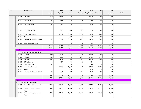|                           |       | Acct Description                      | 2017   | 2018   | 2019    | 2019   | 2020       | 2020       | 2020    | 2020  |
|---------------------------|-------|---------------------------------------|--------|--------|---------|--------|------------|------------|---------|-------|
|                           |       |                                       | Expend | Expend | Adopted | Expend | Req Budget | Pub Budget | Adopted | Notes |
|                           |       |                                       |        |        | Rudnet  |        |            |            | Rudnet  |       |
|                           | 12801 | Per Diem                              | 3,000  | 3,550  | 4,800   | 4,050  | 5,000      | 5,000      | 5,000   |       |
|                           | 21100 | Office Supplies                       | 146    | 379    | 550     | 424    | 1,250      | 1,250      | 1,250   |       |
|                           | 21202 | <b>Official Records</b>               | 318    | 236    | 350     | 282    | 400        | 400        | 400     |       |
|                           | 22000 | Gas, Oil and Lube                     |        | 177    | 440     | 460    | 550        | 550        | 550     |       |
|                           | 31100 | Legal Fees/Services                   |        | 22,134 | 20,000  | 12,037 | 20,000     | 20,000     | 20,000  |       |
|                           | 31700 | Travel                                |        |        | 250     | 0      | 250        | 250        | 250     |       |
|                           | 32100 | <b>Publication of Legal Notices</b>   | 696    | 1,155  | 2,000   | 1,239  | 2,000      | 2,000      | 2,000   |       |
|                           | 35100 | Dues & Subscriptions                  | 75     |        | 150     | 0      | 150        | 150        | 150     |       |
|                           |       |                                       | 45,063 | 66,310 | 68,384  | 49,095 | 71,438     | 71,438     | 66,560  |       |
|                           |       |                                       | 45,063 | 66,310 | 68,384  | 49,095 | 71,438     | 71,438     | 66,560  |       |
| $\blacksquare$ Loc : 0101 |       |                                       |        |        |         |        |            |            |         |       |
|                           |       | - Loc Description : Planning & Zoning |        |        |         |        |            |            |         |       |
|                           | 11103 | Director                              | 2,800  | 2,800  | 2,884   | 2,215  | 3,029      | 3,029      | 0       |       |
|                           | 11600 | Attorney                              | 1,920  | 1,958  | 2,019   | 1,551  | 2,120      | 2,120      | 2,019   |       |
|                           | 12801 | Per Diem                              | 2,250  | 1,900  | 3,000   | 2,100  | 3,000      | 3,000      | 3,000   |       |
|                           | 21100 | Office Supplies                       | 11     | 137    | 190     | 96     | 190        | 190        | 190     |       |
|                           | 21202 | Official Records                      | 110    |        | 110     | 0      | 110        | 110        | 110     |       |
|                           | 31100 | Legal Fees/Services                   |        | 2,605  | 20,000  | 0      | 20,000     | 20,000     | 5,000   |       |
|                           | 31700 | Travel                                |        |        | 200     | 0      | 200        | 200        | 200     |       |
|                           | 32100 | Publication of Legal Notices          | 312    | 399    | 800     | 499    | 800        | 800        | 800     |       |
|                           |       |                                       | 7,403  | 9,799  | 29,203  | 6,461  | 29,449     | 29,449     | 11,319  |       |
|                           |       |                                       | 7,403  | 9,799  | 29,203  | 6,461  | 29,449     | 29,449     | 11,319  |       |
| $-$ Loc : 0201            |       |                                       |        |        |         |        |            |            |         |       |
|                           |       | Loc Description : Superior Court      |        |        |         |        |            |            |         |       |
|                           | 11204 | Court Admin/Court Reporter            | 37,879 | 38,637 | 39,826  | 30,591 | 41,817     | 41,817     | 39,826  |       |
|                           | 11304 | Court Reporter/Research<br>Asst       | 30,479 | 28,576 | 31,930  | 24,526 | 33,527     | 33,527     | 31,949  |       |
|                           | 11408 | Court Reporter/Computer<br>Admin      | 29,363 | 26,083 | 26,780  | 20,570 | 28,199     | 28,199     | 31,949  |       |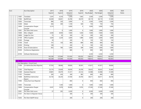| Acct |               | Acct Description                  | 2017    | 2018    | 2019    | 2019           | 2020       | 2020       | 2020    | 2020  |
|------|---------------|-----------------------------------|---------|---------|---------|----------------|------------|------------|---------|-------|
|      |               |                                   | Expend  | Expend  | Adopted | Expend         | Req Budget | Pub Budget | Adopted | Notes |
|      |               |                                   |         |         | Rudget  |                |            |            | Rudnet  |       |
|      | 11807         | Translator                        | 2,347   | 4,234   | 2,500   | 1,842          | 2,500      | 2,500      | 2,500   |       |
|      | 11904         | Bailiff/Clerk                     | 26,500  | 26,841  | 26,780  | 20,570         | 28,119     | 28,119     | 31,949  |       |
|      | 12003         | Transcripts                       | 896     | 230     | 3,000   | $\overline{0}$ | 2,500      | 2,500      | 2,500   |       |
|      | 12300         | Meals                             | 466     | 300     | 1,100   | 569            | 750        | 750        | 750     |       |
|      | 12804         | Compensation-Pauper<br>Counsel    | 3,219   |         | 6,000   | 0              | 5,000      | 5,000      | 5,000   |       |
|      | 12901         | Per Diem-Petit Jurors             |         | 0       | 1,000   | 0              | 1,000      | 1,000      | 1,000   |       |
|      | 13400         | Misc. Indigent                    | 6,500   | 8,950   | 7,000   | 1,650          | 7,000      | 7,000      | 7,000   |       |
|      | 14000         | Judge Pro Tem                     | 75      | 50      | 300     | 50             | 300        | 300        | 300     |       |
|      | 21100         | Office Supplies                   | 3,630   | 2,229   | 2,600   | 1,986          | 3,000      | 3,000      | 3,000   |       |
|      | 31600         | Postage                           | 39      |         | 200     | $\Omega$       | 150        | 150        | 150     |       |
|      | 31700         | Travel                            | 101     | 130     | 800     | 890            | 800        | 800        | 800     |       |
|      | 32200         | Printing                          | 189     |         | 200     | 0              | 100        | 100        | 100     |       |
|      | 35100         | Dues & Subscriptions              | 855     | 784     | 1,000   | 308            | 1,000      | 1,000      | 1,000   |       |
|      | 35200         | Conference Registration           |         |         | 800     | 0              | 800        | 800        | 800     |       |
|      | 35700         | Software Maintenance              |         |         |         |                | 2,350      | 2,350      | 2,350   |       |
|      |               |                                   | 142,538 | 137,044 | 151,816 | 103,552        | 158,912    | 158,912    | 162,923 |       |
|      |               |                                   | 142,538 | 137,044 | 151,816 | 103,552        | 158,912    | 158,912    | 162,923 |       |
|      | $-$ Loc: 0232 |                                   |         |         |         |                |            |            |         |       |
|      |               | Loc Description : Circuit Court   |         |         |         |                |            |            |         |       |
|      | 11206         | Crt Admin/Sec/Asst Reporter       | 37,763  | 38,666  | 39,826  | 30,591         | 41,817     | 41,817     | 39,826  |       |
|      | 11305         | Chief Reporter                    | 33,174  | 33,838  | 34,878  | 26,790         | 36,622     | 36,622     | 35,485  |       |
|      | 11409         | Assistant Reporter                | 29,881  | 30,479  | 31,417  | 24,132         | 32,988     | 32,988     | 31,949  |       |
|      | 11707         | Translator                        | 283     | 434     | 300     | 982            | 800        | 800        | 800     |       |
|      | 11808         | Bailiff/Asst Admin/Asst<br>Report | 25,736  | 26,250  | 27,058  | 20,784         | 28,411     | 28,411     | 28,746  |       |
|      | 11905         | Temp Asst Court Reporter          |         |         | 850     | 0              | 850        | 850        | 850     |       |
|      | 12003         | Transcripts                       |         | 1,540   | 1,000   | 0              | 1,000      | 1,000      | 1,000   |       |
|      | 12804         | Compensation-Pauper<br>Counsel    | 6,547   | 5,978   | 30,000  | 9,705          | 27,500     | 27,500     | 27,500  |       |
|      | 12901         | Per Diem-Petit Jurors             | 57      | 292     | 6,500   | $\overline{0}$ | 6,500      | 6,500      | 6,500   |       |
|      | 13101         | Per Diem-Ct Reporter Venue        |         |         | 300     | $\overline{0}$ | 300        | 300        | 300     |       |
|      | 13202         | Per Diem-Bailiff Venue            |         |         | 200     | 0              | 200        | 200        | 200     |       |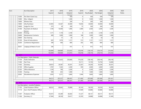| Acct |                                     | Acct Description                     | 2017    | 2018    | 2019    | 2019           | 2020       | 2020       | 2020    | 2020  |
|------|-------------------------------------|--------------------------------------|---------|---------|---------|----------------|------------|------------|---------|-------|
|      |                                     |                                      | Expend  | Expend  | Adopted | Expend         | Req Budget | Pub Budget | Adopted | Notes |
|      |                                     |                                      |         |         | Rudget  |                |            |            | Rudnet  |       |
|      | 13300                               | Per Diem-Grand Jury                  |         |         | 500     | $\overline{0}$ | 500        | 500        | 500     |       |
|      | 13400                               | Misc. Indigent                       |         |         | 1,500   | 0              | 1,500      | 1,500      | 1,500   |       |
|      | 13600                               | <b>Witness Fees</b>                  |         |         | 200     | 0              | 200        | 200        | 200     |       |
|      | 13800                               | GAL/Facilitator                      | 25,993  | 33,367  | 30,000  | 19,056         | 30,000     | 30,000     | 30,000  |       |
|      | 14000                               | Judge Pro Tem                        | 375     | 50      | 500     | 75             | 500        | 500        | 500     |       |
|      | 31206                               | Psychiatric & Medical                | 1,100   | 10,400  | 1,000   | 2,900          | 2,500      | 2,500      | 2,500   |       |
|      |                                     | Service                              |         |         |         |                |            |            |         |       |
|      | 32200                               | Printing                             | 1,171   | 1,178   | 2,100   | $\overline{0}$ | 2,100      | 2,100      | 2,100   |       |
|      | 33600                               | Maintenance Contracts                | 490     | 1,000   | 1,000   | 188            | 1,000      | 1,000      | 1,000   |       |
|      | 34000                               | Dry Cleaning                         |         | 17      | 50      | 0              | 50         | 50         | 50      |       |
|      | 35100                               | Dues & Subscriptions                 | 645     | 1,074   | 1,121   | 513            | 1,121      | 1,121      | 1,121   |       |
|      | 35200                               | Conference Registration              | 398     | 406     | 800     | 202            | 800        | 800        | 800     |       |
|      | 39201                               | Lodging & Meals of Juror             | 296     |         | 915     | 0              | 915        | 915        | 915     |       |
|      |                                     |                                      | 163,909 | 184,969 | 212,015 | 135,918        | 218,174    | 218,174    | 214,342 |       |
|      |                                     |                                      | 163,909 | 184,969 | 212,015 | 135,918        | 218,174    | 218,174    | 214,342 |       |
|      | $\blacksquare$ Loc: 0271            |                                      |         |         |         |                |            |            |         |       |
|      |                                     | - Loc Description : Public Defender  |         |         |         |                |            |            |         |       |
|      | 11104                               | Public Defenders                     | 59,000  | 172,625 | 226,800 | 174,230        | 238,140    | 238,140    | 238,140 |       |
|      | 11300                               | Part Time                            |         |         |         | 10,111         | 15,750     | 15,750     | 14,000  |       |
|      | 11403                               | Secretary                            | 28,810  | 29,387  | 30,291  | 23,267         | 34,200     | 34,200     | 30,291  |       |
|      | 21100                               | Office Supplies                      | 1,787   | 1,563   | 2,300   | 939            | 2,000      | 2,000      | 2,000   |       |
|      | 21203                               | Office Allowance                     | 1,100   | 796     | 2,200   | 0              | 2,200      | 2,200      | 2,200   |       |
|      | 31200                               | Training                             | 590     | 635     | 1,000   | $\Omega$       | 1,000      | 1,000      | 1,000   |       |
|      | 32005                               | Miscellaneous Expenses               | 2,926   | 2,571   | 3,800   | 2,946          | 3,800      | 3,800      | 3,800   |       |
|      |                                     |                                      | 94,213  | 207,577 | 266,391 | 211,493        | 297,090    | 297,090    | 291,431 |       |
|      |                                     |                                      | 94,213  | 207,577 | 266,391 | 211,493        | 297,090    | 297,090    | 291,431 |       |
|      | $\overline{\phantom{0}}$ Loc : 0273 |                                      |         |         |         |                |            |            |         |       |
|      |                                     | Loc Description : Juvenile Probation |         |         |         |                |            |            |         |       |
|      | 11105                               | <b>Chief Probation Officer</b>       | 68,552  | 69,642  | 70,989  | 45,145         | 56,250     | 56,250     | 56,250  |       |
|      | 11114                               | Asst. Chief Probation Officer        |         |         |         | 37,849         | 64,886     | 64,886     | 64,886  |       |
|      | 11207                               | Probation Officer                    | 65,072  | 65,289  | 66,664  | 51,227         | 68,131     | 68,131     | 68,131  |       |
|      | 11306                               | Secretary (1)                        | 27,940  | 28,538  | 29,417  | 22,595         | 30,888     | 30,888     | 31,949  |       |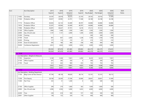| Acct |                                     | Acct Description                      | 2017    | 2018    | 2019    | 2019    | 2020       | 2020       | 2020           | 2020  |
|------|-------------------------------------|---------------------------------------|---------|---------|---------|---------|------------|------------|----------------|-------|
|      |                                     |                                       | Expend  | Expend  | Adopted | Expend  | Req Budget | Pub Budget | Adopted        | Notes |
|      |                                     |                                       |         |         | Rudnet  |         |            |            | <b>Rudget</b>  |       |
|      | 11403                               | Secretary                             | 24,187  | 26,918  | 28,325  | 22,193  | 29,742     | 29,742     | 31,949         |       |
|      | 11504                               | Probation Officer                     | 39,457  | 20,992  | 22,701  | 17,368  | 26,188     | 26,188     | 26,188         |       |
|      | 11710                               | Probation Officer                     | 60,836  | 62,134  | 63,489  | 48,787  | 64,886     | 64,886     | 64,886         |       |
|      | 11814                               | Probation Officer                     | 55,307  | 60,964  | 63,489  | 48,787  | 64,886     | 64,886     | 64,886         |       |
|      | 11906                               | Probation Officer                     | 44,091  | 46,627  | 47,701  | 8,218   | 47,212     | 47,212     | $\overline{0}$ |       |
|      | 21100                               | Office Supplies                       | 1,966   | 1,468   | 1,500   | 1,483   | 1,500      | 1,500      | 1,500          |       |
|      | 22000                               | Gas, Oil and Lube                     | 1,147   | 1,131   | 2,000   | 1,200   | 2,000      | 2,000      | 2,000          |       |
|      | 31200                               | Training                              |         |         |         |         | 500        | 500        | 500            |       |
|      | 31700                               | Travel                                | 991     | 857     | 2,000   | 1,238   | 1,700      | 1,700      | 1,700          |       |
|      | 32200                               | Printing                              | 177     | 114     | 210     | 81      | 210        | 210        | 210            |       |
|      | 35100                               | Dues & Subscriptions                  | 395     | 180     | 400     | 258     | 400        | 400        | 400            |       |
|      | 35200                               | Conference Registration               | 2,812   | 2,824   | 3,000   | 2,654   | 3,000      | 3,000      | 3,000          |       |
|      |                                     |                                       | 392,930 | 387,678 | 401,885 | 309,083 | 462,379    | 462,379    | 418,435        |       |
|      |                                     |                                       | 392,930 | 387,678 | 401,885 | 309,083 | 462,379    | 462,379    | 418,435        |       |
|      | $\overline{\phantom{1}}$ Loc : 0308 |                                       |         |         |         |         |            |            |                |       |
|      | $\overline{\phantom{a}}$            | Loc Description : Weights & Measures  |         |         |         |         |            |            |                |       |
|      | 11703                               | Inspectors                            | 5,140   | 5,504   | 7,831   | 4,392   | 8,223      | 8,223      | 7,831          |       |
|      | 21100                               | Office Supplies                       | 261     | 285     | 350     | 0       | 300        | 300        | 300            |       |
|      | 31700                               | Travel                                | 521     | 642     | 900     | 433     | 765        | 765        | 765            |       |
|      |                                     |                                       | 5,922   | 6,431   | 9,081   | 4,825   | 9,288      | 9,288      | 8,896          |       |
|      |                                     |                                       | 5,922   | 6,431   | 9,081   | 4,825   | 9,288      | 9,288      | 8,896          |       |
|      | $\overline{C}$ Loc: 0312            |                                       |         |         |         |         |            |            |                |       |
|      |                                     | Loc Description : Building Department |         |         |         |         |            |            |                |       |
|      | 11106                               | Bldg Comm & Plan Director             | 47,194  | 48,138  | 49,620  | 38,114  | 52,101     | 52,101     | 58,112         |       |
|      | 11208                               | First Deputy                          | 28,168  | 26,500  | 27,296  | 20,966  | 28,661     | 28,661     | 31,949         |       |
|      | 11300                               | Part Time                             | 333     | 51      | 1,200   | 0       | 500        | 500        | 500            |       |
|      | 21100                               | Office Supplies                       | 299     | 279     | 1,000   | 363     | 1,000      | 1,000      | 500            |       |
|      | 22000                               | Gas, Oil and Lube                     | 2,096   | 2,936   | 3,000   | 3,653   | 4,000      | 4,000      | 4,000          |       |
|      | 22200                               | <b>Tires</b>                          | 238     | 618     | 500     | 727     | 500        | 500        | 500            |       |
|      | 22601                               | Other Supplies                        | 138     | 125     | 320     | 110     | 400        | 400        | 400            |       |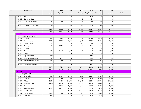|                           | Acct Description                | 2017    | 2018    | 2019    | 2019            | 2020       | 2020       | 2020     | 2020  |
|---------------------------|---------------------------------|---------|---------|---------|-----------------|------------|------------|----------|-------|
|                           |                                 | Expend  | Expend  | Adopted | Expend          | Req Budget | Pub Budget | Adopted  | Notes |
|                           |                                 |         |         | Rudnet  |                 |            |            | Rudget   |       |
| 31700                     | Travel                          | 488     |         | 500     | 0               | 500        | 500        | 500      |       |
| 33700                     | Equipment Repair                |         |         | 100     | 0               | 100        | 100        | 100      |       |
| 35100                     | Dues & Subscriptions            | 221     | 189     | 450     | 185             | 250        | 250        | 250      |       |
| 35200                     | Conference Registration         | 495     |         | 500     | 247             | 500        | 500        | 500      |       |
|                           |                                 | 79,670  | 78,836  | 84,486  | 64,365          | 88,512     | 88,512     | 97,311   |       |
|                           |                                 | 79,670  | 78,836  | 84,486  | 64,365          | 88,512     | 88,512     | 97,311   |       |
| $\blacksquare$ Loc : 0361 |                                 |         |         |         |                 |            |            |          |       |
|                           | Loc Description : Civil Defense |         |         |         |                 |            |            |          |       |
| 11103                     | Director                        | 40,769  | 41,584  | 44,504  | 32,925          | 46,730     | 46,730     | 42,864   |       |
| 11401                     | Admin Assistant                 | 24,242  | 27,379  | 30,666  | 20,240          | 32,200     | 32,200     | 28,460   |       |
| 21100                     | <b>Office Supplies</b>          | 813     | 767     | 770     | 301             | 770        | 770        | 770      |       |
| 31200                     | Training                        | 217     | 1,116   | 526     | 253             | 526        | 526        | 526      |       |
| 31600                     | Postage                         |         |         | 161     | 0               | $\Omega$   | $\Omega$   | $\Omega$ |       |
| 31700                     | Travel                          | 1,196   | 1,457   | 2,700   | 965             | 2,700      | 2,700      | 2,700    |       |
| 31900                     | Freight                         | 11      |         | 106     | $\Omega$        | $\Omega$   | $\Omega$   | $\Omega$ |       |
| 33700                     | Equipment Repair                | 4,102   | 491     | 3,513   | 433             | 3,513      | 3,513      | 3,513    |       |
| 35100                     | Dues & Subscriptions            | 199     | 207     | 700     | 404             | 595        | 595        | 595      |       |
| 35303                     | <b>Emergency Contingency</b>    | 3,245   | 1,779   | 1,072   | 50 <sup>°</sup> | 1,072      | 1,072      | 1,072    |       |
| 35402                     | <b>Hazardous Chemical</b>       |         |         | 536     | $\overline{0}$  | 536        | 536        | 536      |       |
|                           |                                 | 74,794  | 74,780  | 85,254  | 55,571          | 88,642     | 88,642     | 81,036   |       |
|                           |                                 | 74,794  | 74,780  | 85,254  | 55,571          | 88,642     | 88,642     | 81,036   |       |
| $\overline{C}$ Loc : 0380 |                                 |         |         |         |                 |            |            |          |       |
|                           | Loc Description : Jail          |         |         |         |                 |            |            |          |       |
| 11107                     | Chief Jailer                    | 40,000  | 40,769  | 44,980  | 34,039          | 47,229     | 47,229     | 44,980   |       |
| 11500                     | Overtime                        | 37,081  | 17,219  | 12,000  | 17,896          | 12,600     | 12,600     | 12,000   |       |
| 11604                     | Jailers                         | 482,556 | 511,134 | 615,750 | 449,682         | 646,538    | 646,538    | 617,269  |       |
| 12201                     | <b>Assistant Cooks</b>          | 29,607  | 29,960  | 38,000  | 31,434          | 39,900     | 39,900     | 36,197   |       |
| 12302                     | Cook                            |         | 20,585  | 30,797  | 16,904          | 32,337     | 32,337     | 30,797   |       |
| 12902                     | Assistant Jailers               | 71,528  | 52,097  | 35,000  | 7,016           | 36,750     | 36,750     | 35,000   |       |
| 13002                     | <b>Facility Maint</b>           |         |         | 32,500  | 23,750          | 41,600     | 41,600     | 32,500   |       |
| 22601                     | Other Supplies                  | 26,931  | 33,540  | 39,000  | 22,980          | 39,000     | 39,000     | 39,000   |       |
| 24400                     | Uniforms                        | 2,465   | 2,455   | 2,500   | 2,374           | 2,500      | 2,500      | 2,500    |       |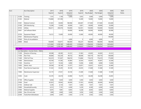| Acct |                           | <b>Acct Description</b>                 | 2017      | 2018      | 2019            | 2019      | 2020       | 2020       | 2020            | 2020  |
|------|---------------------------|-----------------------------------------|-----------|-----------|-----------------|-----------|------------|------------|-----------------|-------|
|      |                           |                                         | Expend    | Expend    | Adopted         | Expend    | Req Budget | Pub Budget | Adopted         | Notes |
|      |                           |                                         |           |           | Rudnet<br>5,000 |           | 5,000      |            | Rudnet<br>5,000 |       |
|      | 31200                     | Training                                | 1,161     | 1,194     |                 | 3,052     |            | 5,000      |                 |       |
|      | 31202                     | Medical                                 | 176,868   | 231,596   |                 | 14,389    | 10,000     | 10,000     | 10,000          |       |
|      | 31401                     | Medical Contract                        | 41,833    | 50,000    | 180,968         | 344,067   | 317,600    | 317,600    | 332,600         |       |
|      | 31500                     | GPS Monitoring                          | 15,290    | 12,404    | 30,000          | 5,821     | 30,000     | 30,000     | 25,000          |       |
|      | 33102                     | <b>Utlities</b>                         | 166,411   | 204,576   | 150,000         | 142,931   | 150,000    | 150,000    | 150,000         |       |
|      | 33401                     | Jail Software Maint                     |           |           | 69,000          | 84,990    | 69,000     | 69,000     | 83,990          |       |
|      | 33700                     | Equipment Repair                        | 16,312    | 15,600    | 20,000          | 12,060    | 40,000     | 40,000     | 40,000          |       |
|      | 37501                     | Maintenance Property                    |           |           |                 |           |            |            | 140,000         |       |
|      | 37600                     | Policy & Accedidation                   |           |           | 4,000           | 0         | 4,000      | 4,000      | $\Omega$        |       |
|      | 39900                     | Meals                                   | 104,899   | 154,971   | 180,000         | 105,237   | 180,000    | 180,000    | 180,000         |       |
|      |                           |                                         | 1,212,942 | 1,378,100 | 1,489,495       | 1,318,622 | 1,704,054  | 1,704,054  | 1,816,833       |       |
|      |                           |                                         | 1,212,942 | 1,378,100 | 1,489,495       | 1,318,622 | 1,704,054  | 1,704,054  | 1,816,833       |       |
|      | $\blacksquare$ Loc : 0622 |                                         |           |           |                 |           |            |            |                 |       |
|      |                           | Loc Description : County Home - Elderly |           |           |                 |           |            |            |                 |       |
|      | 11209                     | Director of Nursing                     | 49,588    | 40,385    | 41,612          | 31,963    | 43,693     | 43,693     | 41,612          |       |
|      | 11300                     | Part Time                               | 90,084    | 102,239   | 99,732          | 89,696    | 104,719    | 104,719    | 109,000         |       |
|      | 11400                     | <b>CNA Full Time</b>                    | 143,410   | 151,607   | 168,018         | 114,866   | 176,419    | 176,419    | 175,000         |       |
|      | 11406                     | Administrator                           | 40,769    | 41,585    | 42,864          | 32,924    | 45,007     | 45,007     | 52,300          |       |
|      | 11500                     | Overtime                                | 16,217    | 19,346    | 8,080           | 13,006    | 8,080      | 8,080      | 13,000          |       |
|      | 11605                     | Admin. Asst.                            | 29,558    | 30,149    | 31,077          | 23,871    | 32,631     | 32,631     | 35,485          |       |
|      | 11802                     | Food Service Supervisor                 | 31,543    | 35,205    | 30,160          | 23,035    | 31,668     | 31,668     | 31,949          |       |
|      | 11806                     | Maintenance Supervisor                  | 25,174    | 27,031    | 30,160          | 21,600    | 31,668     | 31,668     | 31,949          |       |
|      | 12302                     | Cook                                    | 25,376    | 24,418    | 24,960          | 15,375    | 26,208     | 26,208     | 25,855          |       |
|      | 21100                     | Office Supplies                         | 3,636     | 3,620     | 3,650           | 3,304     | 3,650      | 3,650      | 3,650           |       |
|      | 21600                     | Food                                    | 62,923    | 59,942    | 60,000          | 51,923    | 60,000     | 60,000     | 60,000          |       |
|      | 21702                     | Softener Salt                           | 5,236     | 6,154     | 7,037           | 5,464     | 7,037      | 7,037      | 7,037           |       |
|      | 21800                     | Household/Laundry                       | 6,512     | 7,191     | 6,300           | 5,239     | 6,300      | 6,300      | 6,300           |       |
|      | 21900                     | Medical Supplies                        | 8,391     | 7,881     | 8,403           | 5,228     | 8,403      | 8,403      | 8,403           |       |
|      | 22000                     | Gas, Oil and Lube                       | 1,989     | 2,869     | 3,040           | 3,036     | 3,040      | 3,040      | 3,040           |       |
|      | 22300                     | Tools.Paint &Hardware                   | 2,044     | 2,497     | 2,502           | 2,119     | 2,502      | 2,502      | 2,502           |       |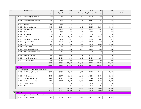| Acct |                           | <b>Acct Description</b>                       | 2017    | 2018    | 2019    | 2019           | 2020       | 2020       | 2020    | 2020  |
|------|---------------------------|-----------------------------------------------|---------|---------|---------|----------------|------------|------------|---------|-------|
|      |                           |                                               | Expend  | Expend  | Adopted | Expend         | Reg Budget | Pub Budget | Adopted | Notes |
|      |                           |                                               |         |         | Rudnet  |                |            |            | Rudnet  |       |
|      | 22400                     | Housekeeping Supplies                         | 5,998   | 7,168   | 6,300   | 2,607          | 6,300      | 6,300      | 6,300   |       |
|      | 23301                     | Vehicle Maint & Supplies                      | 1,765   | 2,544   | 3,813   | 3,225          | 3,813      | 3,813      | 3,813   |       |
|      | 31200                     | Training                                      | 2,735   | 2,852   | 3,153   | 917            | 3,153      | 3,153      | 3,153   |       |
|      | 31300                     | Temporary Services                            | 11,015  | 8,891   | 12,086  | 8,765          | 12,086     | 12,086     | 10,000  |       |
|      | 31305                     | <b>Medical Director</b>                       | 5,043   | 5,043   | 5,043   | 3,782          | 5,043      | 5,043      | 5,043   |       |
|      | 31600                     | Postage                                       | 607     | 386     | 626     | 387            | 626        | 626        | 626     |       |
|      | 32201                     | Advertising                                   | 663     | 651     | 700     | 538            | 700        | 700        | 700     |       |
|      | 33102                     | <b>Utlities</b>                               | 25,448  | 31,793  | 37,141  | 25,107         | 37,141     | 37,141     | 37,141  |       |
|      | 33600                     | <b>Maintenance Contracts</b>                  | 7,606   | 10,833  | 8,923   | 10,351         | 8,923      | 8,923      | 8,923   |       |
|      | 33700                     | <b>Equipment Repair</b>                       | 6,122   | 5,294   | 6,139   | 3,564          | 6,139      | 6,139      | 6,139   |       |
|      | 33901                     | <b>Bldg Structure</b>                         | 9,928   | 7,596   | 10,000  | 6,544          | 10,000     | 10,000     | 10,000  |       |
|      | 34001                     | Farm & Yard                                   | 851     | 373     | 882     | 186            | 882        | 882        | 882     |       |
|      | 35100                     | Dues & Subscriptions                          | 2,421   | 2,123   | 2,622   | 2,251          | 2,622      | 2,622      | 2,622   |       |
|      | 35201                     | <b>Special Assessment Taxes</b>               | 13      | 13      | 100     | 12             | 100        | 100        | 100     |       |
|      | 35403                     | Social & Activities                           | 4,176   | 4,056   | 4,106   | 3,048          | 4,106      | 4,106      | 4,106   |       |
|      | 35701                     | Mound Maintenance                             | 2,385   | 2,400   | 2,400   | 1,600          | 2,400      | 2,400      | 2,400   |       |
|      | 38300                     | <b>Consulting Fees</b>                        | 2,867   | 5,228   | 3,020   | 3,220          | 3,020      | 3,020      | 3,020   |       |
|      |                           |                                               | 632,093 | 659,363 | 674,649 | 518,753        | 698,079    | 698,079    | 712,050 |       |
|      |                           |                                               | 632,093 | 659,363 | 674,649 | 518,753        | 698,079    | 698,079    | 712,050 |       |
|      | $\blacksquare$ Loc : 0660 |                                               |         |         |         |                |            |            |         |       |
|      |                           | Loc Description : 4-D Program (Child Support) |         |         |         |                |            |            |         |       |
|      | 11210                     | IV-D Deputy Prosecutor                        | 38,235  | 39,000  | 40,200  | 30,878         | 42,194     | 42,194     | 40,200  |       |
|      | 11301                     | <b>IV-D Caseworker</b>                        | 29,555  | 29,577  | 29,908  | 22,666         | 31,510     | 31,510     | 29,908  |       |
|      | 11410                     | IV-D Caseworker (1)                           | 29,555  | 29,577  | 29,908  | 22,993         | 31,510     | 31,510     | 29,908  |       |
|      | 11809                     | IV-D Caseworker (2)                           | 29,555  | 29,577  | 29,908  | 22,993         | 31,510     | 31,510     | 29,908  |       |
|      | 21100                     | Office Supplies                               | 268     |         | 1,260   | $\Omega$       | 1,260      | 1,260      | 1,260   |       |
|      | 31700                     | Travel                                        | 60      |         | 904     | $\overline{0}$ | 904        | 904        | 904     |       |
|      |                           |                                               | 127,228 | 127,731 | 132,088 | 99,530         | 138,888    | 138,888    | 132,088 |       |
|      |                           |                                               | 127,228 | 127,731 | 132,088 | 99,530         | 138,888    | 138,888    | 132,088 |       |
|      | $\blacksquare$ Loc : 0750 |                                               |         |         |         |                |            |            |         |       |
|      |                           | Loc Description : Soil & Water Conservation   |         |         |         |                |            |            |         |       |
|      | 11108                     | Conservationist                               | 34,654  | 36,190  | 36,435  | 27,986         | 38,257     | 38,257     | 42,363  |       |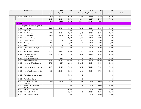|                | <b>Acct Description</b>                 | 2017    | 2018    | 2019    | 2019    | 2020       | 2020           | 2020     | 2020         |
|----------------|-----------------------------------------|---------|---------|---------|---------|------------|----------------|----------|--------------|
|                |                                         | Expend  | Expend  | Adopted | Expend  | Req Budget | Pub Budget     | Adopted  | <b>Notes</b> |
|                |                                         |         |         | Rudnet  |         |            |                | Rudnet   |              |
| 11605          | Admin. Asst.                            | 29,009  | 26,423  | 27,295  | 20,965  | 28,660     | 28,660         | 28,746   |              |
|                |                                         | 63,663  | 62,613  | 63,730  | 48,951  | 66,917     | 66,917         | 71,109   |              |
|                |                                         | 63,663  | 62,613  | 63,730  | 48,951  | 66,917     | 66,917         | 71,109   |              |
| $-$ Loc : 9600 |                                         |         |         |         |         |            |                |          |              |
|                | - Loc Description : Information Systems |         |         |         |         |            |                |          |              |
| 11102          | IS Manager                              | 92,000  | 93,769  | 96,655  | 74,242  | 95,000     | 95,000         | 96,655   |              |
| 11300          | Part Time                               |         |         | 10,000  | 0       | 0          | 0              | 0        |              |
| 11405          | Ass. IT Director                        | 45,192  | 50,481  | 52,015  | 39,953  | 60,000     | 60,000         | 55,000   |              |
| 11602          | <b>GIS Employee</b>                     | 48,790  | 52,000  | 53,560  | 41,140  | 56,238     | 56,238         | 53,560   |              |
| 11709          | <b>Workflow Manager</b>                 |         |         | 70,000  | 40,527  | 50,000     | 50,000         | 0        |              |
| 21100          | Office Supplies                         | 1,312   | 53      | 1,000   | 601     | 1,000      | 1,000          | 1,000    |              |
| 31200          | Training                                | 2,998   |         | 2,000   | 0       | 2,000      | 2,000          | 2,000    |              |
| 31700          | Travel                                  | 311     | 388     | 1,000   | 793     | 1,000      | 1,000          | 1,000    |              |
| 32804          | Copy Machine & Usage                    | 4,604   | 19,474  | 15,000  | 12,028  | 15,000     | 15,000         | 15,000   |              |
|                | Charges                                 |         |         |         |         |            |                |          |              |
| 33600          | Maintenance Contracts                   | 15,540  | 18,077  | 36,000  | 49,362  | 36,000     | 36,000         | 36,000   |              |
| 33603          | Repairs to DeMarc                       | 11,009  | 21,119  | 75,000  | 31,650  | 50,000     | 50,000         | 50,000   |              |
|                | Room&New IT                             |         |         |         |         |            |                |          |              |
| 35100          | Dues & Subscriptions                    | 99      | 614     | 1,000   | 277     | 10,000     | 10,000         | 10,000   |              |
| 35700          | Software Maintenance                    | 161,380 | 494,773 | 400,000 | 429,115 | 384,000    | 384,000        | 384,000  |              |
| 35800          | Maint. Fund Acct Software               | 27,839  | 14,325  | 27,000  | 119,153 | 40,000     | 40,000         | 40,000   |              |
| 35900          | Internet & Network Services             | 69,734  | 87,465  | 75,000  | 58,977  | 75,000     | 75,000         | 75,000   |              |
| 36200          | Maint. Tax & Assessment SW              | 48,815  | 23,030  | 47,000  | 40,046  | 47,000     | 47,000         | 47,000   |              |
| 37400          | Radio Communication Equip               |         |         | 50,000  | 0       | $\Omega$   | $\Omega$       | $\Omega$ |              |
| 37500          | Radio Tower Lease                       |         |         | 14,200  | 0       | $\Omega$   | $\overline{0}$ | 0        |              |
| 37800          | Maint. Court & Clerk                    | 3,299   | 7,000   | 10,450  | 149     | 10,450     | 10,450         | 10,450   |              |
| 37900          | Software<br>Phone Handset&Server        |         |         | 16,000  | 2,683   | 20,000     | 20,000         | 20,000   |              |
|                | Maint                                   |         |         |         |         |            |                |          |              |
| 38000          | Server Hardware Maint                   |         |         | 50,000  | 0       | 50,000     | 50,000         | 25,000   |              |
| 38100          | Nimble SAN Maint                        |         |         | 22,000  | 0       | 22,000     | 22,000         | 22,000   |              |
| 38200          | Fortigate Firewall Maint                |         |         | 7,000   | 0       | 25,000     | 25,000         | 25,000   |              |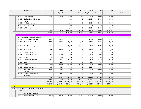| Acct |                           | <b>Acct Description</b>                         | 2017       | 2018       | 2019       | 2019      | 2020       | 2020       | 2020       | 2020  |
|------|---------------------------|-------------------------------------------------|------------|------------|------------|-----------|------------|------------|------------|-------|
|      |                           |                                                 | Expend     | Expend     | Adopted    | Expend    | Req Budget | Pub Budget | Adopted    | Notes |
|      |                           |                                                 |            |            | Rudget     |           |            |            | Rudnet     |       |
|      | 38300                     | <b>Consulting Fees</b>                          | 11,648     | 97,840     | 70,000     | 59,803    | 70,000     | 70,000     | 70,000     |       |
|      | 38301                     | Backup Servers & Storage<br>Maint               |            |            | 3,200      | $\Omega$  | 30,000     | 30,000     | 30,000     |       |
|      | 38400                     | Aruba Switch Maint                              |            |            | 10,000     | 0         | 10,000     | 10,000     | 10,000     |       |
|      | 38500                     | <b>EMC SAN Maint</b>                            |            |            | 20,000     | $\Omega$  | $\Omega$   | $\Omega$   | $\Omega$   |       |
|      | 38600                     | <b>UPS Maint</b>                                |            |            | 10,000     | 0         | 20,000     | 20,000     | 10,000     |       |
|      |                           |                                                 | 544,570    | 980,408    | 1,245,080  | 1,000,499 | 1,179,688  | 1,179,688  | 1,088,665  |       |
|      |                           |                                                 | 544,570    | 980,408    | 1,245,080  | 1,000,499 | 1,179,688  | 1,179,688  | 1,088,665  |       |
|      | $\blacksquare$ Loc : 9601 |                                                 |            |            |            |           |            |            |            |       |
|      |                           | Loc Description : Building & Grounds            |            |            |            |           |            |            |            |       |
|      | 11407                     | <b>Custodial Courthouse</b>                     | 23,620     | 27,054     | 27,887     | 21,420    | 29,550     | 29,550     | 27,887     |       |
|      | 11705                     | <b>Custodial Service Complex</b>                | 19,787     | 27,563     | 28,400     | 21,815    | 29,536     | 29,536     | 28,400     |       |
|      | 11806                     | Maintenance Supervisor                          | 36,622     | 37,426     | 38,578     | 29,632    | 42,050     | 42,050     | 38,578     |       |
|      | 12002                     | Custodial Extra Help                            | 4,420      | 1,290      | 5,000      | 890       | 5,000      | 5,000      | 5,000      |       |
|      | 21100                     | Office Supplies                                 | 293        |            | 100        | 0         | 100        | 100        | 100        |       |
|      | 22101                     | <b>Custodial Supplies</b>                       | 8,019      | 8,248      | 9,000      | 8,134     | 9,000      | 9,000      | 9,000      |       |
|      | 24400                     | Uniforms                                        | 305        | 340        | 400        | 134       | 400        | 400        | 400        |       |
|      | 30100                     | Contractural Services                           | 19,970     | 21,851     | 23,500     | 16,637    | 23,500     | 23,500     | 23,500     |       |
|      | 31700                     | Travel                                          |            | 285        | 300        | 219       | 300        | 300        | 300        |       |
|      | 33102                     | <b>Utlities</b>                                 | 94,202     | 118,889    | 130,000    | 91,638    | 130,000    | 130,000    | 130,000    |       |
|      | 33301                     | Carpet Replacement                              | 4,360      | 4,000      | 3,500      | 260       | 3,500      | 3,500      | 3,500      |       |
|      | 33900                     | Bldg. Maint. &<br>Supplies/Repair               | 30,667     | 22,384     | 30,000     | 9,489     | 30,000     | 30,000     | 30,000     |       |
|      | 34103                     | Landscape Supplies &<br>Materials               |            | 422        | 1,000      | 415       | 1,000      | 1,000      | 1,000      |       |
|      |                           |                                                 | 242,265    | 269,752    | 297,665    | 200,683   | 303,936    | 303,936    | 297,665    |       |
|      |                           |                                                 | 242,265    | 269,752    | 297,665    | 200,683   | 303,936    | 303,936    | 297,665    |       |
|      |                           |                                                 | 10,960,086 | 12,756,611 | 13,538,321 | 9,333,541 | 14,066,386 | 14,066,386 | 13,273,146 |       |
|      |                           |                                                 | 10,960,086 | 12,756,611 | 13,538,321 | 9,333,541 | 14,066,386 | 14,066,386 | 13,273,146 |       |
|      | - Fund : 1112             |                                                 |            |            |            |           |            |            |            |       |
|      |                           | - Fund Description : LIT - Economic Development |            |            |            |           |            |            |            |       |
|      | $-$ Loc : 0000            |                                                 |            |            |            |           |            |            |            |       |
|      |                           | Loc Description : No Department                 |            |            |            |           |            |            |            |       |
|      | 35000                     | <b>Regional Sewer District</b>                  | 60,000     | 85,000     | 60,000     | 60,000    | 60,000     | 60,000     | 60,000     |       |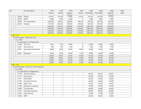| Adopted<br>Req Budget<br>Pub Budget<br>Adopted<br>Expend<br>Expend<br>Expend<br><b>Notes</b><br>Rudnet<br>Rudnet<br><b>ACEDC</b><br>117,000<br>35206<br>116,337<br>122,618<br>61,591<br>123,183<br>123,183<br>123,183<br>35304<br><b>NIRCC</b><br>6,582<br>6,582<br>6,600<br>6,500<br>6,500<br>6,600<br> 0 <br>35404<br><b>AC Transportation</b><br>1,059,025<br>572,937<br>900,000<br>844,734<br>947,556<br>947,556<br>947,556<br>35501<br>943,216<br>Hospital<br>745,749<br>945,000<br>789,630<br>947,556<br>947,556<br>947,556<br>1,730,353<br>2,028,600<br>1,755,955<br>2,084,895<br>1,987,693<br>2,084,795<br>2,084,795<br>1,730,353<br>2,028,600<br>1,987,693<br>1,755,955<br>2,084,795<br>2,084,795<br>2,084,895<br>1,987,693<br>1,730,353<br>2,028,600<br>1,755,955<br>2,084,795<br>2,084,795<br>2,084,895<br>1,987,693<br>1,730,353<br>2,028,600<br>1,755,955<br>2,084,795<br>2,084,795<br>2,084,895<br><b>Fund: 1119</b><br>- Fund Description : Clerks Perp Fund<br>$-$ Loc : 0000<br>Loc Description : No Department<br>1,745<br>13,000<br> 0 <br>13,000<br>13,000<br>13,000<br>11300<br>Part Time<br>3,815<br>12301<br>Social Security<br>292<br>133<br>1,100<br> 0 <br>1,100<br>1,100<br>1,100<br>31901<br>Scanning & Microfilming<br>9,060<br>13,000<br>13,000<br>13,000<br>8,900<br>14,844<br>13,000<br>12,000<br>42601<br>Equipment<br>9,676<br>3,629<br>2,754<br>12,000<br>12,000<br>12,000<br>39,100<br>39,100<br>39,100<br>39,100<br>22,683<br>14,567<br>17,598<br>39,100<br>39,100<br>22,683<br>14,567<br>17,598<br>39,100<br>39,100<br>39,100<br>22,683<br>14,567<br>17,598<br>39,100<br>39,100<br>39,100<br>14,567<br>39,100<br>17,598<br>39,100<br>39,100<br>22,683<br>39,100<br>Fund: 1122<br>- Fund Description : Comm Corr Home Detention<br>$-$ Loc: 0000<br>Loc Description : No Department<br>49,127<br>49,127<br>11109<br><b>Executive Director</b><br>49,127<br>11211<br>32,076<br>32,076<br>32,076<br>Asst. Director<br>22,620<br><b>Field Officer</b><br>22,620<br>22,620<br>11411<br>11502<br>Case Mgr./Full Time<br>26,400<br>26,400<br>26,400<br>18,534<br>18,534<br>11605<br>Admin, Asst.<br>18,534<br>11900<br><b>Education Coordinator</b><br>10,259<br>10,259<br>10,259<br>26,400<br>12005<br>Case Manager<br>26,400<br>26,400<br>12101<br>Case Mgr. Supervisor<br>40,500<br>40,500<br>40,500<br>12301<br>Social Security<br>17,283<br>17,283<br>17,283 | Acct | Acct Description | 2017 | 2018 | 2019 | 2019 | 2020 | 2020 | 2020 | 2020 |
|--------------------------------------------------------------------------------------------------------------------------------------------------------------------------------------------------------------------------------------------------------------------------------------------------------------------------------------------------------------------------------------------------------------------------------------------------------------------------------------------------------------------------------------------------------------------------------------------------------------------------------------------------------------------------------------------------------------------------------------------------------------------------------------------------------------------------------------------------------------------------------------------------------------------------------------------------------------------------------------------------------------------------------------------------------------------------------------------------------------------------------------------------------------------------------------------------------------------------------------------------------------------------------------------------------------------------------------------------------------------------------------------------------------------------------------------------------------------------------------------------------------------------------------------------------------------------------------------------------------------------------------------------------------------------------------------------------------------------------------------------------------------------------------------------------------------------------------------------------------------------------------------------------------------------------------------------------------------------------------------------------------------------------------------------------------------------------------------------------------------------------------------------------------------------------------------------------------------------------------------------------------------------------------------------------------------------------------------------------------------------------------------------|------|------------------|------|------|------|------|------|------|------|------|
|                                                                                                                                                                                                                                                                                                                                                                                                                                                                                                                                                                                                                                                                                                                                                                                                                                                                                                                                                                                                                                                                                                                                                                                                                                                                                                                                                                                                                                                                                                                                                                                                                                                                                                                                                                                                                                                                                                                                                                                                                                                                                                                                                                                                                                                                                                                                                                                                  |      |                  |      |      |      |      |      |      |      |      |
|                                                                                                                                                                                                                                                                                                                                                                                                                                                                                                                                                                                                                                                                                                                                                                                                                                                                                                                                                                                                                                                                                                                                                                                                                                                                                                                                                                                                                                                                                                                                                                                                                                                                                                                                                                                                                                                                                                                                                                                                                                                                                                                                                                                                                                                                                                                                                                                                  |      |                  |      |      |      |      |      |      |      |      |
|                                                                                                                                                                                                                                                                                                                                                                                                                                                                                                                                                                                                                                                                                                                                                                                                                                                                                                                                                                                                                                                                                                                                                                                                                                                                                                                                                                                                                                                                                                                                                                                                                                                                                                                                                                                                                                                                                                                                                                                                                                                                                                                                                                                                                                                                                                                                                                                                  |      |                  |      |      |      |      |      |      |      |      |
|                                                                                                                                                                                                                                                                                                                                                                                                                                                                                                                                                                                                                                                                                                                                                                                                                                                                                                                                                                                                                                                                                                                                                                                                                                                                                                                                                                                                                                                                                                                                                                                                                                                                                                                                                                                                                                                                                                                                                                                                                                                                                                                                                                                                                                                                                                                                                                                                  |      |                  |      |      |      |      |      |      |      |      |
|                                                                                                                                                                                                                                                                                                                                                                                                                                                                                                                                                                                                                                                                                                                                                                                                                                                                                                                                                                                                                                                                                                                                                                                                                                                                                                                                                                                                                                                                                                                                                                                                                                                                                                                                                                                                                                                                                                                                                                                                                                                                                                                                                                                                                                                                                                                                                                                                  |      |                  |      |      |      |      |      |      |      |      |
|                                                                                                                                                                                                                                                                                                                                                                                                                                                                                                                                                                                                                                                                                                                                                                                                                                                                                                                                                                                                                                                                                                                                                                                                                                                                                                                                                                                                                                                                                                                                                                                                                                                                                                                                                                                                                                                                                                                                                                                                                                                                                                                                                                                                                                                                                                                                                                                                  |      |                  |      |      |      |      |      |      |      |      |
|                                                                                                                                                                                                                                                                                                                                                                                                                                                                                                                                                                                                                                                                                                                                                                                                                                                                                                                                                                                                                                                                                                                                                                                                                                                                                                                                                                                                                                                                                                                                                                                                                                                                                                                                                                                                                                                                                                                                                                                                                                                                                                                                                                                                                                                                                                                                                                                                  |      |                  |      |      |      |      |      |      |      |      |
|                                                                                                                                                                                                                                                                                                                                                                                                                                                                                                                                                                                                                                                                                                                                                                                                                                                                                                                                                                                                                                                                                                                                                                                                                                                                                                                                                                                                                                                                                                                                                                                                                                                                                                                                                                                                                                                                                                                                                                                                                                                                                                                                                                                                                                                                                                                                                                                                  |      |                  |      |      |      |      |      |      |      |      |
|                                                                                                                                                                                                                                                                                                                                                                                                                                                                                                                                                                                                                                                                                                                                                                                                                                                                                                                                                                                                                                                                                                                                                                                                                                                                                                                                                                                                                                                                                                                                                                                                                                                                                                                                                                                                                                                                                                                                                                                                                                                                                                                                                                                                                                                                                                                                                                                                  |      |                  |      |      |      |      |      |      |      |      |
|                                                                                                                                                                                                                                                                                                                                                                                                                                                                                                                                                                                                                                                                                                                                                                                                                                                                                                                                                                                                                                                                                                                                                                                                                                                                                                                                                                                                                                                                                                                                                                                                                                                                                                                                                                                                                                                                                                                                                                                                                                                                                                                                                                                                                                                                                                                                                                                                  |      |                  |      |      |      |      |      |      |      |      |
|                                                                                                                                                                                                                                                                                                                                                                                                                                                                                                                                                                                                                                                                                                                                                                                                                                                                                                                                                                                                                                                                                                                                                                                                                                                                                                                                                                                                                                                                                                                                                                                                                                                                                                                                                                                                                                                                                                                                                                                                                                                                                                                                                                                                                                                                                                                                                                                                  |      |                  |      |      |      |      |      |      |      |      |
|                                                                                                                                                                                                                                                                                                                                                                                                                                                                                                                                                                                                                                                                                                                                                                                                                                                                                                                                                                                                                                                                                                                                                                                                                                                                                                                                                                                                                                                                                                                                                                                                                                                                                                                                                                                                                                                                                                                                                                                                                                                                                                                                                                                                                                                                                                                                                                                                  |      |                  |      |      |      |      |      |      |      |      |
|                                                                                                                                                                                                                                                                                                                                                                                                                                                                                                                                                                                                                                                                                                                                                                                                                                                                                                                                                                                                                                                                                                                                                                                                                                                                                                                                                                                                                                                                                                                                                                                                                                                                                                                                                                                                                                                                                                                                                                                                                                                                                                                                                                                                                                                                                                                                                                                                  |      |                  |      |      |      |      |      |      |      |      |
|                                                                                                                                                                                                                                                                                                                                                                                                                                                                                                                                                                                                                                                                                                                                                                                                                                                                                                                                                                                                                                                                                                                                                                                                                                                                                                                                                                                                                                                                                                                                                                                                                                                                                                                                                                                                                                                                                                                                                                                                                                                                                                                                                                                                                                                                                                                                                                                                  |      |                  |      |      |      |      |      |      |      |      |
|                                                                                                                                                                                                                                                                                                                                                                                                                                                                                                                                                                                                                                                                                                                                                                                                                                                                                                                                                                                                                                                                                                                                                                                                                                                                                                                                                                                                                                                                                                                                                                                                                                                                                                                                                                                                                                                                                                                                                                                                                                                                                                                                                                                                                                                                                                                                                                                                  |      |                  |      |      |      |      |      |      |      |      |
|                                                                                                                                                                                                                                                                                                                                                                                                                                                                                                                                                                                                                                                                                                                                                                                                                                                                                                                                                                                                                                                                                                                                                                                                                                                                                                                                                                                                                                                                                                                                                                                                                                                                                                                                                                                                                                                                                                                                                                                                                                                                                                                                                                                                                                                                                                                                                                                                  |      |                  |      |      |      |      |      |      |      |      |
|                                                                                                                                                                                                                                                                                                                                                                                                                                                                                                                                                                                                                                                                                                                                                                                                                                                                                                                                                                                                                                                                                                                                                                                                                                                                                                                                                                                                                                                                                                                                                                                                                                                                                                                                                                                                                                                                                                                                                                                                                                                                                                                                                                                                                                                                                                                                                                                                  |      |                  |      |      |      |      |      |      |      |      |
|                                                                                                                                                                                                                                                                                                                                                                                                                                                                                                                                                                                                                                                                                                                                                                                                                                                                                                                                                                                                                                                                                                                                                                                                                                                                                                                                                                                                                                                                                                                                                                                                                                                                                                                                                                                                                                                                                                                                                                                                                                                                                                                                                                                                                                                                                                                                                                                                  |      |                  |      |      |      |      |      |      |      |      |
|                                                                                                                                                                                                                                                                                                                                                                                                                                                                                                                                                                                                                                                                                                                                                                                                                                                                                                                                                                                                                                                                                                                                                                                                                                                                                                                                                                                                                                                                                                                                                                                                                                                                                                                                                                                                                                                                                                                                                                                                                                                                                                                                                                                                                                                                                                                                                                                                  |      |                  |      |      |      |      |      |      |      |      |
|                                                                                                                                                                                                                                                                                                                                                                                                                                                                                                                                                                                                                                                                                                                                                                                                                                                                                                                                                                                                                                                                                                                                                                                                                                                                                                                                                                                                                                                                                                                                                                                                                                                                                                                                                                                                                                                                                                                                                                                                                                                                                                                                                                                                                                                                                                                                                                                                  |      |                  |      |      |      |      |      |      |      |      |
|                                                                                                                                                                                                                                                                                                                                                                                                                                                                                                                                                                                                                                                                                                                                                                                                                                                                                                                                                                                                                                                                                                                                                                                                                                                                                                                                                                                                                                                                                                                                                                                                                                                                                                                                                                                                                                                                                                                                                                                                                                                                                                                                                                                                                                                                                                                                                                                                  |      |                  |      |      |      |      |      |      |      |      |
|                                                                                                                                                                                                                                                                                                                                                                                                                                                                                                                                                                                                                                                                                                                                                                                                                                                                                                                                                                                                                                                                                                                                                                                                                                                                                                                                                                                                                                                                                                                                                                                                                                                                                                                                                                                                                                                                                                                                                                                                                                                                                                                                                                                                                                                                                                                                                                                                  |      |                  |      |      |      |      |      |      |      |      |
|                                                                                                                                                                                                                                                                                                                                                                                                                                                                                                                                                                                                                                                                                                                                                                                                                                                                                                                                                                                                                                                                                                                                                                                                                                                                                                                                                                                                                                                                                                                                                                                                                                                                                                                                                                                                                                                                                                                                                                                                                                                                                                                                                                                                                                                                                                                                                                                                  |      |                  |      |      |      |      |      |      |      |      |
|                                                                                                                                                                                                                                                                                                                                                                                                                                                                                                                                                                                                                                                                                                                                                                                                                                                                                                                                                                                                                                                                                                                                                                                                                                                                                                                                                                                                                                                                                                                                                                                                                                                                                                                                                                                                                                                                                                                                                                                                                                                                                                                                                                                                                                                                                                                                                                                                  |      |                  |      |      |      |      |      |      |      |      |
|                                                                                                                                                                                                                                                                                                                                                                                                                                                                                                                                                                                                                                                                                                                                                                                                                                                                                                                                                                                                                                                                                                                                                                                                                                                                                                                                                                                                                                                                                                                                                                                                                                                                                                                                                                                                                                                                                                                                                                                                                                                                                                                                                                                                                                                                                                                                                                                                  |      |                  |      |      |      |      |      |      |      |      |
|                                                                                                                                                                                                                                                                                                                                                                                                                                                                                                                                                                                                                                                                                                                                                                                                                                                                                                                                                                                                                                                                                                                                                                                                                                                                                                                                                                                                                                                                                                                                                                                                                                                                                                                                                                                                                                                                                                                                                                                                                                                                                                                                                                                                                                                                                                                                                                                                  |      |                  |      |      |      |      |      |      |      |      |
|                                                                                                                                                                                                                                                                                                                                                                                                                                                                                                                                                                                                                                                                                                                                                                                                                                                                                                                                                                                                                                                                                                                                                                                                                                                                                                                                                                                                                                                                                                                                                                                                                                                                                                                                                                                                                                                                                                                                                                                                                                                                                                                                                                                                                                                                                                                                                                                                  |      |                  |      |      |      |      |      |      |      |      |
|                                                                                                                                                                                                                                                                                                                                                                                                                                                                                                                                                                                                                                                                                                                                                                                                                                                                                                                                                                                                                                                                                                                                                                                                                                                                                                                                                                                                                                                                                                                                                                                                                                                                                                                                                                                                                                                                                                                                                                                                                                                                                                                                                                                                                                                                                                                                                                                                  |      |                  |      |      |      |      |      |      |      |      |
|                                                                                                                                                                                                                                                                                                                                                                                                                                                                                                                                                                                                                                                                                                                                                                                                                                                                                                                                                                                                                                                                                                                                                                                                                                                                                                                                                                                                                                                                                                                                                                                                                                                                                                                                                                                                                                                                                                                                                                                                                                                                                                                                                                                                                                                                                                                                                                                                  |      |                  |      |      |      |      |      |      |      |      |
|                                                                                                                                                                                                                                                                                                                                                                                                                                                                                                                                                                                                                                                                                                                                                                                                                                                                                                                                                                                                                                                                                                                                                                                                                                                                                                                                                                                                                                                                                                                                                                                                                                                                                                                                                                                                                                                                                                                                                                                                                                                                                                                                                                                                                                                                                                                                                                                                  |      |                  |      |      |      |      |      |      |      |      |
|                                                                                                                                                                                                                                                                                                                                                                                                                                                                                                                                                                                                                                                                                                                                                                                                                                                                                                                                                                                                                                                                                                                                                                                                                                                                                                                                                                                                                                                                                                                                                                                                                                                                                                                                                                                                                                                                                                                                                                                                                                                                                                                                                                                                                                                                                                                                                                                                  |      |                  |      |      |      |      |      |      |      |      |
|                                                                                                                                                                                                                                                                                                                                                                                                                                                                                                                                                                                                                                                                                                                                                                                                                                                                                                                                                                                                                                                                                                                                                                                                                                                                                                                                                                                                                                                                                                                                                                                                                                                                                                                                                                                                                                                                                                                                                                                                                                                                                                                                                                                                                                                                                                                                                                                                  |      |                  |      |      |      |      |      |      |      |      |
|                                                                                                                                                                                                                                                                                                                                                                                                                                                                                                                                                                                                                                                                                                                                                                                                                                                                                                                                                                                                                                                                                                                                                                                                                                                                                                                                                                                                                                                                                                                                                                                                                                                                                                                                                                                                                                                                                                                                                                                                                                                                                                                                                                                                                                                                                                                                                                                                  |      |                  |      |      |      |      |      |      |      |      |
|                                                                                                                                                                                                                                                                                                                                                                                                                                                                                                                                                                                                                                                                                                                                                                                                                                                                                                                                                                                                                                                                                                                                                                                                                                                                                                                                                                                                                                                                                                                                                                                                                                                                                                                                                                                                                                                                                                                                                                                                                                                                                                                                                                                                                                                                                                                                                                                                  |      |                  |      |      |      |      |      |      |      |      |
|                                                                                                                                                                                                                                                                                                                                                                                                                                                                                                                                                                                                                                                                                                                                                                                                                                                                                                                                                                                                                                                                                                                                                                                                                                                                                                                                                                                                                                                                                                                                                                                                                                                                                                                                                                                                                                                                                                                                                                                                                                                                                                                                                                                                                                                                                                                                                                                                  |      |                  |      |      |      |      |      |      |      |      |
|                                                                                                                                                                                                                                                                                                                                                                                                                                                                                                                                                                                                                                                                                                                                                                                                                                                                                                                                                                                                                                                                                                                                                                                                                                                                                                                                                                                                                                                                                                                                                                                                                                                                                                                                                                                                                                                                                                                                                                                                                                                                                                                                                                                                                                                                                                                                                                                                  |      |                  |      |      |      |      |      |      |      |      |
| 12402<br>PERF<br>27,562<br>27,562<br>27,562                                                                                                                                                                                                                                                                                                                                                                                                                                                                                                                                                                                                                                                                                                                                                                                                                                                                                                                                                                                                                                                                                                                                                                                                                                                                                                                                                                                                                                                                                                                                                                                                                                                                                                                                                                                                                                                                                                                                                                                                                                                                                                                                                                                                                                                                                                                                                      |      |                  |      |      |      |      |      |      |      |      |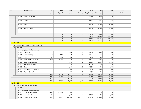| Acct |                            | Acct Description                                   | 2017    | 2018           | 2019    | 2019           | 2020       | 2020       | 2020    | 2020  |
|------|----------------------------|----------------------------------------------------|---------|----------------|---------|----------------|------------|------------|---------|-------|
|      |                            |                                                    | Expend  | Expend         | Adopted | Expend         | Req Budget | Pub Budget | Adopted | Notes |
|      |                            |                                                    |         |                | Rudget  |                |            |            | Rudnet  |       |
|      | 12601                      | Health Insurance                                   |         |                |         |                | 9,360      | 9,360      | 9,360   |       |
|      | 33102                      | <b>Utlities</b>                                    |         |                |         |                | 6,543      | 6,543      | 6,543   |       |
|      | 34104                      | Rent                                               |         |                |         |                | 24,000     | 24,000     | 24,000  |       |
|      | 32501                      | <b>Bowen Center</b>                                |         |                |         |                | 15,000     | 15,000     | 15,000  |       |
|      |                            |                                                    | 0       | 0              | 0       | 0              | 325,664    | 325,664    | 325,664 |       |
|      |                            |                                                    | 0       | $\overline{0}$ | 0       | 0              | 325,664    | 325,664    | 325,664 |       |
|      |                            |                                                    | 0       | 0              | 0       | $\overline{0}$ | 325,664    | 325,664    | 325,664 |       |
|      |                            |                                                    | 0       | 0              | 0       | 0              | 325,664    | 325,664    | 325,664 |       |
|      | <b>Fund: 1131</b>          |                                                    |         |                |         |                |            |            |         |       |
|      |                            | - Fund Description : Sales Disclosure Verification |         |                |         |                |            |            |         |       |
|      | $-$ Loc : 0000             |                                                    |         |                |         |                |            |            |         |       |
|      |                            | Loc Description : No Department                    |         |                |         |                |            |            |         |       |
|      | 11300                      | Part Time                                          |         |                | 6,000   | 0              | 6,000      | 6,000      | 6,000   |       |
|      | 12301                      | Social Security                                    | 606     | 617            | 1,100   | 171            | 1,155      | 1,155      | 1,155   |       |
|      | 12402                      | PERF                                               | 976     | 995            | 1,000   | 275            | 1,050      | 1,050      | 1,050   |       |
|      | 12403                      | Sales Disclosure Clerk                             | 8,000   | 8,154          | 8,405   | 6,456          | 8,825      | 8,825      | 9,585   |       |
|      | 30100                      | <b>Contractural Services</b>                       |         |                | 12,000  | 0              | 12,000     | 12,000     | 12,000  |       |
|      | 31300                      | <b>Temporary Services</b>                          |         |                | 3,100   | $\Omega$       | 3,100      | 3,100      | 3,100   |       |
|      | 31700                      | Travel                                             |         |                | 1,500   | 50             | 1,500      | 1,500      | 1,500   |       |
|      | 33600                      | <b>Maintenance Contracts</b>                       |         |                | 5,000   | 0              | 5,000      | 5,000      | 5,000   |       |
|      | 35100                      | Dues & Subscriptions                               |         |                | 600     | $\Omega$       | 600        | 600        | 600     |       |
|      |                            |                                                    | 9,582   | 9,766          | 38,705  | 6,952          | 39,230     | 39,230     | 39,990  |       |
|      |                            |                                                    | 9,582   | 9,766          | 38,705  | 6,952          | 39,230     | 39,230     | 39,990  |       |
|      |                            |                                                    | 9,582   | 9,766          | 38,705  | 6,952          | 39,230     | 39,230     | 39,990  |       |
|      |                            |                                                    | 9,582   | 9,766          | 38,705  | 6,952          | 39,230     | 39,230     | 39,990  |       |
|      | - <mark>Fund : 1135</mark> |                                                    |         |                |         |                |            |            |         |       |
|      |                            | - Fund Description : Cumulative Bridge             |         |                |         |                |            |            |         |       |
|      | $-$ Loc : 0000             |                                                    |         |                |         |                |            |            |         |       |
|      |                            | Loc Description : No Department                    |         |                |         |                |            |            |         |       |
|      | 30100                      | Contractural Services                              | 45,482  | 160,388        | 15,000  | 0              |            | 0          | 0       |       |
|      | 31100                      | Legal Fees/Services                                | 513     |                | 2,000   | 744            | 5,000      | 5,000      | 5,000   |       |
|      | 31101                      | Bridge Replacement                                 | 736,370 | 1,157,227      | 750,000 | 132,853        | 800,000    | 800,000    | 800,000 |       |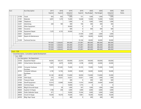| Acct |              | Acct Description                                    | 2017    | 2018      | 2019    | 2019           | 2020       | 2020       | 2020    | 2020         |
|------|--------------|-----------------------------------------------------|---------|-----------|---------|----------------|------------|------------|---------|--------------|
|      |              |                                                     | Expend  | Expend    | Adopted | Expend         | Req Budget | Pub Budget | Adopted | <b>Notes</b> |
|      |              |                                                     | 955     |           | Rudnet  |                |            |            | Rudnet  |              |
|      | 31700        | Travel                                              |         | 852       | 1,000   | 751            | 1,000      | 1,000      | 1,000   |              |
|      | 31701        | Materials                                           | 6,091   | 1,270     | 15,000  | 14,648         | 15,000     | 15,000     | 15,000  |              |
|      | 31800        | Telephone                                           |         |           | 1,000   | $\overline{0}$ | 1,000      | 1,000      | 1,000   |              |
|      | 32201        | Advertising                                         | 269     | 180       | 400     | 196            | 400        | 400        | 400     |              |
|      | 32202        | Other Equipment                                     |         |           | 30,000  | 0              | 0          | 0          | 0       |              |
|      | 32802        | Insurance                                           |         |           | 600     | 0              | 600        | 600        | 600     |              |
|      | 33700        | <b>Equipment Repair</b>                             | 7,370   | 6,735     | 30,000  | $\overline{0}$ |            | $\Omega$   | 0       |              |
|      | 42601        | Equipment                                           |         |           |         | 27,459         | 2,000      | 2,000      | 2,000   |              |
|      | 33605        | Repairs & Maintenance                               |         |           |         | 5,004          | 30,000     | 30,000     | 30,000  |              |
|      | 31209        | <b>Technical Services</b>                           |         |           |         | 91,336         | 30,000     | 30,000     | 30,000  |              |
|      |              |                                                     | 797,050 | 1,326,652 | 845,000 | 272,991        | 885,000    | 885,000    | 885,000 |              |
|      |              |                                                     | 797,050 | 1,326,652 | 845,000 | 272,991        | 885,000    | 885,000    | 885,000 |              |
|      |              |                                                     | 797,050 | 1,326,652 | 845,000 | 272,991        | 885,000    | 885,000    | 885,000 |              |
|      |              |                                                     | 797,050 | 1,326,652 | 845,000 | 272,991        | 885,000    | 885,000    | 885,000 |              |
|      | - Fund: 1138 |                                                     |         |           |         |                |            |            |         |              |
|      |              | - Fund Description : Cumulative Capital Development |         |           |         |                |            |            |         |              |
|      | Loc: 0000    |                                                     |         |           |         |                |            |            |         |              |
|      |              | - Loc Description : No Department                   |         |           |         |                |            |            |         |              |
|      | 33700        | Equipment Repair                                    | 44,636  | 105,357   | 100,000 | 22,074         | 100,000    | 100,000    | 100,000 |              |
|      | 34003        | <b>Crthse Exterior Renovation</b>                   | 7,897   | 6,879     | 30,000  | 8,198          | 20,000     | 20,000     | 20,000  |              |
|      | 42500        | Computer Hardware<br>Purchase                       | 73,679  | 181,602   | 75,000  | 35,105         | 75,000     | 75,000     | 75,000  |              |
|      | 42702        | Computer Software<br>Purchases                      | 2,190   | 12,706    | 50,000  | 39,949         | 50,000     | 50,000     | 50,000  |              |
|      | 42901        | GIS                                                 | 52,140  | 48,500    | 114,000 | 50,050         | 114,000    | 114,000    | 55,000  |              |
|      | 47200        | Clerk Equip                                         | 615     | 53,021    | 53,021  | 53,021         | 1,400      | 1,400      | 1,400   |              |
|      | 47300        | <b>Treasurer Equip</b>                              | 3,330   |           | 600     | 0              | 600        | 600        | 600     |              |
|      | 47400        | Sheriff Equipment                                   | 32,414  | 22,840    | 24,000  | 11,914         | 24,000     | 24,000     | 24,000  |              |
|      | 48000        | Commiss Equip                                       | 19,855  |           | 10,000  | 1,775          | 0          | $\Omega$   | 0       |              |
|      | 48200        | Bldg & Grounds Equip                                |         | 29        | 1,000   | 547            | 1,000      | 1,000      | 1,000   |              |
|      | 48300        | Superior Crt Equip                                  | 1,798   | 258       | 3,000   | 3,000          | 3,000      | 3,000      | 3,000   |              |
|      | 48400        | Public Defender Equip                               | 471     |           | 10,000  | 15,544         | 5,000      | 5,000      | 5,000   |              |
|      | 48500        | Circuit Crt Equip                                   | 19,200  | 19,374    | 19,200  | 9,961          | 19,200     | 19,200     | 19,200  |              |
|      | 48700        | Bldg. Dept. Equip                                   | 14      |           | 600     | 0              | 600        | 600        | 600     |              |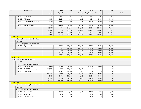| Acct          |                | Acct Description                                | 2017      | 2018    | 2019    | 2019    | 2020       | 2020           | 2020     | 2020  |
|---------------|----------------|-------------------------------------------------|-----------|---------|---------|---------|------------|----------------|----------|-------|
|               |                |                                                 | Expend    | Expend  | Adopted | Expend  | Req Budget | Pub Budget     | Adopted  | Notes |
|               |                |                                                 |           |         | Rudnet  |         |            |                | Rudnet   |       |
|               | 48800          | <b>EMA Equip</b>                                | 977       | 1,051   | 1,051   | 1,000   | 1,051      | 1,051          | 1,051    |       |
|               | 48900          | Jail Equip                                      | 10,199    | 5,920   | 14,000  | 7,723   | 14,000     | 14,000         | 14,000   |       |
|               | 49000          | Golden Meadows Equip                            | 17,997    | 16,971  | 18,004  | 14,998  | 18,000     | 18,000         | 18,000   |       |
|               | 49200          | Sheriff Vehicles                                | 82,562    | 69,635  | 92,000  | 61,179  | 92,000     | 92,000         | 92,000   |       |
|               |                |                                                 | 369,974   | 544,143 | 615,476 | 336,038 | 538,851    | 538,851        | 479,851  |       |
|               |                |                                                 | 369,974   | 544,143 | 615,476 | 336,038 | 538,851    | 538,851        | 479,851  |       |
|               |                |                                                 | 369,974   | 544,143 | 615,476 | 336,038 | 538,851    | 538,851        | 479,851  |       |
|               |                |                                                 | 369,974   | 544,143 | 615,476 | 336,038 | 538,851    | 538,851        | 479,851  |       |
| - Fund : 1140 |                |                                                 |           |         |         |         |            |                |          |       |
|               |                | - Fund Description : Cumulative Courthouse      |           |         |         |         |            |                |          |       |
|               | $-$ Loc: 0000  |                                                 |           |         |         |         |            |                |          |       |
|               |                | Loc Description : No Department                 |           |         |         |         |            |                |          |       |
|               | 33700          | Equipment Repair                                | 64        | 31,782  | 340,000 | 161,458 | 40,000     | 40,000         | 40,000   |       |
|               |                |                                                 | 64        | 31,782  | 340,000 | 161,458 | 40,000     | 40,000         | 40,000   |       |
|               |                |                                                 | 64        | 31,782  | 340,000 | 161,458 | 40,000     | 40,000         | 40,000   |       |
|               |                |                                                 | 64        | 31,782  | 340,000 | 161,458 | 40,000     | 40,000         | 40,000   |       |
|               |                |                                                 | 64        | 31,782  | 340,000 | 161,458 | 40,000     | 40,000         | 40,000   |       |
|               | Fund: 1142     |                                                 |           |         |         |         |            |                |          |       |
|               |                | - Fund Description : Cumulative Jail            |           |         |         |         |            |                |          |       |
|               | $-$ Loc : 0000 |                                                 |           |         |         |         |            |                |          |       |
|               |                | Loc Description : No Department                 |           |         |         |         |            |                |          |       |
|               | 33700          | Equipment Repair                                | 25,408    | 18,590  | 40,000  | 27,253  | 40,000     | 40,000         | 0        |       |
|               | 33903          | Judicial Center Project                         | 1,005,603 | 14,046  | 100,000 | 70,082  | 0          | $\overline{0}$ | 0        |       |
|               | 42700          | Demolition                                      |           | 9,512   | 100,000 | 1,000   | $\Omega$   | $\Omega$       | $\Omega$ |       |
|               |                |                                                 | 1,031,011 | 42,148  | 240,000 | 98,335  | 40,000     | 40,000         | 0        |       |
|               |                |                                                 | 1,031,011 | 42,148  | 240,000 | 98,335  | 40,000     | 40,000         | 0        |       |
|               |                |                                                 | 1,031,011 | 42,148  | 240,000 | 98,335  | 40,000     | 40,000         | 0        |       |
|               |                |                                                 | 1,031,011 | 42,148  | 240,000 | 98,335  | 40,000     | 40,000         | 0        |       |
|               | Fund: 1148     |                                                 |           |         |         |         |            |                |          |       |
|               |                | - Fund Description : County Drug Free Community |           |         |         |         |            |                |          |       |
|               | $-$ Loc : 0000 |                                                 |           |         |         |         |            |                |          |       |
|               |                | Loc Description : No Department                 |           |         |         |         |            |                |          |       |
|               | 11109          | <b>Executive Director</b>                       |           | 5,760   | 6,500   | 3,250   | 6,500      | 6,500          | 6,500    |       |
|               |                |                                                 |           |         |         |         |            |                |          |       |
|               | 11605          | Admin. Asst.                                    |           | 1,080   | 1,080   | 270     | 1,080      | 1,080          | 1,080    |       |
|               | 21100          | Office Supplies                                 |           | 729     | 500     | 0       | 500        | 500            | 500      |       |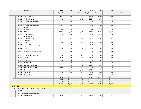| Acct                     |          | Acct Description                                  | 2017   | 2018   | 2019    | 2019           | 2020       | 2020       | 2020     | 2020         |
|--------------------------|----------|---------------------------------------------------|--------|--------|---------|----------------|------------|------------|----------|--------------|
|                          |          |                                                   | Expend | Expend | Adopted | Expend         | Req Budget | Pub Budget | Adopted  | <b>Notes</b> |
|                          |          |                                                   |        |        | Rudget  |                |            |            | Rudget   |              |
|                          | 31001    | Drug Court                                        |        | 7,653  | 12,000  | 7,043          | 15,000     | 15,000     | 15,000   |              |
|                          | 31201    | Project Success                                   |        | 1,742  | 2,500   | 1,900          | 2,500      | 2,500      | 2,500    |              |
|                          | 31402    | Drug/Alcohol Prev Ed - AC                         |        |        | 3,000   | $\overline{0}$ | $\Omega$   | $\Omega$   | $\Omega$ |              |
|                          | 31502    | Drug/Alcohol Prev Ed -<br>McMill                  |        | 4,577  | 5,000   | $\Omega$       | 4,000      | 4,000      | 4,000    |              |
|                          | 31600    | Postage                                           |        | 50     | 100     | 0              | 50         | 50         | 50       |              |
|                          | 31602    | CD Education at Jail                              |        | 7,344  | 10,500  | 7,655          | 10,000     | 10,000     | 10,000   |              |
|                          | 31702    | <b>DFAC Treatment</b><br>Scholarships             |        | 1,254  | 25,890  | 3,058          | 23,200     | 23,200     | 23,200   |              |
|                          | 31902    | Directors & Officers<br>Insurance                 |        | 982    | 982     | 982            | 982        | 982        | 982      |              |
|                          | 32002    | Rotary                                            |        | 525    | 500     | 600            | 600        | 600        | 600      |              |
|                          | 32101    | Regional Annual Meeting                           |        |        | 50      | $\overline{0}$ | 100        | 100        | 100      |              |
|                          | 32301    | Website                                           |        | 788    | 765     | 135            | 770        | 770        | 770      |              |
|                          | 32400    | Aggregate Student Surveys                         |        |        | 500     | 0              | 500        | 500        | 500      |              |
|                          | 32500    | Community Outreach                                |        | 25     | 300     | 46             | 300        | 300        | 300      |              |
|                          | 32603    | Decatur Police                                    |        | 9,000  | 3,000   | 7,756          | 6,000      | 6,000      | 6,000    |              |
|                          | 32702    | Geneva PD                                         |        | 5,170  | 5,170   | $\overline{0}$ | 2,585      | 2,585      | 2,585    |              |
|                          | 32805    | Monroe PD                                         |        |        | 5,170   | $\overline{0}$ | 2,585      | 2,585      | 2,585    |              |
|                          | 32900    | Too Good for Drugs                                |        |        | 2,000   | $\Omega$       | 2,500      | 2,500      | 2,500    |              |
|                          | 33001    | South Adams SADD                                  |        | 550    | 1,500   | 660            | $\Omega$   | $\Omega$   | 0        |              |
|                          | 33800    | Drug Testing                                      |        |        | 3,500   | 3,586          | 6,000      | 6,000      | 6,000    |              |
|                          | 42601    | Equipment                                         |        | 4,240  | 6,000   | 3,504          | 5,000      | 5,000      | 5,000    |              |
|                          | 32501    | <b>Bowen Center</b>                               |        |        |         |                | 2,045      | 2,045      | 2,045    |              |
|                          |          |                                                   | 0      | 51,469 | 96,507  | 40,445         | 92,797     | 92,797     | 92,797   |              |
|                          |          |                                                   | 0      | 51,469 | 96,507  | 40,445         | 92,797     | 92,797     | 92,797   |              |
|                          |          |                                                   | 0      | 51,469 | 96,507  | 40,445         | 92,797     | 92,797     | 92,797   |              |
|                          |          |                                                   | 0      | 51,469 | 96,507  | 40,445         | 92,797     | 92,797     | 92,797   |              |
| - Fund: 1152             |          |                                                   |        |        |         |                |            |            |          |              |
|                          |          | - Fund Description : Emerg Planning Right To Know |        |        |         |                |            |            |          |              |
| $\overline{\phantom{a}}$ | Loc:0000 |                                                   |        |        |         |                |            |            |          |              |
|                          |          | - Loc Description : No Department                 |        |        |         |                |            |            |          |              |
|                          | 11811    | Stipend Fund                                      | 2,060  | 1,860  | 2,845   | 1,000          | 2,845      | 2,845      | 2,845    |              |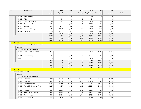| Acct              |                             | Acct Description                               | 2017   | 2018    | 2019    | 2019   | 2020            | 2020            | 2020    | 2020         |
|-------------------|-----------------------------|------------------------------------------------|--------|---------|---------|--------|-----------------|-----------------|---------|--------------|
|                   |                             |                                                | Expend | Expend  | Adopted | Expend | Reg Budget      | Pub Budget      | Adopted | <b>Notes</b> |
|                   |                             |                                                |        |         | Rudget  |        |                 |                 | Rudnet  |              |
|                   | 12301                       | Social Security                                | 32     | 23      | 100     | 11     | 50              | 50 <sup>°</sup> | 50      |              |
|                   | 12402                       | PERF                                           | 18     | 13      | 100     | 10     | 50 <sup>°</sup> | 50 <sup>°</sup> | 50      |              |
|                   | 21500                       | <b>Operating Supplies</b>                      | 108    | 261     | 406     | 15     | 406             | 406             | 406     |              |
|                   | 30100                       | <b>Contractural Services</b>                   | 1,980  |         | 2,648   | 0      | 2,000           | 2,000           | 2,000   |              |
|                   | 31200                       | Training                                       | 6,532  | 5,602   | 5,026   | 1,470  | 5,026           | 5,026           | 5,026   |              |
|                   | 35502                       | Services & Charges                             | 477    | 1,628   | 2,538   | 284    | 2,538           | 2,538           | 2,538   |              |
|                   | 42601                       | Equipment                                      | 2,264  | 4,751   | 5,075   | 2,198  | 5,075           | 5,075           | 5,075   |              |
|                   |                             |                                                | 13,471 | 14,138  | 18,738  | 4,988  | 17,990          | 17,990          | 17,990  |              |
|                   |                             |                                                | 13,471 | 14,138  | 18,738  | 4,988  | 17,990          | 17,990          | 17,990  |              |
|                   |                             |                                                | 13,471 | 14,138  | 18,738  | 4,988  | 17,990          | 17,990          | 17,990  |              |
|                   |                             |                                                | 13,471 | 14, 138 | 18,738  | 4,988  | 17,990          | 17,990          | 17,990  |              |
| Fund: 1158        |                             |                                                |        |         |         |        |                 |                 |         |              |
|                   |                             | - Fund Description : General Drain Improvement |        |         |         |        |                 |                 |         |              |
|                   | $-$ Loc : 0000              |                                                |        |         |         |        |                 |                 |         |              |
|                   |                             | Loc Description : No Department                |        |         |         |        |                 |                 |         |              |
|                   | 11113                       | Ditch Tech-Full/Part Time                      | 2,515  |         | 16,283  | 0      | 17,097          | 17,097          | 16,283  |              |
|                   | 12301                       | Social Security                                | 189    |         | 1,300   | 0      | 1,365           | 1,365           | 1,300   |              |
|                   | 12402                       | PERF                                           | 289    |         | 1,190   | 0      | 1,250           | 1,250           | 1,190   |              |
|                   |                             |                                                | 2,993  | 0       | 18,773  | 0      | 19,712          | 19,712          | 18,773  |              |
|                   |                             |                                                | 2,993  | 0       | 18,773  | 0      | 19,712          | 19,712          | 18,773  |              |
|                   |                             |                                                | 2,993  | 0       | 18,773  | 0      | 19,712          | 19,712          | 18,773  |              |
|                   |                             |                                                | 2,993  | 0       | 18,773  | 0      | 19,712          | 19,712          | 18,773  |              |
| <b>Fund: 1159</b> |                             |                                                |        |         |         |        |                 |                 |         |              |
|                   | - Fund Description : Health |                                                |        |         |         |        |                 |                 |         |              |
|                   | $-$ Loc : 0000              |                                                |        |         |         |        |                 |                 |         |              |
|                   |                             | Loc Description : No Department                |        |         |         |        |                 |                 |         |              |
|                   | 11112                       | Registrar                                      | 23,101 | 25,323  | 26,223  | 20,142 | 27,535          | 27,535          | 31,949  |              |
|                   | 11403                       | Secretary                                      | 30,079 | 27,460  | 28,386  | 21,804 | 29,806          | 29,806          | 35,485  |              |
|                   | 11404                       | <b>Public Hlth Nurse</b>                       | 45,411 | 46,319  | 47,745  | 36,674 | 50,133          | 50,133          | 47,745  |              |
|                   | 11503                       | Public Hlth Nurse Part Time                    | 12,278 | 11,625  | 19,345  | 9,130  | 20,313          | 20,313          | 15,000  |              |
|                   | 11600                       | Attorney                                       | 8,392  | 8,560   | 8,823   | 6,777  | 9,265           | 9,265           | 8,823   |              |
|                   | 11608                       | <b>Environmental Director</b>                  | 46,781 | 45,865  | 47,277  | 36,314 | 49,641          | 49,641          | 47,277  |              |
|                   | 11708                       | Food Inspector                                 | 6,330  | 8,051   | 13,112  | 6,374  | 13,768          | 13,768          | 15,975  |              |
|                   | 11804                       | <b>Board Member</b>                            | 1,620  | 1,680   | 2,520   | 1,320  | 2,520           | 2,520           | 2,520   |              |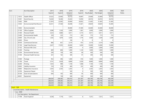| Acct |                | <b>Acct Description</b>                 | 2017    | 2018    | 2019    | 2019           | 2020       | 2020           | 2020        | 2020         |
|------|----------------|-----------------------------------------|---------|---------|---------|----------------|------------|----------------|-------------|--------------|
|      |                |                                         | Expend  | Expend  | Adopted | Expend         | Req Budget | Pub Budget     | Adopted     | <b>Notes</b> |
|      |                |                                         |         |         | Rudnet  |                |            |                | Rudnet      |              |
|      | 11813          | Health Officer                          | 23,522  | 23,993  | 24,732  | 18,997         | 25,969     | 25,969         | 24,732      |              |
|      | 12301          | Social Security                         | 16,264  | 16,446  | 25,634  | 14,950         | 26,916     | 26,916         | 26,916      |              |
|      | 12402          | PERF                                    | 21,974  | 22,092  | 29,909  | 20,852         | 31,405     | 31,405         | 31,405      |              |
|      | 12503          | Environmental/Vital Record              | 26,351  | 27,560  | 28,408  | 21,821         | 29,829     | 29,829         | 35,485      |              |
|      | 12602          | Environmentalist                        |         |         | 40,000  | 27,385         | 42,000     | 42,000         | 40,000      |              |
|      | 21100          | Office Supplies                         | 3,098   | 1,526   | 2,000   | 1,381          | 2,000      | 2,000          | 2,000       |              |
|      | 21300          | Personal Health                         | 3,323   | 3,884   | 4,011   | 3,173          | 4,011      | 4,011          | 4,011       |              |
|      | 21400          | <b>Environmental Health</b>             | 539     | 233     | 773     | 243            | 773        | 773            | 773         |              |
|      | 22000          | Gas, Oil and Lube                       | 1,202   | 1,879   | 3,500   | 1,776          | 3,500      | 3,500          | 2,500       |              |
|      | 22600          | Photo                                   |         |         | 100     | 0              | $\Omega$   | $\overline{0}$ | $\mathbf 0$ |              |
|      | 30100          | <b>Contractural Services</b>            | 866     | 831     | 2,519   | 973            | 2,519      | 2,519          | 1,000       |              |
|      | 31100          | Legal Fees/Services                     | 2,637   | 17,055  | 20,000  | 5,650          | 15,000     | 15,000         | 15,000      |              |
|      | 31102          | Personal Hlth Clinic                    |         |         | 2,000   | 0              | 2,000      | 2,000          | 2,000       |              |
|      | 31200          | Training                                | 809     | 806     | 1,000   | 1,120          | 1,000      | 1,000          | 1,000       |              |
|      | 31204          | <b>Environmental Services</b>           | 200     | 158     | 500     | 80             | 500        | 500            | 500         |              |
|      | 31304          | <b>Personal Health Services</b>         | 261     | 162     | 300     | 91             | 300        | 300            | 300         |              |
|      | 31600          | Postage                                 | 952     | 496     | 1,000   | 816            | 1,000      | 1,000          | 1,000       |              |
|      | 31700          | Travel                                  | 3,741   | 3,628   | 8,890   | 2,039          | 8,890      | 8,890          | 4,000       |              |
|      | 32200          | Printing                                | 1,033   | 989     | 1,100   | 1,068          | 1,100      | 1,100          | 1,100       |              |
|      | 32602          | Liability Insurance                     | 218     | 218     | 400     | 222            | 400        | 400            | 400         |              |
|      | 32803          | Malpractice Insurance                   | 2,303   | 2,303   | 2,303   | $\overline{0}$ | 2,303      | 2,303          | 2,303       |              |
|      | 33700          | Equipment Repair                        | 110     |         | 500     | 0              | 500        | 500            | 500         |              |
|      | 35100          | Dues & Subscriptions                    | 644     | 105     | 400     | 95             | 400        | 400            | 400         |              |
|      | 42601          | Equipment                               |         | 138     | 500     | 120            | 500        | 500            | 500         |              |
|      |                |                                         | 284,039 | 299,385 | 393,910 | 261,387        | 405,796    | 405,796        | 402,599     |              |
|      |                |                                         | 284,039 | 299,385 | 393,910 | 261,387        | 405,796    | 405,796        | 402,599     |              |
|      |                |                                         | 284,039 | 299,385 | 393,910 | 261,387        | 405,796    | 405,796        | 402,599     |              |
|      |                |                                         | 284,039 | 299,385 | 393,910 | 261,387        | 405,796    | 405,796        | 402,599     |              |
|      | Fund: 1168     |                                         |         |         |         |                |            |                |             |              |
|      |                | - Fund Description : Health Maintenance |         |         |         |                |            |                |             |              |
|      | $-$ Loc : 0000 |                                         |         |         |         |                |            |                |             |              |
|      |                | Loc Description : No Department         |         |         |         |                |            |                |             |              |
|      | 11708          | Food Inspector                          | 4,238   | 1,719   | 7,251   | $\overline{0}$ | 7,251      | 7,251          | 7,251       |              |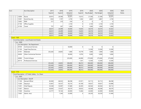| Acct |                |       | <b>Acct Description</b>                            | 2017    | 2018   | 2019    | 2019   | 2020       | 2020       | 2020    | 2020         |
|------|----------------|-------|----------------------------------------------------|---------|--------|---------|--------|------------|------------|---------|--------------|
|      |                |       |                                                    | Expend  | Expend | Adopted | Expend | Req Budget | Pub Budget | Adopted | <b>Notes</b> |
|      |                |       |                                                    |         |        | Rudnet  |        |            |            | Rudnet  |              |
|      |                | 12004 | Nurse                                              | 20,915  | 20,596 | 20,291  | 13,613 | 21,306     | 21,306     | 20,291  |              |
|      |                | 12301 | Social Security                                    | 1,924   | 1,707  | 2,730   | 1,042  | 2,867      | 2,867      | 2,730   |              |
|      |                | 12402 | PERF                                               | 517     | 210    | 618     | 0      | 0          | $\Omega$   | 0       |              |
|      |                | 21100 | Office Supplies                                    |         |        | 2,150   | 0      | 2,150      | 2,150      | 2,150   |              |
|      |                | 31700 | Travel                                             | 757     | 267    | 1,000   | 0      | 1,000      | 1,000      | 1,000   |              |
|      |                |       |                                                    | 28,351  | 24,499 | 34,040  | 14,655 | 34,574     | 34,574     | 33,422  |              |
|      |                |       |                                                    | 28,351  | 24,499 | 34,040  | 14,655 | 34,574     | 34,574     | 33,422  |              |
|      |                |       |                                                    | 28,351  | 24,499 | 34,040  | 14,655 | 34,574     | 34,574     | 33,422  |              |
|      |                |       |                                                    | 28,351  | 24,499 | 34,040  | 14,655 | 34,574     | 34,574     | 33,422  |              |
|      | Fund: 1169     |       |                                                    |         |        |         |        |            |            |         |              |
|      |                |       | - Fund Description : Local Roads And Streets       |         |        |         |        |            |            |         |              |
|      | $-$ Loc : 0000 |       |                                                    |         |        |         |        |            |            |         |              |
|      |                |       | Loc Description : No Department                    |         |        |         |        |            |            |         |              |
|      |                | 30100 | <b>Contractural Services</b>                       |         |        | 50,000  | 0      | 0          | 0          | 0       |              |
|      |                | 31100 | Legal Fees/Services                                |         |        |         |        | 12,500     | 12,500     | 12,500  |              |
|      |                | 31701 | <b>Materials</b>                                   | 252,426 | 24,855 | 1,000   | 10,779 | 1,000      | 1,000      | 1,000   |              |
|      |                | 34200 | <b>Other Contractual Services</b>                  |         |        | 30,000  | 8,793  | 5,000      | 5,000      | 5,000   |              |
|      |                | 42800 | Trucks & Equip                                     |         |        | 225,000 | 64,900 | 275,000    | 275,000    | 275,000 |              |
|      |                | 30110 | <b>Professional Services</b>                       |         |        |         | 1,541  | 12,500     | 12,500     | 12,500  |              |
|      |                |       |                                                    | 252,426 | 24,855 | 306,000 | 86,013 | 306,000    | 306,000    | 306,000 |              |
|      |                |       |                                                    | 252,426 | 24,855 | 306,000 | 86,013 | 306,000    | 306,000    | 306,000 |              |
|      |                |       |                                                    | 252,426 | 24,855 | 306,000 | 86,013 | 306,000    | 306,000    | 306,000 |              |
|      |                |       |                                                    | 252,426 | 24,855 | 306,000 | 86,013 | 306,000    | 306,000    | 306,000 |              |
|      | - Fund: 1170   |       |                                                    |         |        |         |        |            |            |         |              |
|      |                |       | - Fund Description : LIT Public Safety - Co. Share |         |        |         |        |            |            |         |              |
|      | $-$ Loc : 0005 |       |                                                    |         |        |         |        |            |            |         |              |
|      |                |       | Loc Description : Sheriff                          |         |        |         |        |            |            |         |              |
|      |                | 11100 | Elected Offical                                    | 85,000  | 86,923 | 88,298  | 67,871 | 92,713     | 92,713     | 88,298  |              |
|      |                | 11200 | Deputy/s                                           | 53,467  | 54,537 | 56,216  | 43,180 | 59,027     | 59,027     | 63,898  |              |
|      |                | 11201 | <b>Chief Deputy</b>                                | 53,540  | 55,907 | 57,680  | 44,305 | 60,564     | 60,564     | 58,112  |              |
|      |                | 11307 | Matron                                             | 36,692  | 37,427 | 38,579  | 29,632 | 40,508     | 40,508     | 38,579  |              |
|      |                | 11500 | Overtime                                           | 23,777  | 19,144 | 40,000  | 13,464 | 42,000     | 42,000     | 40,000  |              |
|      |                | 11605 | Admin, Asst.                                       |         | 1,344  | 25,000  | 0      | 26,250     | 26,250     | 31,949  |              |
|      |                |       |                                                    |         |        |         |        |            |            |         |              |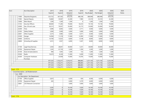| Acct         |                | <b>Acct Description</b>                | 2017    | 2018      | 2019          | 2019    | 2020       | 2020       | 2020      | 2020  |
|--------------|----------------|----------------------------------------|---------|-----------|---------------|---------|------------|------------|-----------|-------|
|              |                |                                        | Expend  | Expend    | Adopted       | Expend  | Req Budget | Pub Budget | Adopted   | Notes |
|              |                |                                        |         |           | <b>Rudget</b> |         |            |            | Rudget    |       |
|              | 11800          | Deputies/Sergeants                     | 523,722 | 567,363   | 654,236       | 486,358 | 686,948    | 686,948    | 654,236   |       |
|              | 11903          | <b>Special Deputy</b>                  | 16,860  | 35,947    | 22,200        | 7,985   | 23,310     | 23,310     | 22,200    |       |
|              | 12000          | Merit Board                            | 1,200   | 1,200     | 1,200         | 0       | 1,200      | 1,200      | 1,200     |       |
|              | 12102          | <b>Security Officers</b>               | 68,660  | 71,283    | 70,606        | 54,233  | 74,136     | 74,136     | 70,606    |       |
|              | 22000          | Gas, Oil and Lube                      | 50,213  | 70,937    | 55,000        | 53,173  | 55,000     | 55,000     | 55,000    |       |
|              | 22200          | Tires                                  | 5,696   | 6,692     | 4,500         | 2,711   | 4,500      | 4,500      | 4,500     |       |
|              | 22303          | Safety Dollars                         | 2,000   | 5,000     | 5,000         | 5,000   | 5,000      | 5,000      | 5,000     |       |
|              | 22601          | <b>Other Supplies</b>                  | 5,273   | 5,983     | 6,500         | 4,371   | 6,500      | 6,500      | 6,500     |       |
|              | 23300          | Garage                                 | 14,958  | 11,318    | 17,000        | 12,995  | 17,000     | 17,000     | 17,000    |       |
|              | 24400          | Uniforms                               | 14,700  | 13,625    | 8,000         | 8,148   | 8,000      | 8,000      | 8,000     |       |
|              | 24800          | Schooling & Supplies                   | 3,015   | 3,957     | 6,000         | 5,507   | 8,000      | 8,000      | 8,000     |       |
|              |                |                                        |         |           |               |         |            |            |           |       |
|              | 31100          | Legal Fees/Services                    | 5,450   | 28,601    | 30,000        | 5,331   | 30,000     | 30,000     | 30,000    |       |
|              | 33700          | Equipment Repair                       | 1,545   | 41,754    | 3,300         | 1,304   | 3,300      | 3,300      | 3,300     |       |
|              | 35100          | Dues & Subscriptions                   | 946     | 1,043     | 1,200         | 132     | 1,200      | 1,200      | 1,200     |       |
|              | 35500          | Radio                                  | 10,619  | 8,328     | 11,000        | 9,289   | 11,000     | 11,000     | 11,000    |       |
|              | 42500          | Computer Hardware                      |         | 23,958    | 15,000        | 31,876  | 15,000     | 15,000     | 15,000    |       |
|              |                | Purchase                               | 977,333 | 1,152,271 | 1,216,515     | 886,865 | 1,271,156  | 1,271,156  | 1,233,578 |       |
|              |                |                                        | 977,333 | 1,152,271 | 1,216,515     | 886,865 | 1,271,156  | 1,271,156  | 1,233,578 |       |
|              |                |                                        | 977,333 | 1,152,271 | 1,216,515     | 886,865 | 1,271,156  | 1,271,156  | 1,233,578 |       |
|              |                |                                        | 977,333 | 1,152,271 | 1,216,515     | 886,865 | 1,271,156  | 1,271,156  | 1,233,578 |       |
| - Fund: 1175 |                |                                        |         |           |               |         |            |            |           |       |
|              |                | - Fund Description : Jail Misdemeanant |         |           |               |         |            |            |           |       |
|              | $-$ Loc : 0000 |                                        |         |           |               |         |            |            |           |       |
|              |                | Loc Description : No Department        |         |           |               |         |            |            |           |       |
|              | 21100          | Office Supplies                        | 3,027   |           | 6,500         | 650     | 6,500      | 6,500      | 6,500     |       |
|              | 33700          | Equipment Repair                       | 265     |           | 6,000         | 3,379   | 6,000      | 6,000      | 6,000     |       |
|              | 33801          | <b>CJIS Network Connection</b>         |         |           | 3,600         | 3,000   | 3,600      | 3,600      | 3,600     |       |
|              |                |                                        | 3,292   | 0         | 16,100        | 7,029   | 16,100     | 16,100     | 16,100    |       |
|              |                |                                        | 3,292   | 0         | 16,100        | 7,029   | 16,100     | 16,100     | 16,100    |       |
|              |                |                                        | 3,292   | 0         | 16,100        | 7,029   | 16,100     | 16,100     | 16,100    |       |
|              |                |                                        | 3,292   | 0         | 16,100        | 7,029   | 16,100     | 16,100     | 16,100    |       |
| - Fund: 1176 |                |                                        |         |           |               |         |            |            |           |       |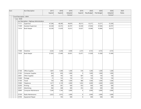| Acct |                       | Acct Description                         | 2017   | 2018   | 2019    | 2019   | 2020       | 2020       | 2020    | 2020  |
|------|-----------------------|------------------------------------------|--------|--------|---------|--------|------------|------------|---------|-------|
|      |                       |                                          | Expend | Expend | Adopted | Expend | Req Budget | Pub Budget | Adopted | Notes |
|      | Fund Description: MVH |                                          |        |        | Rudnet  |        |            |            | Rudnet  |       |
|      | $-$ Loc : 0530        |                                          |        |        |         |        |            |            |         |       |
|      |                       | Loc Description : Highway Administration |        |        |         |        |            |            |         |       |
|      | 11111                 | Supervisor                               | 47,396 | 48,390 | 49,879  | 38,313 | 53,371     | 53,371     | 52,300  |       |
|      | 11309                 | Assistant Supervisor                     |        |        | 44,707  |        |            |            | 44,707  |       |
|      |                       |                                          | 42,528 | 43,372 |         | 34,340 | 47,836     | 47,836     |         |       |
|      | 11414                 | <b>Book Keeper</b>                       | 32,338 | 31,639 | 32,613  | 25,027 | 35,984     | 35,984     | 32,613  |       |
|      |                       |                                          |        |        |         |        |            |            |         |       |
|      |                       |                                          |        |        |         |        |            |            |         |       |
|      |                       |                                          |        |        |         |        |            |            |         |       |
|      |                       |                                          |        |        |         |        |            |            |         |       |
|      |                       |                                          |        |        |         |        |            |            |         |       |
|      |                       |                                          |        |        |         |        |            |            |         |       |
|      |                       |                                          |        |        |         |        |            |            |         |       |
|      |                       |                                          |        |        |         |        |            |            |         |       |
|      | 11500                 | Overtime                                 | 4,242  | 3,238  | 4,500   | 2,373  | 4,725      | 4,725      | 4,725   |       |
|      | 11610                 | <b>Book Keeper</b>                       | 27,503 | 27,494 | 29,501  | 22,471 | 31,928     | 31,928     | 31,949  |       |
|      |                       |                                          |        |        |         |        |            |            |         |       |
|      |                       |                                          |        |        |         |        |            |            |         |       |
|      |                       |                                          |        |        |         |        |            |            |         |       |
|      |                       |                                          |        |        |         |        |            |            |         |       |
|      |                       |                                          |        |        |         |        |            |            |         |       |
|      |                       |                                          |        |        |         |        |            |            |         |       |
|      | 21100                 | Office Supplies                          | 1,007  | 1,309  | 1,200   | 576    | 1,200      | 1,200      | 1,200   |       |
|      | 21302                 | Computer Supplies                        | 824    | 656    | 1,000   | 0      | 1,000      | 1,000      | 1,000   |       |
|      | 22601                 | Other Supplies                           | 226    | 195    | 150     | 687    | 150        | 150        | 150     |       |
|      | 31600                 | Postage                                  | 31     | 132    | 150     | 137    | 150        | 150        | 150     |       |
|      | 31700                 | Travel                                   | 720    | 298    | 1,500   | 480    | 1,500      | 1,500      | 1,500   |       |
|      | 31800                 | Telephone                                | 1,417  | 2,139  | 2,000   | 1,652  | 2,000      | 2,000      | 2,000   |       |
|      | 32200                 | Printing                                 | 395    | 281    | 500     | 453    | 500        | 500        | 500     |       |
|      | 32201                 | Advertising                              | 582    | 348    | 500     | 353    | 500        | 500        | 500     |       |
|      |                       |                                          |        | 1,744  | 2,000   | 0      | 2,000      |            | 2,000   |       |
|      | 32800                 | Computer Maintenance                     | 7,549  |        |         |        |            | 2,000      |         |       |
|      | 33100                 | Radio Maintenance                        | 2,023  | 2,972  | 2,000   | 0      | 2,000      | 2,000      | 2,000   |       |
|      | 33700                 | Equipment Repair                         |        | 105    | 500     | 0      | 500        | 500        | 500     |       |
|      |                       |                                          |        |        |         |        |            |            |         |       |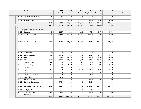| Acct |                | Acct Description                       | 2017    | 2018      | 2019      | 2019     | 2020       | 2020       | 2020      | 2020         |
|------|----------------|----------------------------------------|---------|-----------|-----------|----------|------------|------------|-----------|--------------|
|      |                |                                        | Expend  | Expend    | Adopted   | Expend   | Req Budget | Pub Budget | Adopted   | <b>Notes</b> |
|      |                |                                        |         |           | Rudnet    |          |            |            | Rudnet    |              |
|      | 35207          | Other Services & Charges               | 1,776   | 2,473     | 100       | 744      | 100        | 100        | 100       |              |
|      | 35305          | <b>ELTF Deductible</b>                 |         |           | 25,000    | $\Omega$ | 25,000     | 25,000     | 25,000    |              |
|      |                |                                        | 170,557 | 166,785   | 197,800   | 127,606  | 210,444    | 210,444    | 202,894   |              |
|      |                |                                        | 170,557 | 166,785   | 197,800   | 127,606  | 210,444    | 210,444    | 202,894   |              |
|      | $-$ Loc : 0531 |                                        |         |           |           |          |            |            |           |              |
|      |                | Loc Description : Maintenance & Repair |         |           |           |          |            |            |           |              |
|      | 11500          | Overtime                               | 1,539   | 2,357     | 14,000    | 1,759    | 14,700     | 14,700     | 14,700    |              |
|      | 11607          | Maintenance Operator                   | 131,323 | 144,693   | 100,000   | 116,180  | 107,000    | 107,000    | 150,000   |              |
|      | 11706          | Maintenance Worker                     | 428,703 | 435,415   | 505,715   | 347,222  | 541,115    | 541,115    | 541,115   |              |
|      | 22201          | <b>Weed Spray</b>                      | 491     | 392       | 329       | 0        | 329        | 329        | 329       |              |
|      | 22305          | Dustay Dust Control                    | 8,543   | 16,872    | 10,000    | $\Omega$ | 10,000     | 10,000     | 10,000    |              |
|      | 22401          | Stone                                  |         | 697,835   | 750,000   | 8,926    | 25,000     | 25,000     | 25,000    |              |
|      | 22500          | Bituminous                             | 181,577 | 553,054   | 941,000   | 5,436    | 200,000    | 200,000    | 200,000   |              |
|      | 22602          | Hardware & Tools                       | 3,177   | 3,906     | 3,000     | 1,446    | 3,000      | 3,000      | 3,000     |              |
|      | 22800          | Culverts & Pipes                       | 29,524  | 54,253    | 30,000    | 16,204   | 30,000     | 30,000     | 30,000    |              |
|      | 22900          | Lumber                                 | 10      | 48        | 100       | 0        | 100        | 100        | 100       |              |
|      | 23000          | Signs                                  | 8,814   | 17,700    | 14,000    | 23,411   | 14,000     | 14,000     | 14,000    |              |
|      | 23100          | <b>Bricks</b>                          |         | 98        | 300       | 0        | 300        | 300        | 300       |              |
|      | 23200          | Cement & Ready Mix                     | 237     | 2,459     | 500       | 3,243    | 500        | 500        | 500       |              |
|      | 23500          | <b>Buggy Plates</b>                    | 31,504  | 1,800     | 100       | 411      | 100        | 100        | 100       |              |
|      | 31300          | <b>Temporary Services</b>              |         |           | 5,000     | 0        | 5,000      | 5,000      | 5,000     |              |
|      | 34101          | Equipment Rental/Lease                 |         | 17,799    | 3,000     | 0        | 3,000      | 3,000      | 3,000     |              |
|      | 34200          | <b>Other Contractual Services</b>      | 24,057  | 390,317   | 500       | 0        | 1,000,000  | 1,000,000  | 500,000   |              |
|      | 34302          | <b>Utility Repair</b>                  |         |           | 100       | $\Omega$ | 100        | 100        | 100       |              |
|      | 35208          | Drainage & Other<br>Assessments        | 6,447   | 5,634     | 7,000     | 5,314    | 7,000      | 7,000      | 7,000     |              |
|      |                |                                        | 855,946 | 2,344,632 | 2,384,644 | 529,552  | 1,961,244  | 1,961,244  | 1,504,244 |              |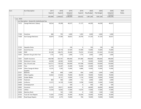| Acct |               | Acct Description                              | 2017    | 2018      | 2019                | 2019     | 2020       | 2020       | 2020                | 2020  |
|------|---------------|-----------------------------------------------|---------|-----------|---------------------|----------|------------|------------|---------------------|-------|
|      |               |                                               | Expend  | Expend    | Adopted             | Expend   | Req Budget | Pub Budget | Adopted             | Notes |
|      |               |                                               | 855,946 | 2,344,632 | Rudget<br>2,384,644 | 529,552  | 1,961,244  | 1,961,244  | Rudnet<br>1,504,244 |       |
|      | $-$ Loc: 0533 |                                               |         |           |                     |          |            |            |                     |       |
|      |               | Loc Description : General & Undistributed Exp |         |           |                     |          |            |            |                     |       |
|      | 11413         | Garage Mechanic (Salary)                      | 38,554  | 39,298    | 40,537              | 31,137   | 44,200     | 44,200     | 40,537              |       |
|      |               |                                               |         |           |                     |          |            |            |                     |       |
|      |               |                                               |         |           |                     |          |            |            |                     |       |
|      |               |                                               |         |           |                     |          |            |            |                     |       |
|      | 11500         | Overtime                                      | 486     | 795       | 3,000               | 1,093    | 3,000      | 3,000      | 3,000               |       |
|      | 11609         | Asst Garage Mechanic                          | 36,879  | 37,584    | 38,833              | 29,709   | 41,330     | 41,330     | 39,437              |       |
|      |               |                                               |         |           |                     |          |            |            |                     |       |
|      |               |                                               |         |           |                     |          |            |            |                     |       |
|      |               |                                               |         |           |                     |          |            |            |                     |       |
|      | 12103         | <b>Hepatitis Shots</b>                        |         |           | 100                 | 0        | 100        | 100        | 100                 |       |
|      | 12301         | Social Security                               | 57,371  | 59,110    | 67,929              | 47,690   | 72,684     | 72,684     | 72,684              |       |
|      | 12402         | PERF                                          | 85,189  | 108,275   | 95,000              | 79,255   | 101,650    | 101,650    | 101,650             |       |
|      | 12501         | Random Drug & Alch Test                       | 1,735   | 1,076     | 2,000               | 1,774    | 2,000      | 2,000      | 2,000               |       |
|      | 12601         | Health Insurance                              | 464,788 | 503,791   | 496,000             | 391,486  | 496,000    | 496,000    | 496,000             |       |
|      | 12700         | Workman's Comp                                | 44,508  | 40,583    | 50,000              | 0        | 50,000     | 50,000     | 50,000              |       |
|      | 22000         | Gas, Oil and Lube                             | 103,721 | 178,526   | 160,000             | 147,598  | 130,000    | 130,000    | 130,000             |       |
|      | 22200         | <b>Tires</b>                                  | 23,773  | 32,267    | 25,000              | 10,446   | 25,000     | 25,000     | 25,000              |       |
|      | 22304         | Other Garage & Motor<br><b>Supplies</b>       | 13,376  | 7,283     | 15,000              | 6,886    | 15,000     | 15,000     | 15,000              |       |
|      | 22501         | <b>Batteries</b>                              | 938     | 899       | 2,000               | 856      | 2,000      | 2,000      | 2,000               |       |
|      | 22601         | Other Supplies                                | 34,462  | 61,654    | 70,000              | 56,539   | 70,000     | 70,000     | 70,000              |       |
|      | 22603         | Grader Blades                                 |         | 16,131    | 10,000              | 1,134    | 10,000     | 10,000     | 10,000              |       |
|      | 22700         | Fasteners                                     | 860     | 584       | 2,000               | 112      | 2,000      | 2,000      | 2,000               |       |
|      | 24400         | Uniforms                                      | 12,572  | 14,139    | 15,000              | 9,708    | 15,000     | 15,000     | 15,000              |       |
|      | 32600         | Unemployment                                  |         |           | 500                 | 0        | 500        | 500        | 500                 |       |
|      | 32802         | Insurance                                     | 55,781  | 59,011    | 66,000              | $\Omega$ | 66,000     | 66,000     | 66,000              |       |
|      | 33102         | <b>Utlities</b>                               | 12,544  | 16,942    | 17,000              | 13,674   | 17,000     | 17,000     | 17,000              |       |
|      | 33604         | Machine Work                                  |         | 102       | 1,500               | 0        | 1,500      | 1,500      | 1,500               |       |
|      | 33703         | Truck & Tract Repairs                         | 15,383  | 27,043    | 35,000              | 26,204   | 35,000     | 35,000     | 35,000              |       |
|      | 33902         | Road Equip Repairs                            | 17,439  | 2,375     | 10,000              | 706      | 10,000     | 10,000     | 10,000              |       |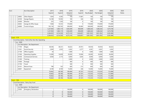|                | <b>Acct Description</b>                           | 2017      | 2018      | 2019      | 2019           | 2020       | 2020       | 2020      | 2020         |
|----------------|---------------------------------------------------|-----------|-----------|-----------|----------------|------------|------------|-----------|--------------|
|                |                                                   | Expend    | Expend    | Adopted   | Expend         | Req Budget | Pub Budget | Adopted   | <b>Notes</b> |
|                |                                                   |           |           | Rudget    |                |            |            | Rudnet    |              |
| 34002          | Other Repairs                                     | 1,054     | 4,392     | 100       | 17,681         | 100        | 100        | 100       |              |
| 34100          | Garage Repairs                                    | 16,108    | 19,593    | 100       | 326            | 100        | 100        | 100       |              |
| 34300          | Wrecker                                           | 225       | 1,550     | 100       | 0              | 100        | 100        | 100       |              |
| 42602          | Garage & Office Equip                             | 7,068     | 10,353    | 170,000   | $\Omega$       | 170,000    | 170,000    | 170,000   |              |
| 42800          | Trucks & Equip                                    | 193,136   | 559,763   | 300,000   | 95,685         | 300,000    | 300,000    | 300,000   |              |
|                |                                                   | 1,237,950 | 1,803,119 | 1,692,699 | 969,699        | 1,680,264  | 1,680,264  | 1,674,708 |              |
|                |                                                   | 1,237,950 | 1,803,119 | 1,692,699 | 969,699        | 1,680,264  | 1,680,264  | 1,674,708 |              |
|                |                                                   | 2,264,453 | 4,314,536 | 4,275,143 | 1,626,857      | 3,851,952  | 3,851,952  | 3,381,846 |              |
|                |                                                   | 2,264,453 | 4,314,536 | 4,275,143 | 1,626,857      | 3,851,952  | 3,851,952  | 3,381,846 |              |
| - Fund: 1179   |                                                   |           |           |           |                |            |            |           |              |
|                | - Fund Description : Park & Rec Non Rev Operating |           |           |           |                |            |            |           |              |
| $-$ Loc : 0000 |                                                   |           |           |           |                |            |            |           |              |
|                | Loc Description : No Department                   |           |           |           |                |            |            |           |              |
| 11704          | Wages                                             | 38,546    | 38,321    | 56,622    | 29,761         | 59,454     | 59,454     | 56,622    |              |
| 12301          | Social Security                                   | 2,949     | 2,932     | 4,362     | 2,277          | 4,581      | 4,581      | 4,362     |              |
| 21100          | Office Supplies                                   | 34        |           | 1,000     | 0              | 1,000      | 1,000      | 1,000     |              |
| 21500          | <b>Operating Supplies</b>                         | 15,008    | 16,838    | 20,000    | 10,946         | 26,000     | 26,000     | 26,000    |              |
| 30100          | <b>Contractural Services</b>                      | 4,938     | 2,173     | 6,000     | 3,656          | 6,000      | 6,000      | 6,000     |              |
| 31200          | Training                                          |           |           | 2,000     | $\Omega$       | 2,000      | 2,000      | 2,000     |              |
| 31600          | Postage                                           |           |           | 400       | $\Omega$       | 400        | 400        | 400       |              |
| 31700          | Travel                                            |           |           | 500       | 0              | 500        | 500        | 500       |              |
| 35101          | Refund-Dues                                       | 798       | 163       | 600       | 215            | 600        | 600        | 600       |              |
| 42601          | Equipment                                         | 8,189     | 8,769     | 15,000    | 246            | 15,000     | 15,000     | 15,000    |              |
|                |                                                   | 70,462    | 69,196    | 106,484   | 47,101         | 115,535    | 115,535    | 112,484   |              |
|                |                                                   | 70,462    | 69,196    | 106,484   | 47,101         | 115,535    | 115,535    | 112,484   |              |
|                |                                                   | 70,462    | 69,196    | 106,484   | 47,101         | 115,535    | 115,535    | 112,484   |              |
|                |                                                   | 70,462    | 69,196    | 106,484   | 47,101         | 115,535    | 115,535    | 112,484   |              |
| - Fund: 1186   |                                                   |           |           |           |                |            |            |           |              |
|                | - Fund Description : Rainy Day Fund               |           |           |           |                |            |            |           |              |
| $-$ Loc : 0000 |                                                   |           |           |           |                |            |            |           |              |
|                | Loc Description : No Department                   |           |           |           |                |            |            |           |              |
| 31603          | Emergency Declaration                             |           |           | 100,000   | 0              | 100,000    | 100,000    | 100,000   |              |
|                |                                                   | 0         | 0         | 100,000   | $\overline{0}$ | 100,000    | 100,000    | 100,000   |              |
|                |                                                   | 0         | 0         | 100,000   | 0              | 100,000    | 100,000    | 100,000   |              |
|                |                                                   | 0         | 0         | 100,000   | $\overline{0}$ | 100,000    | 100,000    | 100,000   |              |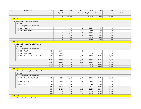| Acct           |                          |                | Acct Description                                 | 2017           | 2018   | 2019    | 2019     | 2020       | 2020       | 2020     | 2020         |
|----------------|--------------------------|----------------|--------------------------------------------------|----------------|--------|---------|----------|------------|------------|----------|--------------|
|                |                          |                |                                                  | Expend         | Expend | Adopted | Expend   | Req Budget | Pub Budget | Adopted  | <b>Notes</b> |
|                |                          |                |                                                  |                |        | Rudnet  |          |            |            | Rudnet   |              |
|                |                          |                |                                                  | 0              | 0      | 100,000 | 0        | 100,000    | 100,000    | 100,000  |              |
| $\blacksquare$ | <b>Fund: 1189</b>        |                |                                                  |                |        |         |          |            |            |          |              |
|                |                          |                | - Fund Description : Recorders Perp Fund         |                |        |         |          |            |            |          |              |
|                |                          | $-$ Loc : 0000 |                                                  |                |        |         |          |            |            |          |              |
|                | $\overline{\phantom{a}}$ |                | Loc Description : No Department                  |                |        |         |          |            |            |          |              |
|                |                          | 11300          | Part Time                                        |                |        | 5,500   | 0        | 5,500      | 5,500      | 5,500    |              |
|                |                          | 12301          | Social Security                                  |                |        | 550     | 0        | 550        | 550        | 550      |              |
|                |                          |                |                                                  | $\overline{0}$ | 0      | 6,050   | 0        | 6,050      | 6,050      | 6,050    |              |
|                |                          |                |                                                  | 0              | 0      | 6,050   | $\Omega$ | 6,050      | 6,050      | 6,050    |              |
|                |                          |                |                                                  | 0              | 0      | 6,050   | 0        | 6,050      | 6,050      | 6,050    |              |
|                |                          |                |                                                  | 0              | 0      | 6,050   | 0        | 6,050      | 6,050      | 6,050    |              |
|                | <b>Fund: 1200</b>        |                |                                                  |                |        |         |          |            |            |          |              |
|                |                          |                | - Fund Description : Supp Public Defender Serv   |                |        |         |          |            |            |          |              |
|                |                          | $-$ Loc : 0000 |                                                  |                |        |         |          |            |            |          |              |
|                |                          |                | Loc Description : No Department                  |                |        |         |          |            |            |          |              |
|                |                          | 11300          | Part Time                                        | 9,202          | 16,043 |         | 0        | 0          | 0          | 0        |              |
|                |                          | 12301          | Social Security                                  | 704            | 932    |         | $\Omega$ | $\Omega$   | $\Omega$   | $\Omega$ |              |
|                |                          | 13500          | Appointed Pauper Council                         | 1,936          | 5,385  |         | 3,836    | 10,000     | 10,000     | 10,000   |              |
|                |                          |                |                                                  | 11,842         | 22,360 | 0       | 3,836    | 10,000     | 10,000     | 10,000   |              |
|                |                          |                |                                                  | 11,842         | 22,360 | 0       | 3,836    | 10,000     | 10,000     | 10,000   |              |
|                |                          |                |                                                  | 11,842         | 22,360 | 0       | 3,836    | 10,000     | 10,000     | 10,000   |              |
|                |                          |                |                                                  | 11,842         | 22,360 | 0       | 3,836    | 10,000     | 10,000     | 10,000   |              |
|                | <b>Fund: 1202</b>        |                |                                                  |                |        |         |          |            |            |          |              |
|                |                          |                | - Fund Description : County Surveyor Corner Perp |                |        |         |          |            |            |          |              |
|                |                          | $-$ Loc : 0000 |                                                  |                |        |         |          |            |            |          |              |
|                |                          |                | Loc Description : No Department                  |                |        |         |          |            |            |          |              |
|                |                          | 11113          | Ditch Tech-Full/Part Time                        | 3,680          | 4,318  | 10,232  | 4,368    | 10,744     | 10,744     | 10,232   |              |
|                |                          | 12301          | Social Security                                  | 276            | 324    | 888     | 328      | 932        | 932        | 888      |              |
|                |                          | 12402          | PERF                                             | 449            | 522    | 1,248   | 533      | 1,310      | 1,310      | 1,248    |              |
|                |                          |                |                                                  | 4,405          | 5,164  | 12,368  | 5,229    | 12,986     | 12,986     | 12,368   |              |
|                |                          |                |                                                  | 4,405          | 5,164  | 12,368  | 5,229    | 12,986     | 12,986     | 12,368   |              |
|                |                          |                |                                                  | 4,405          | 5,164  | 12,368  | 5,229    | 12,986     | 12,986     | 12,368   |              |
|                |                          |                |                                                  | 4,405          | 5,164  | 12,368  | 5,229    | 12,986     | 12,986     | 12,368   |              |
|                | <b>Fund: 1206</b>        |                |                                                  |                |        |         |          |            |            |          |              |
|                |                          |                | - Fund Description : Tobacco Grant Fund          |                |        |         |          |            |            |          |              |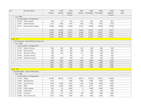| Acct         |                                                                       |                          |       | <b>Acct Description</b>                   | 2017   | 2018   | 2019    | 2019   | 2020       | 2020       | 2020    | 2020         |
|--------------|-----------------------------------------------------------------------|--------------------------|-------|-------------------------------------------|--------|--------|---------|--------|------------|------------|---------|--------------|
|              |                                                                       |                          |       |                                           | Expend | Expend | Adopted | Expend | Req Budget | Pub Budget | Adopted | <b>Notes</b> |
|              |                                                                       |                          |       |                                           |        |        | Rudget  |        |            |            | Rudget  |              |
|              |                                                                       | $-$ Loc : 0000           |       |                                           |        |        |         |        |            |            |         |              |
|              |                                                                       | $\overline{\phantom{a}}$ |       | Loc Description : No Department           |        |        |         |        |            |            |         |              |
|              |                                                                       |                          | 21100 | Office Supplies                           | 329    | 61     | 981     | 542    | 981        | 981        | 981     |              |
|              |                                                                       |                          | 21201 | <b>Health Engineer</b>                    | 2,125  | 1,599  | 1,550   | 1,425  | 1,550      | 1,550      | 1,550   |              |
|              |                                                                       |                          | 21301 | <b>Environmental Supplies</b>             | 12,809 | 18,508 | 18,500  | 14,327 | 18,500     | 18,500     | 18,500  |              |
|              |                                                                       |                          |       |                                           | 15,263 | 20,168 | 21,031  | 16,294 | 21,031     | 21,031     | 21,031  |              |
|              |                                                                       |                          |       |                                           | 15,263 | 20,168 | 21,031  | 16,294 | 21,031     | 21,031     | 21,031  |              |
|              |                                                                       |                          |       |                                           | 15,263 | 20,168 | 21,031  | 16,294 | 21,031     | 21,031     | 21,031  |              |
|              |                                                                       |                          |       |                                           | 15,263 | 20,168 | 21,031  | 16,294 | 21,031     | 21,031     | 21,031  |              |
| - Fund: 1217 |                                                                       |                          |       |                                           |        |        |         |        |            |            |         |              |
|              | - Fund Description : Elected Official Training Cnty<br>$-$ Loc : 0000 |                          |       |                                           |        |        |         |        |            |            |         |              |
|              |                                                                       |                          |       |                                           |        |        |         |        |            |            |         |              |
|              |                                                                       | $\overline{\phantom{a}}$ |       | Loc Description : No Department           |        |        |         |        |            |            |         |              |
|              |                                                                       |                          | 31103 | Auditor Training                          | 500    | 500    | 500     | 402    | 500        | 500        | 500     |              |
|              |                                                                       |                          | 31205 | <b>Clerk Training</b>                     | 330    | 500    | 500     | 500    | 500        | 500        | 500     |              |
|              |                                                                       |                          | 31301 | <b>Recorder Training</b>                  | 496    | 416    | 500     | 271    | 500        | 500        | 500     |              |
|              |                                                                       |                          | 31403 | Surveyor Training                         | 100    |        | 500     | 0      | 500        | 500        | 500     |              |
|              |                                                                       |                          | 31503 | <b>Treasurer Training</b>                 | 500    | 500    | 500     | 491    | 500        | 500        | 500     |              |
|              |                                                                       |                          |       |                                           | 1,926  | 1,916  | 2,500   | 1,664  | 2,500      | 2,500      | 2,500   |              |
|              |                                                                       |                          |       |                                           | 1,926  | 1,916  | 2,500   | 1,664  | 2,500      | 2,500      | 2,500   |              |
|              |                                                                       |                          |       |                                           | 1,926  | 1,916  | 2,500   | 1,664  | 2,500      | 2,500      | 2,500   |              |
|              |                                                                       |                          |       |                                           | 1,926  | 1,916  | 2,500   | 1,664  | 2,500      | 2,500      | 2,500   |              |
| - Fund: 1219 |                                                                       |                          |       |                                           |        |        |         |        |            |            |         |              |
|              |                                                                       |                          |       | - Fund Description : Parks And Recreation |        |        |         |        |            |            |         |              |
|              |                                                                       | $-$ Loc : 0000           |       |                                           |        |        |         |        |            |            |         |              |
|              | Loc Description : No Department                                       |                          |       |                                           |        |        |         |        |            |            |         |              |
|              |                                                                       |                          | 11704 | Wages                                     | 66,369 | 58,676 | 75,755  | 42,061 | 79,543     | 79,543     | 70,000  |              |
|              |                                                                       |                          | 11804 | Board Member                              | 1,275  |        | 1,800   | 1,500  | 1,800      | 1,800      | 1,800   |              |
|              |                                                                       |                          | 12301 | Social Security                           | 4,760  | 4,389  | 5,970   | 3,149  | 6,269      | 6,269      | 5,970   |              |
|              |                                                                       |                          | 12402 | PERF                                      | 7,426  | 6,432  | 7,882   | 4,733  | 8,277      | 8,277      | 7,882   |              |
|              |                                                                       |                          | 21100 | Office Supplies                           | 822    | 32     | 3,000   | 0      | 3,000      | 3,000      | 1,000   |              |
|              |                                                                       |                          | 21603 | Institutional                             | 487    | 192    | 200     | 0      | 200        | 200        | 200     |              |
|              |                                                                       |                          | 21901 | Chemicals                                 | 1,305  | 317    | 1,500   | 180    | 1,500      | 1,500      | 1,000   |              |
|              |                                                                       |                          | 22000 | Gas, Oil and Lube                         | 4,191  | 4,208  | 7,000   | 2,637  | 7,000      | 7,000      | 5,000   |              |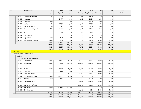| Acct              |                | Acct Description                   | 2017    | 2018    | 2019    | 2019     | 2020       | 2020       | 2020     | 2020         |
|-------------------|----------------|------------------------------------|---------|---------|---------|----------|------------|------------|----------|--------------|
|                   |                |                                    | Expend  | Expend  | Adopted | Expend   | Req Budget | Pub Budget | Adopted  | <b>Notes</b> |
|                   |                |                                    |         |         | Rudget  |          |            |            | Rudget   |              |
|                   | 30100          | <b>Contractural Services</b>       | 660     | 1,100   | 5,500   | 705      | 5,500      | 5,500      | 1,500    |              |
|                   | 31701          | Materials                          |         | 2,477   | 2,000   | 1,598    | 2,000      | 2,000      | 2,000    |              |
|                   | 32802          | Insurance                          | 5,498   |         | 5,000   | 0        | 5,000      | 5,000      | $\Omega$ |              |
|                   | 33102          | <b>Utlities</b>                    | 815     | 1,269   | 2,000   | 1,361    | 2,000      | 2,000      | 2,000    |              |
|                   | 33700          | Equipment Repair                   | 389     | 511     | 3,000   | 1,189    | 3,000      | 3,000      | 2,000    |              |
|                   | 34600          | Contractural-City of Decatur       | 7,267   | 7,425   | 7,646   | 6,446    | 8,105      | 8,105      | 8,105    |              |
|                   | 34700          | Assessments                        | 58      | 58      | 125     | 94       | 125        | 125        | 125      |              |
|                   | 35101          | Refund-Dues                        |         |         | 50      | 0        | 50         | 50         | 50       |              |
|                   | 42601          | Equipment                          | 1,800   | 2,050   | 4,000   | 10,919   | 4,000      | 4,000      | 4,000    |              |
|                   | 43100          | Other Capital Outlays              | 10, 165 | 1,400   | 12,000  | 0        | 12,000     | 12,000     | 12,000   |              |
|                   |                |                                    | 113,287 | 90,536  | 144,428 | 76,572   | 149,369    | 149,369    | 124,632  |              |
|                   |                |                                    | 113,287 | 90,536  | 144,428 | 76,572   | 149,369    | 149,369    | 124,632  |              |
|                   |                |                                    | 113,287 | 90,536  | 144,428 | 76,572   | 149,369    | 149,369    | 124,632  |              |
|                   |                |                                    | 113,287 | 90,536  | 144,428 | 76,572   | 149,369    | 149,369    | 124,632  |              |
| <b>Fund: 1222</b> |                |                                    |         |         |         |          |            |            |          |              |
|                   |                | - Fund Description : Statewide 911 |         |         |         |          |            |            |          |              |
|                   | $-$ Loc : 0000 |                                    |         |         |         |          |            |            |          |              |
|                   |                | Loc Description : No Department    |         |         |         |          |            |            |          |              |
|                   | 10700          | Coordinator                        | 34,834  | 35,531  | 36,625  | 28,132   | 38,456     | 38,456     | 36,625   |              |
|                   | 10900          | Dispatcher                         | 190,338 | 191,598 | 197,515 | 162,953  | 238,076    | 238,076    | 206,605  |              |
|                   | 11415          | Asst Dispatcher                    | 21,977  | 25,698  | 28,000  | 23,608   | 29,400     | 29,400     | 29,400   |              |
|                   | 11500          | Overtime                           |         | 1,813   | 10,000  | 0        | 10,500     | 10,500     | 10,500   |              |
|                   | 11901          | Chief Dispatcher                   |         |         | 46,644  | 32,102   | 48,976     | 48,976     | 43,805   |              |
|                   | 21101          | 911 Database Access                | 36,569  | 40,907  | 64,000  | $\Omega$ | $\Omega$   | $\Omega$   | $\Omega$ |              |
|                   | 31200          | Training                           | 6,099   | 2,966   | 6,200   | 8,780    | 6,200      | 6,200      | 6,200    |              |
|                   | 37500          | Radio Tower Lease                  |         |         |         | 55,437   | 30,600     | 30,600     | 30,600   |              |
|                   | 34400          | Equipment/Software                 |         |         |         | 121,072  | 113,000    | 113,000    | 113,000  |              |
|                   | 42601          | Equipment                          | 112,999 | 100,675 | 113,000 | 0        |            | 0          | 0        |              |
|                   | 34303          | 911 Database                       |         |         |         | 29,346   | 64,000     | 64,000     | 64,000   |              |
|                   |                |                                    | 402,816 | 399,188 | 501,984 | 461,430  | 579,208    | 579,208    | 540,735  |              |
|                   |                |                                    | 402,816 | 399,188 | 501,984 | 461,430  | 579,208    | 579,208    | 540,735  |              |
|                   |                |                                    | 402,816 | 399,188 | 501,984 | 461,430  | 579,208    | 579,208    | 540,735  |              |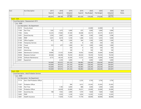| Acct          |                | <b>Acct Description</b>                       | 2017    | 2018    | 2019    | 2019     | 2020       | 2020       | 2020     | 2020  |
|---------------|----------------|-----------------------------------------------|---------|---------|---------|----------|------------|------------|----------|-------|
|               |                |                                               | Expend  | Expend  | Adopted | Expend   | Req Budget | Pub Budget | Adopted  | Notes |
|               |                |                                               |         |         | Rudnet  |          |            |            | Rudnet   |       |
|               |                |                                               | 402,816 | 399,188 | 501,984 | 461,430  | 579,208    | 579,208    | 540,735  |       |
| - Fund: 1224  |                |                                               |         |         |         |          |            |            |          |       |
|               |                | - Fund Description : Reassessment 2015        |         |         |         |          |            |            |          |       |
|               | $-$ Loc : 0000 |                                               |         |         |         |          |            |            |          |       |
|               |                | - Loc Description : No Department             |         |         |         |          |            |            |          |       |
|               | 35210          | County Aerial                                 |         |         |         |          | 22,000     | 22,000     | $\Omega$ |       |
|               | 11300          | Part Time                                     | 1,365   | 1,675   | 5,000   | 675      | 5,000      | 5,000      | 5,000    |       |
|               | 11902          | <b>Clerks</b>                                 | 35,255  | 37,865  | 41,500  | 30,048   | 43,575     | 43,575     | 42,001   |       |
|               | 12301          | Social Security                               | 2,593   | 2,867   | 3,200   | 804      | 3,360      | 3,360      | 3,596    |       |
|               | 12402          | PERF                                          | 4,301   | 4,619   | 5,100   | 1,280    | 5,355      | 5,355      | 5,040    |       |
|               | 21100          | Office Supplies                               | 813     | 964     | 1,500   | 564      | 1,500      | 1,500      | 1,500    |       |
|               | 31300          | <b>Temporary Services</b>                     |         |         | 250     | 0        | 250        | 250        | 250      |       |
|               | 31700          | Travel                                        | 312     | 477     | 1,000   | 161      | 1,000      | 1,000      | 1,000    |       |
|               | 32200          | Printing                                      |         |         | 250     | $\Omega$ | 250        | 250        | 250      |       |
|               | 32201          | Advertising                                   | 86      |         | 100     | $\Omega$ | 100        | 100        | 100      |       |
|               | 33600          | Maintenance Contracts                         | 29,985  | 31,525  | 35,600  | 10,502   | 35,600     | 35,600     | 35,600   |       |
|               | 35204          | Reassess Contract                             | 60,584  | 60,496  | 70,250  | 49,224   | 70,250     | 70,250     | 70,250   |       |
|               | 35700          | Software Maintenance                          | 9,775   | 44,334  | 32,500  | 13,725   | 35,000     | 35,000     | 35,000   |       |
|               | 42601          | Equipment                                     |         | 2,250   | 5,000   | $\Omega$ | 5,000      | 5,000      | 5,000    |       |
|               |                |                                               | 145,069 | 187,072 | 201,250 | 106,983  | 228,240    | 228,240    | 204,587  |       |
|               |                |                                               | 145,069 | 187,072 | 201,250 | 106,983  | 228,240    | 228,240    | 204,587  |       |
|               |                |                                               | 145,069 | 187,072 | 201,250 | 106,983  | 228,240    | 228,240    | 204,587  |       |
|               |                |                                               | 145,069 | 187,072 | 201,250 | 106,983  | 228,240    | 228,240    | 204,587  |       |
| - Fund : 2100 |                |                                               |         |         |         |          |            |            |          |       |
|               |                | - Fund Description : Adult Probation Services |         |         |         |          |            |            |          |       |
|               | $-$ Loc : 0000 |                                               |         |         |         |          |            |            |          |       |
|               |                | Loc Description : No Department               |         |         |         |          |            |            |          |       |
|               | 11114          | Asst. Chief Probation Officer                 |         |         |         | 2,235    | 3,750      | 3,750      | 3,750    |       |
|               | 11207          | Probation Officer                             |         |         | 584     | 3,612    | 25,363     | 25,363     | 25,363   |       |
|               | 11300          | Part Time                                     |         | 1,185   | 6,000   | 888      | 5,000      | 5,000      | 5,000    |       |
|               | 11504          | <b>Probation Officer</b>                      |         | 24,039  | 25,000  | 19,231   | 25,000     | 25,000     | 25,000   |       |
|               | 12301          | Social Security                               | 108     | 1,952   | 2,000   | 1,919    | 7,828      | 7,828      | 7,828    |       |
|               | 12402          | PERF                                          |         | 2,933   | 3,100   | 3,024    | 12,505     | 12,505     | 12,505   |       |
|               | 12601          | Health Insurance                              |         | 11,834  | 11,250  | 17,759   | 60,000     | 60,000     | 60,000   |       |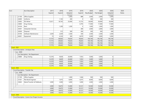| Acct |               |                | <b>Acct Description</b>                       | 2017   | 2018   | 2019    | 2019   | 2020       | 2020       | 2020    | 2020         |
|------|---------------|----------------|-----------------------------------------------|--------|--------|---------|--------|------------|------------|---------|--------------|
|      |               |                |                                               | Expend | Expend | Adopted | Expend | Req Budget | Pub Budget | Adopted | <b>Notes</b> |
|      |               |                |                                               |        |        | Rudnet  |        |            |            | Rudget  |              |
|      |               | 21100          | Office Supplies                               |        |        | 2,000   | 888    | 2,000      | 2,000      | 2,000   |              |
|      |               | 24400          | Uniforms                                      |        | 1,102  | 200     | 0      | 300        | 300        | 300     |              |
|      |               | 33002          | PSI Writer                                    | 15,611 | 18,743 | 25,000  | 12,733 | 26,000     | 26,000     | 26,000  |              |
|      |               | 33800          | Drug Testing                                  |        |        |         | 6,795  | 17,000     | 17,000     | 17,000  |              |
|      |               | 34104          | Rent                                          |        | 1,200  | 1,200   | 0      | 1,000      | 1,000      | 1,000   |              |
|      |               | 34301          | <b>Interpreter Services</b>                   |        |        |         | 280    | 2,000      | 2,000      | 2,000   |              |
|      |               | 34500          | Disposal                                      |        | 312    | 500     | 260    | 500        | 500        | 500     |              |
|      |               | 35700          | Software Maintenance                          | 2,039  | 2,039  | 2,500   | 340    | 2,500      | 2,500      | 2,500   |              |
|      |               | 42601          | Equipment                                     | 15     | 4,324  | 300     | 8,679  | 5,000      | 5,000      | 5,000   |              |
|      |               |                |                                               | 17,773 | 69,663 | 79,634  | 78,643 | 195,746    | 195,746    | 195,746 |              |
|      |               |                |                                               | 17,773 | 69,663 | 79,634  | 78,643 | 195,746    | 195,746    | 195,746 |              |
|      |               |                |                                               | 17,773 | 69,663 | 79,634  | 78,643 | 195,746    | 195,746    | 195,746 |              |
|      |               |                |                                               | 17,773 | 69,663 | 79,634  | 78,643 | 195,746    | 195,746    | 195,746 |              |
|      | - Fund : 2501 |                |                                               |        |        |         |        |            |            |         |              |
|      |               |                | - Fund Description : Urinalysis Fees          |        |        |         |        |            |            |         |              |
|      |               | $-$ Loc : 0000 |                                               |        |        |         |        |            |            |         |              |
|      |               |                | Loc Description : No Department               |        |        |         |        |            |            |         |              |
|      |               | 33800          | Drug Testing                                  | 12,570 | 9,829  | 20,000  | 7,053  | 5,000      | 5,000      | 0       |              |
|      |               |                |                                               | 12,570 | 9,829  | 20,000  | 7,053  | 5,000      | 5,000      | 0       |              |
|      |               |                |                                               | 12,570 | 9,829  | 20,000  | 7,053  | 5,000      | 5,000      | 0       |              |
|      |               |                |                                               | 12,570 | 9,829  | 20,000  | 7,053  | 5,000      | 5,000      | 0       |              |
|      |               |                |                                               | 12,570 | 9,829  | 20,000  | 7,053  | 5,000      | 5,000      | 0       |              |
|      | - Fund: 2502  |                |                                               |        |        |         |        |            |            |         |              |
|      |               |                | - Fund Description : Transfer Fee             |        |        |         |        |            |            |         |              |
|      |               | $-$ Loc: 0000  |                                               |        |        |         |        |            |            |         |              |
|      |               |                | Loc Description : No Department               |        |        |         |        |            |            |         |              |
|      |               | 21100          | Office Supplies                               |        |        | 1,000   | 1,046  | 500        | 500        | 500     |              |
|      |               | 31501          | Plat Book Engineer                            |        | 7,675  | 8,000   | 6,075  | 8,000      | 8,000      | 8,000   |              |
|      |               | 33602          | Maint/Transfer & PlatBooks                    | 3,000  | 3,000  | 3,000   | 3,000  | 2,000      | 2,000      | 2,000   |              |
|      |               |                |                                               | 3,000  | 10,675 | 12,000  | 10,121 | 10,500     | 10,500     | 10,500  |              |
|      |               |                |                                               | 3,000  | 10,675 | 12,000  | 10,121 | 10,500     | 10,500     | 10,500  |              |
|      |               |                |                                               | 3,000  | 10,675 | 12,000  | 10,121 | 10,500     | 10,500     | 10,500  |              |
|      |               |                |                                               | 3,000  | 10,675 | 12,000  | 10,121 | 10,500     | 10,500     | 10,500  |              |
|      | - Fund: 2540  |                |                                               |        |        |         |        |            |            |         |              |
|      |               |                | - Fund Description : Comm Corr Project Income |        |        |         |        |            |            |         |              |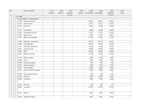| Acct |           | Acct Description                                             | 2017   | 2018   | 2019    | 2019   | 2020       | 2020       | 2020    | 2020  |
|------|-----------|--------------------------------------------------------------|--------|--------|---------|--------|------------|------------|---------|-------|
|      |           |                                                              | Expend | Expend | Adopted | Expend | Req Budget | Pub Budget | Adopted | Notes |
|      |           |                                                              |        |        | Rudget  |        |            |            | Rudnet  |       |
|      | Loc: 0000 |                                                              |        |        |         |        |            |            |         |       |
|      | 11109     | Loc Description : No Department<br><b>Executive Director</b> |        |        |         |        | 18,614     | 18,614     | 18,614  |       |
|      |           |                                                              |        |        |         |        |            |            |         |       |
|      | 11211     | Asst. Director                                               |        |        |         |        | 12,163     | 12,163     | 12,163  |       |
|      | 11300     | Part Time                                                    |        |        |         |        | 13,705     | 13,705     | 13,705  |       |
|      | 11411     | Field Officer                                                |        |        |         |        | 8,880      | 8,880      | 8,880   |       |
|      | 11502     | Case Mgr./Full Time                                          |        |        |         |        | 11,573     | 11,573     | 11,573  |       |
|      | 11605     | Admin. Asst.                                                 |        |        |         |        | 11,067     | 11,067     | 11,067  |       |
|      | 11702     | Work Crew Manager                                            |        |        |         |        | 13,705     | 13,705     | 13,705  |       |
|      | 11900     | <b>Education Coordinator</b>                                 |        |        |         |        | 28,761     | 28,761     | 28,761  |       |
|      | 12005     | Case Manager                                                 |        |        |         |        | 22,350     | 22,350     | 22,350  |       |
|      | 12101     | Case Mgr. Supervisor                                         |        |        |         |        | 8,250      | 8,250      | 8,250   |       |
|      | 12301     | Social Security                                              |        |        |         |        | 13,954     | 13,954     | 13,954  |       |
|      | 12402     | PERF                                                         |        |        |         |        | 18,909     | 18,909     | 18,909  |       |
|      | 12601     | Health Insurance                                             |        |        |         |        | 11,650     | 11,650     | 11,650  |       |
|      | 21100     | Office Supplies                                              |        |        |         |        | 3,000      | 3,000      | 3,000   |       |
|      | 21600     | Food                                                         |        |        |         |        | 1,050      | 1,050      | 1,050   |       |
|      | 22100     | Cleaning Supplies                                            |        |        |         |        | 300        | 300        | 300     |       |
|      | 22302     | <b>Wearing Apparel</b>                                       |        |        |         |        | 1,500      | 1,500      | 1,500   |       |
|      | 22601     | Other Supplies                                               |        |        |         |        | 2,000      | 2,000      | 2,000   |       |
|      | 23301     | Vehicle Maint & Supplies                                     |        |        |         |        | 2,900      | 2,900      | 2,900   |       |
|      | 30100     | Contractural Services                                        |        |        |         |        | 200        | 200        | 200     |       |
|      | 31200     | Training                                                     |        |        |         |        | 3,600      | 3,600      | 3,600   |       |
|      | 31800     | Telephone                                                    |        |        |         |        | 3,300      | 3,300      | 3,300   |       |
|      | 32200     | Printing                                                     |        |        |         |        | 250        | 250        | 250     |       |
|      | 32802     | Insurance                                                    |        |        |         |        | 14,732     | 14,732     | 14,732  |       |
|      | 33102     | <b>Utlities</b>                                              |        |        |         |        | 3,952      | 3,952      | 3,952   |       |
|      | 33700     | Equipment Repair                                             |        |        |         |        | 9,505      | 9,505      | 9,505   |       |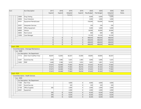| Acct |                                 |                | Acct Description                          | 2017   | 2018           | 2019    | 2019   | 2020       | 2020       | 2020    | 2020         |
|------|---------------------------------|----------------|-------------------------------------------|--------|----------------|---------|--------|------------|------------|---------|--------------|
|      |                                 |                |                                           | Expend | Expend         | Adopted | Expend | Req Budget | Pub Budget | Adopted | <b>Notes</b> |
|      |                                 |                |                                           |        |                | Rudnet  |        |            |            | Rudget  |              |
|      |                                 | 33800          | Drug Testing                              |        |                |         |        | 6,600      | 6,600      | 6,600   |              |
|      |                                 | 34004          | Court Solutions                           |        |                |         |        | 3,000      | 3,000      | 3,000   |              |
|      |                                 | 34101          | Equipment Rental/Lease                    |        |                |         |        | 150,000    | 150,000    | 150,000 |              |
|      |                                 | 34301          | <b>Interpreter Services</b>               |        |                |         |        | 250        | 250        | 250     |              |
|      |                                 | 42600          | Office Equipment                          |        |                |         |        | 5,000      | 5,000      | 5,000   |              |
|      |                                 | 44800          | Vehicle                                   |        |                |         |        | 30,000     | 30,000     | 30,000  |              |
|      |                                 | 34005          | Pest Control                              |        |                |         |        | 600        | 600        | 600     |              |
|      |                                 | 12006          | Case Manager                              |        |                |         |        | 33,330     | 33,330     | 33,330  |              |
|      |                                 |                |                                           | 0      | 0              | 0       | 0      | 468,650    | 468,650    | 468,650 |              |
|      |                                 |                |                                           | 0      | $\overline{0}$ | 0       | 0      | 468,650    | 468,650    | 468,650 |              |
|      |                                 |                |                                           | 0      | 0              | 0       | 0      | 468,650    | 468,650    | 468,650 |              |
|      |                                 |                |                                           | 0      | 0              | 0       | 0      | 468,650    | 468,650    | 468,650 |              |
|      | - Fund: 2700                    |                |                                           |        |                |         |        |            |            |         |              |
|      |                                 |                | - Fund Description : Drainage Maintanence |        |                |         |        |            |            |         |              |
|      |                                 | $-$ Loc : 0000 |                                           |        |                |         |        |            |            |         |              |
|      |                                 |                | Loc Description : No Department           |        |                |         |        |            |            |         |              |
|      |                                 | 11113          | Ditch Tech-Full/Part Time                 | 48,497 | 52,893         | 66,567  | 33,000 | 69,895     | 69,895     | 66,567  |              |
|      |                                 | 12301          | Social Security                           | 3,650  | 3,985          | 5,425   | 2,483  | 5,846      | 5,846      | 5,425   |              |
|      |                                 | 12402          | PERF                                      | 5,468  | 5,586          | 5,610   | 3,933  | 5,891      | 5,891      | 5,610   |              |
|      |                                 |                |                                           | 57,615 | 62,464         | 77,602  | 39,416 | 81,632     | 81,632     | 77,602  |              |
|      |                                 |                |                                           | 57,615 | 62,464         | 77,602  | 39,416 | 81,632     | 81,632     | 77,602  |              |
|      |                                 |                |                                           | 57,615 | 62,464         | 77,602  | 39,416 | 81,632     | 81,632     | 77,602  |              |
|      |                                 |                |                                           | 57,615 | 62,464         | 77,602  | 39,416 | 81,632     | 81,632     | 77,602  |              |
|      | - Fund: 4120                    |                |                                           |        |                |         |        |            |            |         |              |
|      |                                 |                | - Fund Description : Health Services      |        |                |         |        |            |            |         |              |
|      |                                 | $-$ Loc : 0000 |                                           |        |                |         |        |            |            |         |              |
|      | Loc Description : No Department |                |                                           |        |                |         |        |            |            |         |              |
|      |                                 | 11300          | Part Time                                 |        |                | 4,000   | 0      | 4,000      | 4,000      | 4,000   |              |
|      |                                 | 12301          | Social Security                           |        |                | 320     | 0      | 320        | 320        | 320     |              |
|      |                                 | 21100          | Office Supplies                           | 395    |                | 2,000   | 0      | 2,000      | 2,000      | 2,000   |              |
|      |                                 | 42601          | Equipment                                 |        |                | 2,000   | 0      | 2,000      | 2,000      | 2,000   |              |
|      |                                 |                |                                           | 395    | 0              | 8,320   | 0      | 8,320      | 8,320      | 8,320   |              |
|      |                                 |                |                                           | 395    | 0              | 8,320   | 0      | 8,320      | 8,320      | 8,320   |              |
|      |                                 |                |                                           | 395    | 0              | 8,320   | 0      | 8,320      | 8,320      | 8,320   |              |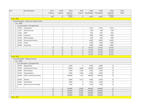| Acct                     |                                            | Acct Description                               | 2017           | 2018           | 2019    | 2019           | 2020       | 2020       | 2020     | 2020  |
|--------------------------|--------------------------------------------|------------------------------------------------|----------------|----------------|---------|----------------|------------|------------|----------|-------|
|                          |                                            |                                                | Expend         | Expend         | Adopted | Expend         | Req Budget | Pub Budget | Adopted  | Notes |
|                          |                                            |                                                |                |                | Rudnet  |                |            |            | Rudnet   |       |
| <b>Fund: 4951</b>        |                                            |                                                | 395            | 0              | 8,320   | $\overline{0}$ | 8,320      | 8,320      | 8,320    |       |
|                          |                                            |                                                |                |                |         |                |            |            |          |       |
|                          |                                            | - Fund Description : Drug Court Project Income |                |                |         |                |            |            |          |       |
|                          | $-$ Loc : 0000<br>$\overline{\phantom{a}}$ |                                                |                |                |         |                |            |            |          |       |
|                          |                                            | Loc Description : No Department                |                |                |         |                |            |            |          |       |
|                          | 10700                                      | Coordinator                                    |                |                |         |                | 7,013      | 7,013      | 7,013    |       |
|                          | 12301                                      | Social Security                                |                |                |         |                | 536        | 536        | 536      |       |
|                          | 12402                                      | PERF                                           |                |                |         |                | 856        | 856        | 856      |       |
|                          | 21000                                      | Incentives                                     |                |                |         |                | 1,500      | 1,500      | 1,500    |       |
|                          | 21100                                      | Office Supplies                                |                |                |         |                | 600        | 600        | 600      |       |
|                          | 30100                                      | <b>Contractural Services</b>                   |                |                |         |                | 6,000      | 6,000      | 6,000    |       |
|                          | 31700                                      | Travel                                         |                |                |         |                | 1,800      | 1,800      | 1,800    |       |
|                          | 32000                                      | Screenings                                     |                |                |         |                | 5,800      | 5,800      | 5,800    |       |
|                          |                                            |                                                | $\overline{0}$ | 0              | 0       | 0              | 24,105     | 24,105     | 24,105   |       |
|                          |                                            |                                                | 0              | $\overline{0}$ | 0       | $\overline{0}$ | 24,105     | 24,105     | 24,105   |       |
|                          |                                            |                                                | 0              | $\overline{0}$ | 0       | 0              | 24,105     | 24,105     | 24,105   |       |
|                          |                                            |                                                | $\Omega$       | $\overline{0}$ | 0       | 0              | 24,105     | 24,105     | 24,105   |       |
| <b>Fund: 4976</b>        |                                            |                                                |                |                |         |                |            |            |          |       |
|                          |                                            | - Fund Description : Highway Services          |                |                |         |                |            |            |          |       |
|                          | $-$ Loc : 0000                             |                                                |                |                |         |                |            |            |          |       |
|                          | $\overline{a}$                             | Loc Description : No Department                |                |                |         |                |            |            |          |       |
|                          | 23500                                      | <b>Buggy Plates</b>                            |                |                | 2,000   | 0              | 2,000      | 2,000      | 0        |       |
|                          | 30100                                      | Contractural Services                          |                |                | 50,000  | 4,889          | 50,000     | 50,000     | 0        |       |
|                          | 34002                                      | Other Repairs                                  |                |                | 2,500   | 5,396          | 2,500      | 2,500      | 0        |       |
|                          | 34100                                      | Garage Repairs                                 |                |                | 4,000   | 5,006          | 4,000      | 4,000      | 0        |       |
|                          | 34200                                      | Other Contractual Services                     |                |                | 100,000 | 1,137          | 100,000    | 100,000    | $\Omega$ |       |
|                          | 34300                                      | Wrecker                                        |                |                | 4,000   | 3,512          | 4,000      | 4,000      | 0        |       |
|                          | 34302                                      | <b>Utility Repair</b>                          |                |                | 5,000   | 0              | 5,000      | 5,000      | 0        |       |
|                          | 35209                                      | Other Services & Charges                       |                |                | 1,500   | 0              | 1,500      | 1,500      | 0        |       |
|                          |                                            |                                                | $\overline{0}$ | 0              | 169,000 | 19,940         | 169,000    | 169,000    | 0        |       |
|                          |                                            |                                                | $\overline{0}$ | 0              | 169,000 | 19,940         | 169,000    | 169,000    | 0        |       |
|                          |                                            |                                                | 0              | 0              | 169,000 | 19,940         | 169,000    | 169,000    | 0        |       |
|                          |                                            |                                                | 0              | 0              | 169,000 | 19,940         | 169,000    | 169,000    | 0        |       |
| $\overline{\phantom{a}}$ | <b>Fund: 4977</b>                          |                                                |                |                |         |                |            |            |          |       |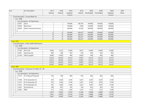| Acct |                                       |                          | Acct Description                                   | 2017   | 2018   | 2019    | 2019    | 2020       | 2020       | 2020    | 2020         |
|------|---------------------------------------|--------------------------|----------------------------------------------------|--------|--------|---------|---------|------------|------------|---------|--------------|
|      |                                       |                          |                                                    | Expend | Expend | Adopted | Expend  | Req Budget | Pub Budget | Adopted | <b>Notes</b> |
|      |                                       |                          |                                                    |        |        | Rudnet  |         |            |            | Rudget  |              |
|      | - Fund Description : County Wheel Tax |                          |                                                    |        |        |         |         |            |            |         |              |
|      | $-$ Loc : 0000                        |                          |                                                    |        |        |         |         |            |            |         |              |
|      |                                       | $\overline{\phantom{a}}$ | Loc Description : No Department                    |        |        |         |         |            |            |         |              |
|      |                                       | 22401                    | Stone                                              |        |        | 100,000 | 285,378 | 100,000    | 100,000    | 100,000 |              |
|      |                                       | 22500                    | <b>Bituminous</b>                                  |        |        | 150,000 | 7,609   | 150,000    | 150,000    | 150,000 |              |
|      |                                       | 34200                    | <b>Other Contractual Services</b>                  |        |        | 300,000 | 63,350  | 300,000    | 300,000    | 300,000 |              |
|      |                                       |                          |                                                    | 0      | 0      | 550,000 | 356,337 | 550,000    | 550,000    | 550,000 |              |
|      |                                       |                          |                                                    | 0      | 0      | 550,000 | 356,337 | 550,000    | 550,000    | 550,000 |              |
|      |                                       |                          |                                                    | 0      | 0      | 550,000 | 356,337 | 550,000    | 550,000    | 550,000 |              |
|      |                                       |                          |                                                    | 0      | 0      | 550,000 | 356,337 | 550,000    | 550,000    | 550,000 |              |
|      | - Fund: 8101                          |                          |                                                    |        |        |         |         |            |            |         |              |
|      |                                       |                          | - Fund Description : Public Health Maintenance     |        |        |         |         |            |            |         |              |
|      |                                       | Loc: 0000                |                                                    |        |        |         |         |            |            |         |              |
|      |                                       |                          | Loc Description : No Department                    |        |        |         |         |            |            |         |              |
|      |                                       | 11300                    | Part Time                                          | 4,995  | 3,212  | 12,400  | 6,813   | 12,400     | 12,400     | 12,400  |              |
|      |                                       | 12301                    | Social Security                                    | 382    | 246    | 952     | 524     | 952        | 952        | 952     |              |
|      |                                       | 21100                    | Office Supplies                                    | 8,946  | 17,085 | 960     | 8,630   | 960        | 960        | 960     |              |
|      |                                       |                          |                                                    | 14,323 | 20,543 | 14,312  | 15,967  | 14,312     | 14,312     | 14,312  |              |
|      |                                       |                          |                                                    | 14,323 | 20,543 | 14,312  | 15,967  | 14,312     | 14,312     | 14,312  |              |
|      |                                       |                          |                                                    | 14,323 | 20,543 | 14,312  | 15,967  | 14,312     | 14,312     | 14,312  |              |
|      |                                       |                          |                                                    | 14,323 | 20,543 | 14,312  | 15,967  | 14,312     | 14,312     | 14,312  |              |
|      | <b>Fund: 8897</b>                     |                          |                                                    |        |        |         |         |            |            |         |              |
|      |                                       |                          | - Fund Description : Prosecutor IV-D After 10-1-99 |        |        |         |         |            |            |         |              |
|      |                                       | $-$ Loc : 0000           |                                                    |        |        |         |         |            |            |         |              |
|      |                                       |                          | Loc Description : No Department                    |        |        |         |         |            |            |         |              |
|      |                                       | 11210                    | IV-D Deputy Prosecutor                             | 765    | 780    | 804     | 618     | 862        | 862        | 804     |              |
|      |                                       | 11308                    | IV-D Caseworker (3)                                | 591    | 3,420  | 4,194   | 3,201   | 4,297      | 4,297      | 4,194   |              |
|      |                                       | 11412                    | IV-D Caseworker (4)                                | 591    | 3,420  | 4,194   | 3,201   | 4,297      | 4,297      | 4,194   |              |
|      |                                       | 11812                    | IV-D Caseworker (5)                                | 591    | 3,420  | 4,194   | 3,201   | 4,297      | 4,297      | 4,194   |              |
|      |                                       | 12301                    | Social Security                                    | 186    | 801    | 783     | 738     | 823        | 823        | 783     |              |
|      |                                       | 12402                    | PERF                                               | 217    | 1,252  | 1,249   | 1,247   | 1,312      | 1,312      | 1,249   |              |
|      |                                       |                          |                                                    | 2,941  | 13,093 | 15,418  | 12,206  | 15,888     | 15,888     | 15,418  |              |
|      |                                       |                          |                                                    | 2,941  | 13,093 | 15,418  | 12,206  | 15,888     | 15,888     | 15,418  |              |
|      |                                       |                          |                                                    | 2,941  | 13,093 | 15,418  | 12,206  | 15,888     | 15,888     | 15,418  |              |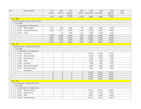| Acct         |                | <b>Acct Description</b>                       | 2017           | 2018   | 2019    | 2019   | 2020       | 2020       | 2020    | 2020  |
|--------------|----------------|-----------------------------------------------|----------------|--------|---------|--------|------------|------------|---------|-------|
|              |                |                                               | Expend         | Expend | Adopted | Expend | Req Budget | Pub Budget | Adopted | Notes |
|              |                |                                               |                |        | Rudnet  |        |            |            | Rudget  |       |
| - Fund: 8899 |                |                                               | 2,941          | 13,093 | 15,418  | 12,206 | 15,888     | 15,888     | 15,418  |       |
|              |                |                                               |                |        |         |        |            |            |         |       |
|              |                | - Fund Description : Clerk IV-D After 10-1-99 |                |        |         |        |            |            |         |       |
|              | $-$ Loc : 0000 |                                               |                |        |         |        |            |            |         |       |
|              |                | Loc Description : No Department               |                |        |         |        |            |            |         |       |
|              | 21100          | Office Supplies                               | 5,751          | 996    | 6,000   | 109    | 6,000      | 6,000      | 6,000   |       |
|              | 30100          | Contractural Services                         | 14,202         | 10,327 | 14,000  | 6,766  | 14,000     | 14,000     | 14,000  |       |
|              | 31700          | Travel                                        |                | 46     | 4,000   | 220    | 4,000      | 4,000      | 4,000   |       |
|              |                |                                               | 19,953         | 11,369 | 24,000  | 7,095  | 24,000     | 24,000     | 24,000  |       |
|              |                |                                               | 19,953         | 11,369 | 24,000  | 7,095  | 24,000     | 24,000     | 24,000  |       |
|              |                |                                               | 19,953         | 11,369 | 24,000  | 7,095  | 24,000     | 24,000     | 24,000  |       |
|              |                |                                               | 19,953         | 11,369 | 24,000  | 7,095  | 24,000     | 24,000     | 24,000  |       |
| - Fund: 9103 |                |                                               |                |        |         |        |            |            |         |       |
|              |                | - Fund Description : Drug Court DOC Grant     |                |        |         |        |            |            |         |       |
|              | $-$ Loc : 0000 |                                               |                |        |         |        |            |            |         |       |
|              |                | Loc Description : No Department               |                |        |         |        |            |            |         |       |
|              | 10700          | Coordinator                                   |                |        |         |        | 53,765     | 53,765     | 53,765  |       |
|              | 11104          | <b>Public Defenders</b>                       |                |        |         |        | 14,040     | 14,040     | 14,040  |       |
|              | 12301          | Social Security                               |                |        |         |        | 5,559      | 5,559      | 5,559   |       |
|              | 12402          | PERF                                          |                |        |         |        | 6,559      | 6,559      | 6,559   |       |
|              | 21000          | Incentives                                    |                |        |         |        | 1,000      | 1,000      | 1,000   |       |
|              | 23001          | <b>Drug Testing Supplies</b>                  |                |        |         |        | 6,000      | 6,000      | 6,000   |       |
|              | 33103          | Compliance Officer                            |                |        |         |        | 9,000      | 9,000      | 9,000   |       |
|              |                | Contractual                                   |                |        |         |        |            |            |         |       |
|              |                |                                               | $\overline{0}$ | 0      | 0       | 0      | 95,923     | 95,923     | 95,923  |       |
|              |                |                                               | 0              | 0      | 0       | 0      | 95,923     | 95,923     | 95,923  |       |
|              |                |                                               | 0              | 0      | 0       | 0      | 95,923     | 95,923     | 95,923  |       |
|              |                |                                               | $\Omega$       | 0      | 0       | 0      | 95,923     | 95,923     | 95,923  |       |
| - Fund: 9104 |                |                                               |                |        |         |        |            |            |         |       |
|              |                | - Fund Description : Probation DOC Grant      |                |        |         |        |            |            |         |       |
|              | $-$ Loc : 0000 |                                               |                |        |         |        |            |            |         |       |
|              |                | Loc Description : No Department               |                |        |         |        |            |            |         |       |
|              | 11207          | <b>Probation Officer</b>                      |                |        |         |        | 84,467     | 84,467     | 84,467  |       |
|              | 12301          | Social Security                               |                |        |         |        | 6,462      | 6,462      | 6,462   |       |
|              | 12402          | PERF                                          |                |        |         |        | 10,305     | 10,305     | 10,305  |       |
|              | 12601          | Health Insurance                              |                |        |         |        | 59,315     | 59,315     | 59,315  |       |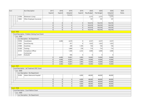| Acct                     | Acct Description                                 | 2017   | 2018           | 2019    | 2019   | 2020       | 2020       | 2020    | 2020  |  |
|--------------------------|--------------------------------------------------|--------|----------------|---------|--------|------------|------------|---------|-------|--|
|                          |                                                  | Expend | Expend         | Adopted | Expend | Req Budget | Pub Budget | Adopted | Notes |  |
|                          |                                                  |        |                | Rudget  |        |            |            | Rudnet  |       |  |
| 12700                    | Workman's Comp                                   |        |                |         |        | 2,272      | 2,272      | 2,272   |       |  |
| 12803                    | Other Employee Insurances                        |        |                |         |        | 197        | 197        | 197     |       |  |
|                          |                                                  | 0      | 0              | 0       | 0      | 163,018    | 163,018    | 163,018 |       |  |
|                          |                                                  | 0      | 0              | 0       | 0      | 163,018    | 163,018    | 163,018 |       |  |
|                          |                                                  | 0      | 0              | 0       | 0      | 163,018    | 163,018    | 163,018 |       |  |
|                          |                                                  | 0      | 0              | 0       | 0      | 163,018    | 163,018    | 163,018 |       |  |
| Fund: 9105               |                                                  |        |                |         |        |            |            |         |       |  |
|                          | - Fund Description : Problem Solving Court Grant |        |                |         |        |            |            |         |       |  |
| $-$ Loc : 0000           |                                                  |        |                |         |        |            |            |         |       |  |
| $\overline{\phantom{a}}$ | Loc Description : No Department                  |        |                |         |        |            |            |         |       |  |
| 10700                    | Coordinator                                      |        | 4,406          | 4,619   | 0      | 4,537      | 4,537      | 4,537   |       |  |
| 12301                    | Social Security                                  |        |                | 917     | 0      | 1,023      | 1,023      | 1,023   |       |  |
| 21000                    | Incentives                                       |        |                | 240     | 1,185  | 726        | 726        | 726     |       |  |
| 31200                    | Training                                         |        |                | 1,849   | 578    | 714        | 714        | 714     |       |  |
| 33103                    | Compliance Officer                               |        |                | 1,440   | 2,232  | 3,000      | 3,000      | 3,000   |       |  |
|                          | Contractual                                      |        |                |         |        |            |            |         |       |  |
| 33201                    | Evaluator                                        |        |                | 936     | 0      | 0          | 0          | 0       |       |  |
|                          |                                                  | 0      | 4,406          | 10,001  | 3,995  | 10,000     | 10,000     | 10,000  |       |  |
|                          |                                                  | 0      | 4,406          | 10,001  | 3,995  | 10,000     | 10,000     | 10,000  |       |  |
|                          |                                                  | 0      | 4,406          | 10,001  | 3,995  | 10,000     | 10,000     | 10,000  |       |  |
|                          |                                                  | 0      | 4,406          | 10,001  | 3,995  | 10,000     | 10,000     | 10,000  |       |  |
| Fund: 9107               |                                                  |        |                |         |        |            |            |         |       |  |
|                          | - Fund Description : Jail Treatment DOC Grant    |        |                |         |        |            |            |         |       |  |
| $-$ Loc : 0000           |                                                  |        |                |         |        |            |            |         |       |  |
|                          | Loc Description : No Department                  |        |                |         |        |            |            |         |       |  |
| 35306                    | Adams Memorial Hospital                          |        |                |         | 4,000  | 48,000     | 48,000     | 48,000  |       |  |
|                          |                                                  | 0      | 0              | 0       | 4,000  | 48,000     | 48,000     | 48,000  |       |  |
|                          |                                                  | 0      | 0              | 0       | 4,000  | 48,000     | 48,000     | 48,000  |       |  |
|                          |                                                  | 0      | $\overline{0}$ | 0       | 4,000  | 48,000     | 48,000     | 48,000  |       |  |
|                          |                                                  | 0      | 0              | 0       | 4,000  | 48,000     | 48,000     | 48,000  |       |  |
| <b>Fund: 9108</b>        |                                                  |        |                |         |        |            |            |         |       |  |
|                          | - Fund Description : Court Reform Grant          |        |                |         |        |            |            |         |       |  |
| $-$ Loc : 0000           |                                                  |        |                |         |        |            |            |         |       |  |
|                          | Loc Description : No Department                  |        |                |         |        |            |            |         |       |  |